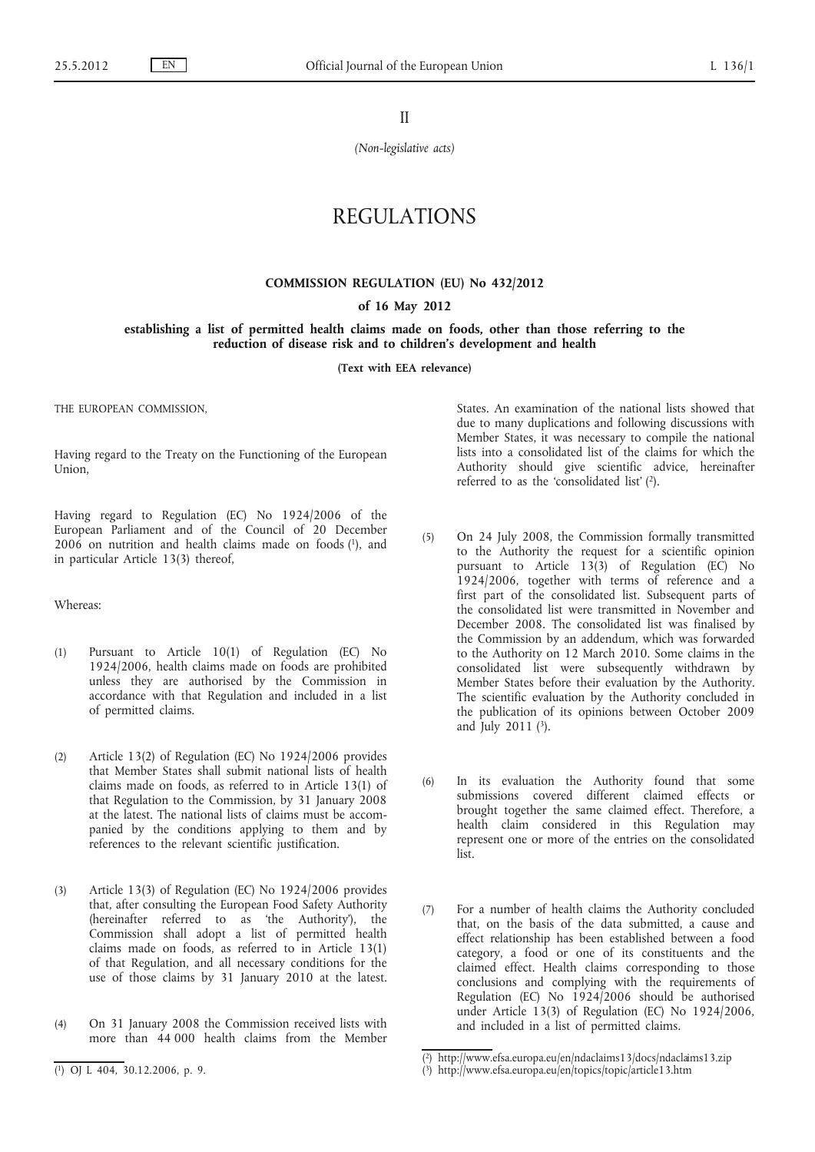II

*(Non-legislative acts)*

# REGULATIONS

## **COMMISSION REGULATION (EU) No 432/2012**

#### **of 16 May 2012**

#### **establishing a list of permitted health claims made on foods, other than those referring to the reduction of disease risk and to children's development and health**

**(Text with EEA relevance)**

THE EUROPEAN COMMISSION

Having regard to the Treaty on the Functioning of the European Union,

Having regard to Regulation (EC) No 1924/2006 of the European Parliament and of the Council of 20 December 2006 on nutrition and health claims made on foods (1), and in particular Article 13(3) thereof,

Whereas:

- (1) Pursuant to Article 10(1) of Regulation (EC) No 1924/2006, health claims made on foods are prohibited unless they are authorised by the Commission in accordance with that Regulation and included in a list of permitted claims.
- (2) Article 13(2) of Regulation (EC) No 1924/2006 provides that Member States shall submit national lists of health claims made on foods, as referred to in Article 13(1) of that Regulation to the Commission, by 31 January 2008 at the latest. The national lists of claims must be accompanied by the conditions applying to them and by references to the relevant scientific justification.
- (3) Article 13(3) of Regulation (EC) No 1924/2006 provides that, after consulting the European Food Safety Authority (hereinafter referred to as 'the Authority'), the Commission shall adopt a list of permitted health claims made on foods, as referred to in Article  $13(1)$ of that Regulation, and all necessary conditions for the use of those claims by 31 January 2010 at the latest.
- (4) On 31 January 2008 the Commission received lists with more than 44 000 health claims from the Member

States. An examination of the national lists showed that due to many duplications and following discussions with Member States, it was necessary to compile the national lists into a consolidated list of the claims for which the Authority should give scientific advice, hereinafter referred to as the 'consolidated list' (2).

- (5) On 24 July 2008, the Commission formally transmitted to the Authority the request for a scientific opinion pursuant to Article  $13(3)$  of Regulation (EC) No 1924/2006, together with terms of reference and a first part of the consolidated list. Subsequent parts of the consolidated list were transmitted in November and December 2008. The consolidated list was finalised by the Commission by an addendum, which was forwarded to the Authority on 12 March 2010. Some claims in the consolidated list were subsequently withdrawn by Member States before their evaluation by the Authority. The scientific evaluation by the Authority concluded in the publication of its opinions between October 2009 and July 2011 (3).
- (6) In its evaluation the Authority found that some submissions covered different claimed effects or brought together the same claimed effect. Therefore, a health claim considered in this Regulation may represent one or more of the entries on the consolidated list.
- (7) For a number of health claims the Authority concluded that, on the basis of the data submitted, a cause and effect relationship has been established between a food category, a food or one of its constituents and the claimed effect. Health claims corresponding to those conclusions and complying with the requirements of Regulation (EC) No  $1924/2006$  should be authorised under Article 13(3) of Regulation (EC) No 1924/2006, and included in a list of permitted claims.

<sup>(</sup> 1) OJ L 404, 30.12.2006, p. 9.

<sup>(</sup> 2) <http://www.efsa.europa.eu/en/ndaclaims13/docs/ndaclaims13.zip>

<sup>(</sup> 3) <http://www.efsa.europa.eu/en/topics/topic/article13.htm>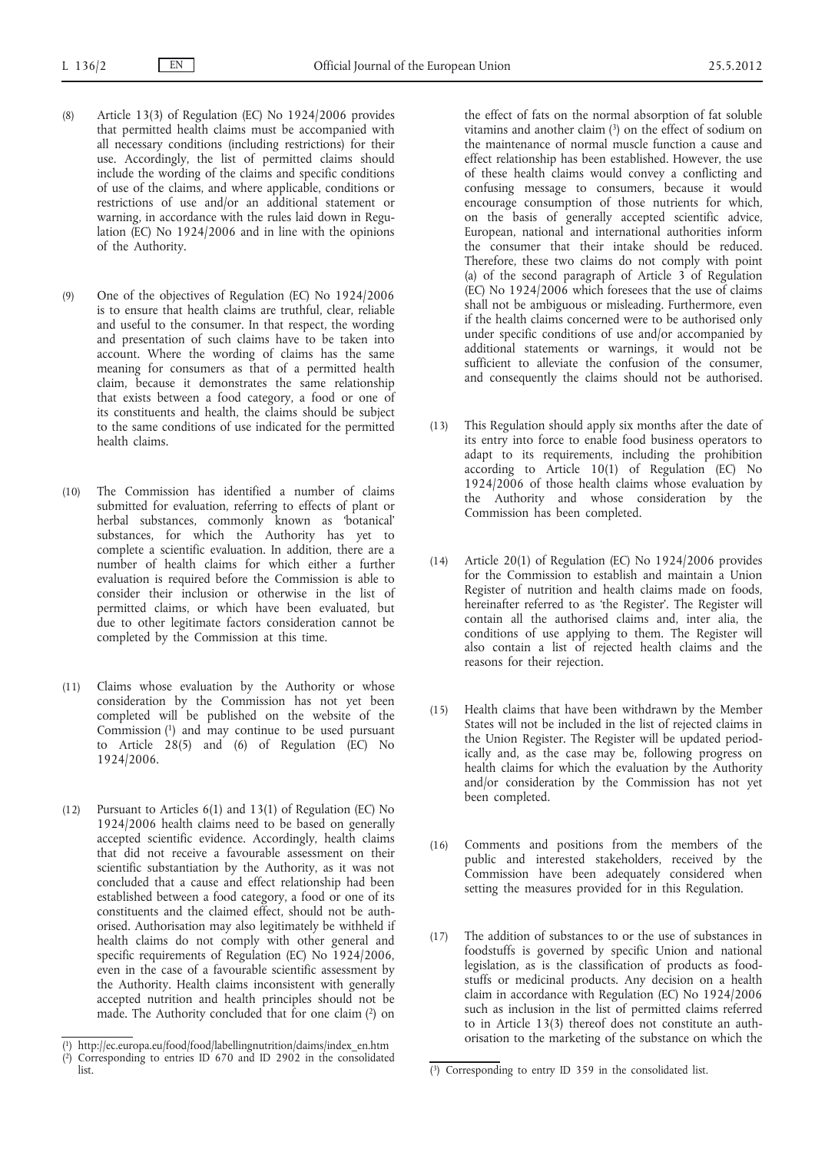- (8) Article 13(3) of Regulation (EC) No 1924/2006 provides that permitted health claims must be accompanied with all necessary conditions (including restrictions) for their use. Accordingly, the list of permitted claims should include the wording of the claims and specific conditions of use of the claims, and where applicable, conditions or restrictions of use and/or an additional statement or warning, in accordance with the rules laid down in Regulation (EC) No 1924/2006 and in line with the opinions of the Authority.
- (9) One of the objectives of Regulation (EC) No 1924/2006 is to ensure that health claims are truthful, clear, reliable and useful to the consumer. In that respect, the wording and presentation of such claims have to be taken into account. Where the wording of claims has the same meaning for consumers as that of a permitted health claim, because it demonstrates the same relationship that exists between a food category, a food or one of its constituents and health, the claims should be subject to the same conditions of use indicated for the permitted health claims.
- (10) The Commission has identified a number of claims submitted for evaluation, referring to effects of plant or herbal substances, commonly known as 'botanical' substances, for which the Authority has yet to complete a scientific evaluation. In addition, there are a number of health claims for which either a further evaluation is required before the Commission is able to consider their inclusion or otherwise in the list of permitted claims, or which have been evaluated, but due to other legitimate factors consideration cannot be completed by the Commission at this time.
- (11) Claims whose evaluation by the Authority or whose consideration by the Commission has not yet been completed will be published on the website of the Commission (1) and may continue to be used pursuant to Article 28(5) and (6) of Regulation (EC) No 1924/2006.
- (12) Pursuant to Articles 6(1) and 13(1) of Regulation (EC) No 1924/2006 health claims need to be based on generally accepted scientific evidence. Accordingly, health claims that did not receive a favourable assessment on their scientific substantiation by the Authority, as it was not concluded that a cause and effect relationship had been established between a food category, a food or one of its constituents and the claimed effect, should not be authorised. Authorisation may also legitimately be withheld if health claims do not comply with other general and specific requirements of Regulation (EC) No 1924/2006, even in the case of a favourable scientific assessment by the Authority. Health claims inconsistent with generally accepted nutrition and health principles should not be made. The Authority concluded that for one claim (2) on

the effect of fats on the normal absorption of fat soluble vitamins and another claim (3) on the effect of sodium on the maintenance of normal muscle function a cause and effect relationship has been established. However, the use of these health claims would convey a conflicting and confusing message to consumers, because it would encourage consumption of those nutrients for which, on the basis of generally accepted scientific advice, European, national and international authorities inform the consumer that their intake should be reduced. Therefore, these two claims do not comply with point (a) of the second paragraph of Article 3 of Regulation (EC) No 1924/2006 which foresees that the use of claims shall not be ambiguous or misleading. Furthermore, even if the health claims concerned were to be authorised only under specific conditions of use and/or accompanied by additional statements or warnings, it would not be sufficient to alleviate the confusion of the consumer, and consequently the claims should not be authorised.

- (13) This Regulation should apply six months after the date of its entry into force to enable food business operators to adapt to its requirements, including the prohibition according to Article 10(1) of Regulation (EC) No 1924/2006 of those health claims whose evaluation by the Authority and whose consideration by the Commission has been completed.
- (14) Article 20(1) of Regulation (EC) No 1924/2006 provides for the Commission to establish and maintain a Union Register of nutrition and health claims made on foods, hereinafter referred to as 'the Register'. The Register will contain all the authorised claims and, inter alia, the conditions of use applying to them. The Register will also contain a list of rejected health claims and the reasons for their rejection.
- (15) Health claims that have been withdrawn by the Member States will not be included in the list of rejected claims in the Union Register. The Register will be updated periodically and, as the case may be, following progress on health claims for which the evaluation by the Authority and/or consideration by the Commission has not yet been completed.
- (16) Comments and positions from the members of the public and interested stakeholders, received by the Commission have been adequately considered when setting the measures provided for in this Regulation.
- (17) The addition of substances to or the use of substances in foodstuffs is governed by specific Union and national legislation, as is the classification of products as foodstuffs or medicinal products. Any decision on a health claim in accordance with Regulation (EC) No 1924/2006 such as inclusion in the list of permitted claims referred to in Article 13(3) thereof does not constitute an authorisation to the marketing of the substance on which the

<sup>(</sup> 1) [http://ec.europa.eu/food/food/labellingnutrition/claims/index\\_en.htm](http://ec.europa.eu/food/food/labellingnutrition/claims/index_en.htm)

<sup>(</sup> 2) Corresponding to entries ID 670 and ID 2902 in the consolidated list. (3) Corresponding to entry ID 359 in the consolidated list.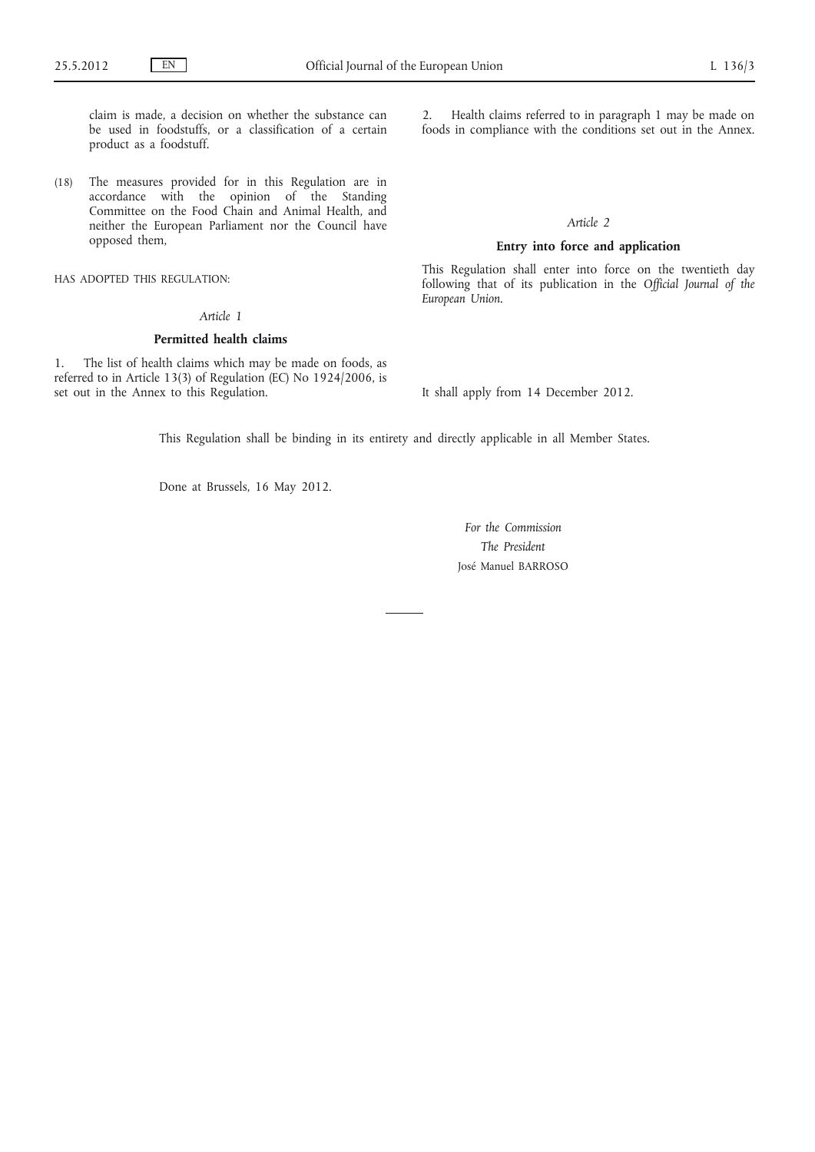claim is made, a decision on whether the substance can be used in foodstuffs, or a classification of a certain product as a foodstuff.

(18) The measures provided for in this Regulation are in accordance with the opinion of the Standing Committee on the Food Chain and Animal Health, and neither the European Parliament nor the Council have opposed them,

HAS ADOPTED THIS REGULATION:

## *Article 1*

### **Permitted health claims**

1. The list of health claims which may be made on foods, as referred to in Article 13(3) of Regulation (EC) No 1924/2006, is set out in the Annex to this Regulation.

2. Health claims referred to in paragraph 1 may be made on foods in compliance with the conditions set out in the Annex.

## *Article 2*

# **Entry into force and application**

This Regulation shall enter into force on the twentieth day following that of its publication in the *Official Journal of the European Union*.

It shall apply from 14 December 2012.

This Regulation shall be binding in its entirety and directly applicable in all Member States.

Done at Brussels, 16 May 2012.

*For the Commission The President* José Manuel BARROSO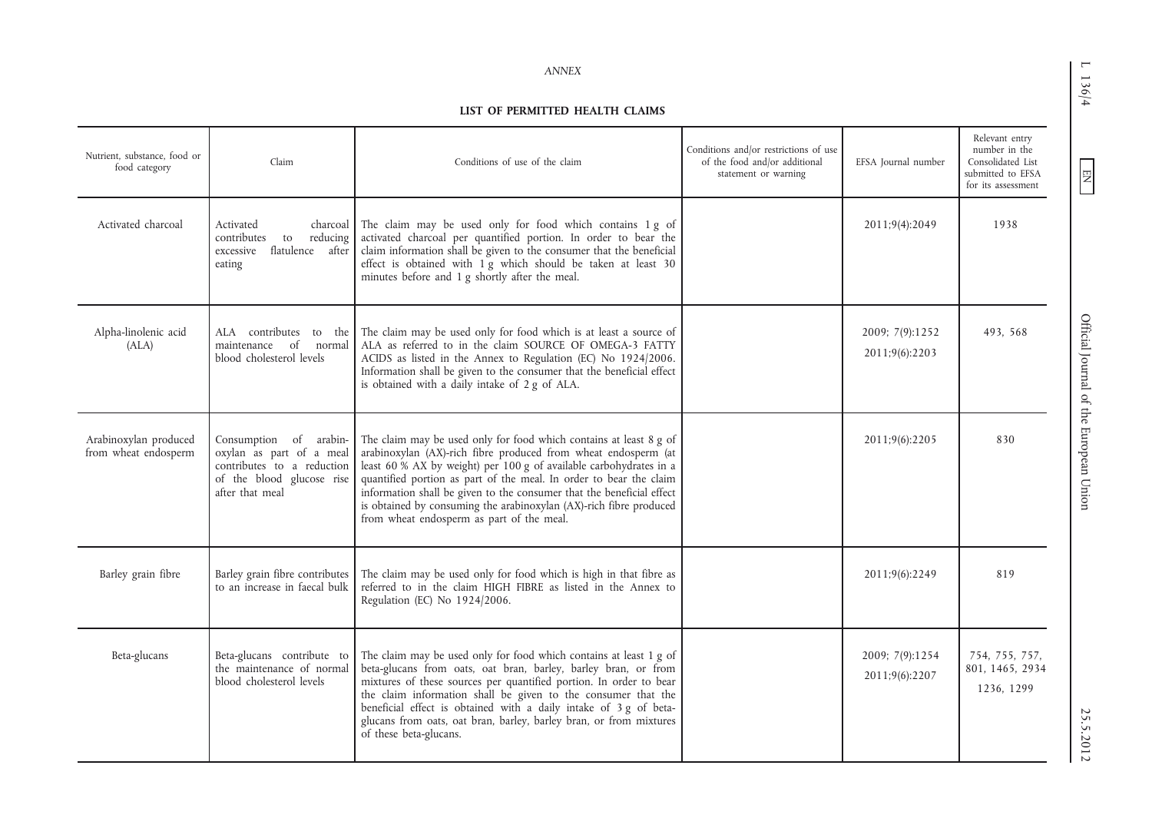L 136/4

 $\boxed{\phantom{\text{N}}}{\mathop{\text{NN}}}$ 

#### **LIST OF PERMITTED HEALTH CLAIMS**

| Nutrient, substance, food or<br>food category | Claim                                                                                                                            | Conditions of use of the claim                                                                                                                                                                                                                                                                                                                                                                                                                                               | Conditions and/or restrictions of use<br>of the food and/or additional<br>statement or warning | EFSA Journal number               | Relevant entry<br>number in the<br>Consolidated List<br>submitted to EFSA<br>for its assessment |
|-----------------------------------------------|----------------------------------------------------------------------------------------------------------------------------------|------------------------------------------------------------------------------------------------------------------------------------------------------------------------------------------------------------------------------------------------------------------------------------------------------------------------------------------------------------------------------------------------------------------------------------------------------------------------------|------------------------------------------------------------------------------------------------|-----------------------------------|-------------------------------------------------------------------------------------------------|
| Activated charcoal                            | Activated<br>charcoal<br>contributes<br>to<br>reducing<br>flatulence after<br>excessive<br>eating                                | The claim may be used only for food which contains 1 g of<br>activated charcoal per quantified portion. In order to bear the<br>claim information shall be given to the consumer that the beneficial<br>effect is obtained with 1 g which should be taken at least 30<br>minutes before and 1 g shortly after the meal.                                                                                                                                                      |                                                                                                | 2011;9(4):2049                    | 1938                                                                                            |
| Alpha-linolenic acid<br>(ALA)                 | ALA contributes to the<br>maintenance of normal<br>blood cholesterol levels                                                      | The claim may be used only for food which is at least a source of<br>ALA as referred to in the claim SOURCE OF OMEGA-3 FATTY<br>ACIDS as listed in the Annex to Regulation (EC) No 1924/2006.<br>Information shall be given to the consumer that the beneficial effect<br>is obtained with a daily intake of 2 g of ALA.                                                                                                                                                     |                                                                                                | 2009; 7(9):1252<br>2011;9(6):2203 | 493.568                                                                                         |
| Arabinoxylan produced<br>from wheat endosperm | Consumption of arabin-<br>oxylan as part of a meal<br>contributes to a reduction<br>of the blood glucose rise<br>after that meal | The claim may be used only for food which contains at least 8 g of<br>arabinoxylan (AX)-rich fibre produced from wheat endosperm (at<br>least 60 % AX by weight) per 100 g of available carbohydrates in a<br>quantified portion as part of the meal. In order to bear the claim<br>information shall be given to the consumer that the beneficial effect<br>is obtained by consuming the arabinoxylan (AX)-rich fibre produced<br>from wheat endosperm as part of the meal. |                                                                                                | 2011;9(6):2205                    | 830                                                                                             |
| Barley grain fibre                            | Barley grain fibre contributes<br>to an increase in faecal bulk                                                                  | The claim may be used only for food which is high in that fibre as<br>referred to in the claim HIGH FIBRE as listed in the Annex to<br>Regulation (EC) No 1924/2006.                                                                                                                                                                                                                                                                                                         |                                                                                                | 2011;9(6):2249                    | 819                                                                                             |
| Beta-glucans                                  | Beta-glucans contribute to<br>the maintenance of normal<br>blood cholesterol levels                                              | The claim may be used only for food which contains at least 1 g of<br>beta-glucans from oats, oat bran, barley, barley bran, or from<br>mixtures of these sources per quantified portion. In order to bear<br>the claim information shall be given to the consumer that the<br>beneficial effect is obtained with a daily intake of 3 g of beta-<br>glucans from oats, oat bran, barley, barley bran, or from mixtures<br>of these beta-glucans.                             |                                                                                                | 2009; 7(9):1254<br>2011;9(6):2207 | 754, 755, 757,<br>801, 1465, 2934<br>1236, 1299                                                 |

EN L 136/4 Official Journal of the European Union 25.00 Discussed 2013-012.2012.2012 Official Journal of the European Union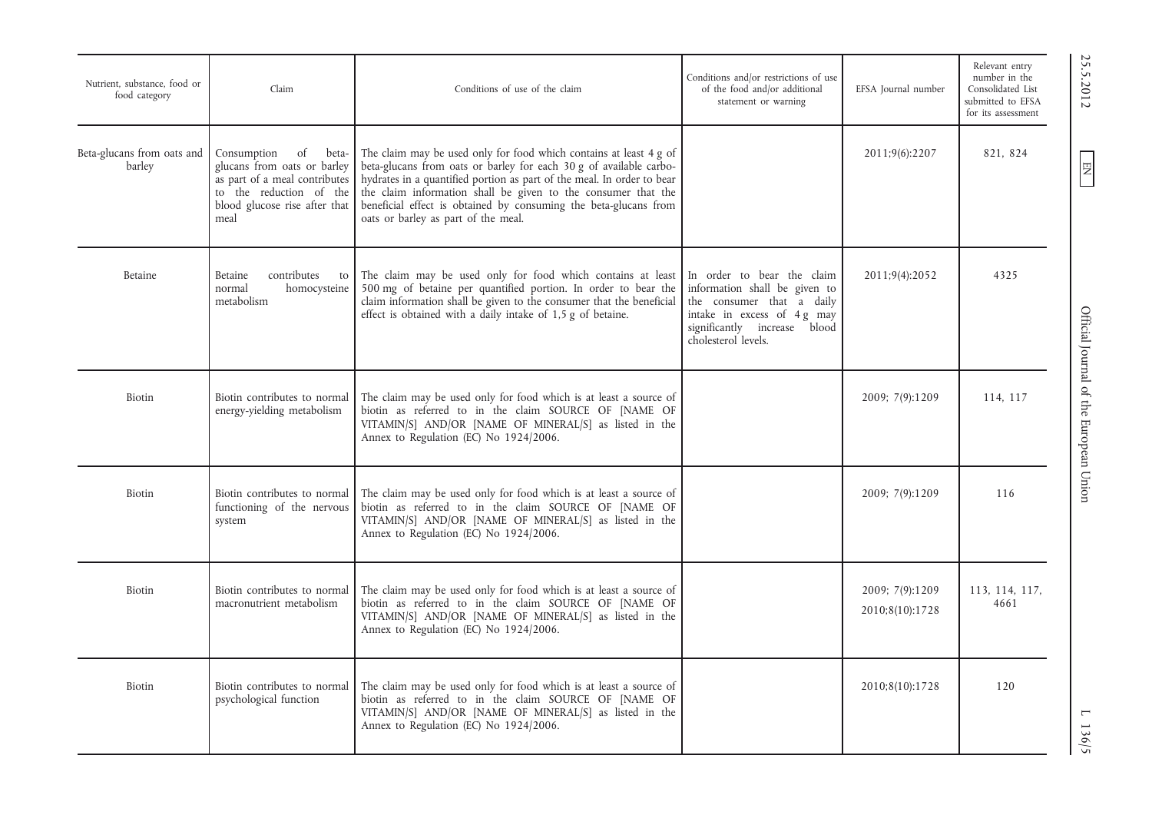| Nutrient, substance, food or<br>food category | Claim                                                                                                                                                          | Conditions of use of the claim                                                                                                                                                                                                                                                                                                                                                                 | Conditions and/or restrictions of use<br>of the food and/or additional<br>statement or warning                                                                                 | EFSA Journal number                | Relevant entry<br>number in the<br>Consolidated List<br>submitted to EFSA<br>for its assessment |
|-----------------------------------------------|----------------------------------------------------------------------------------------------------------------------------------------------------------------|------------------------------------------------------------------------------------------------------------------------------------------------------------------------------------------------------------------------------------------------------------------------------------------------------------------------------------------------------------------------------------------------|--------------------------------------------------------------------------------------------------------------------------------------------------------------------------------|------------------------------------|-------------------------------------------------------------------------------------------------|
| Beta-glucans from oats and<br>barley          | Consumption<br>of<br>beta-<br>glucans from oats or barley<br>as part of a meal contributes<br>to the reduction of the<br>blood glucose rise after that<br>meal | The claim may be used only for food which contains at least 4 g of<br>beta-glucans from oats or barley for each 30 g of available carbo-<br>hydrates in a quantified portion as part of the meal. In order to bear<br>the claim information shall be given to the consumer that the<br>beneficial effect is obtained by consuming the beta-glucans from<br>oats or barley as part of the meal. |                                                                                                                                                                                | 2011;9(6):2207                     | 821, 824                                                                                        |
| Betaine                                       | Betaine<br>contributes<br>to<br>homocysteine<br>normal<br>metabolism                                                                                           | The claim may be used only for food which contains at least<br>500 mg of betaine per quantified portion. In order to bear the<br>claim information shall be given to the consumer that the beneficial<br>effect is obtained with a daily intake of 1,5 g of betaine.                                                                                                                           | In order to bear the claim<br>information shall be given to<br>the consumer that a daily<br>intake in excess of 4 g may<br>significantly increase blood<br>cholesterol levels. | 2011;9(4):2052                     | 4325                                                                                            |
| Biotin                                        | Biotin contributes to normal<br>energy-yielding metabolism                                                                                                     | The claim may be used only for food which is at least a source of<br>biotin as referred to in the claim SOURCE OF [NAME OF<br>VITAMIN/S] AND/OR [NAME OF MINERAL/S] as listed in the<br>Annex to Regulation (EC) No 1924/2006.                                                                                                                                                                 |                                                                                                                                                                                | 2009; 7(9):1209                    | 114, 117                                                                                        |
| Biotin                                        | Biotin contributes to normal<br>functioning of the nervous<br>system                                                                                           | The claim may be used only for food which is at least a source of<br>biotin as referred to in the claim SOURCE OF [NAME OF<br>VITAMIN/S] AND/OR [NAME OF MINERAL/S] as listed in the<br>Annex to Regulation (EC) No 1924/2006.                                                                                                                                                                 |                                                                                                                                                                                | 2009; 7(9):1209                    | 116                                                                                             |
| Biotin                                        | Biotin contributes to normal<br>macronutrient metabolism                                                                                                       | The claim may be used only for food which is at least a source of<br>biotin as referred to in the claim SOURCE OF [NAME OF<br>VITAMIN/S] AND/OR [NAME OF MINERAL/S] as listed in the<br>Annex to Regulation (EC) No 1924/2006.                                                                                                                                                                 |                                                                                                                                                                                | 2009; 7(9):1209<br>2010;8(10):1728 | 113, 114, 117,<br>4661                                                                          |
| Biotin                                        | Biotin contributes to normal<br>psychological function                                                                                                         | The claim may be used only for food which is at least a source of<br>biotin as referred to in the claim SOURCE OF [NAME OF<br>VITAMIN/S] AND/OR [NAME OF MINERAL/S] as listed in the<br>Annex to Regulation (EC) No 1924/2006.                                                                                                                                                                 |                                                                                                                                                                                | 2010;8(10):1728                    | 120                                                                                             |

25.5.2012

 $EN$ 

 $\text{C}$  25.5.2012  $\text{C}$   $\text{E}$   $\text{E}$   $\text{E}$   $\text{E}$   $\text{E}$   $\text{E}$   $\text{E}$   $\text{E}$   $\text{E}$   $\text{E}$   $\text{E}$   $\text{E}$   $\text{E}$   $\text{E}$   $\text{E}$   $\text{E}$   $\text{E}$   $\text{E}$   $\text{E}$   $\text{E}$   $\text{E}$   $\text{E}$   $\text{E}$   $\text{E}$   $\text$ Official Journal of the European Union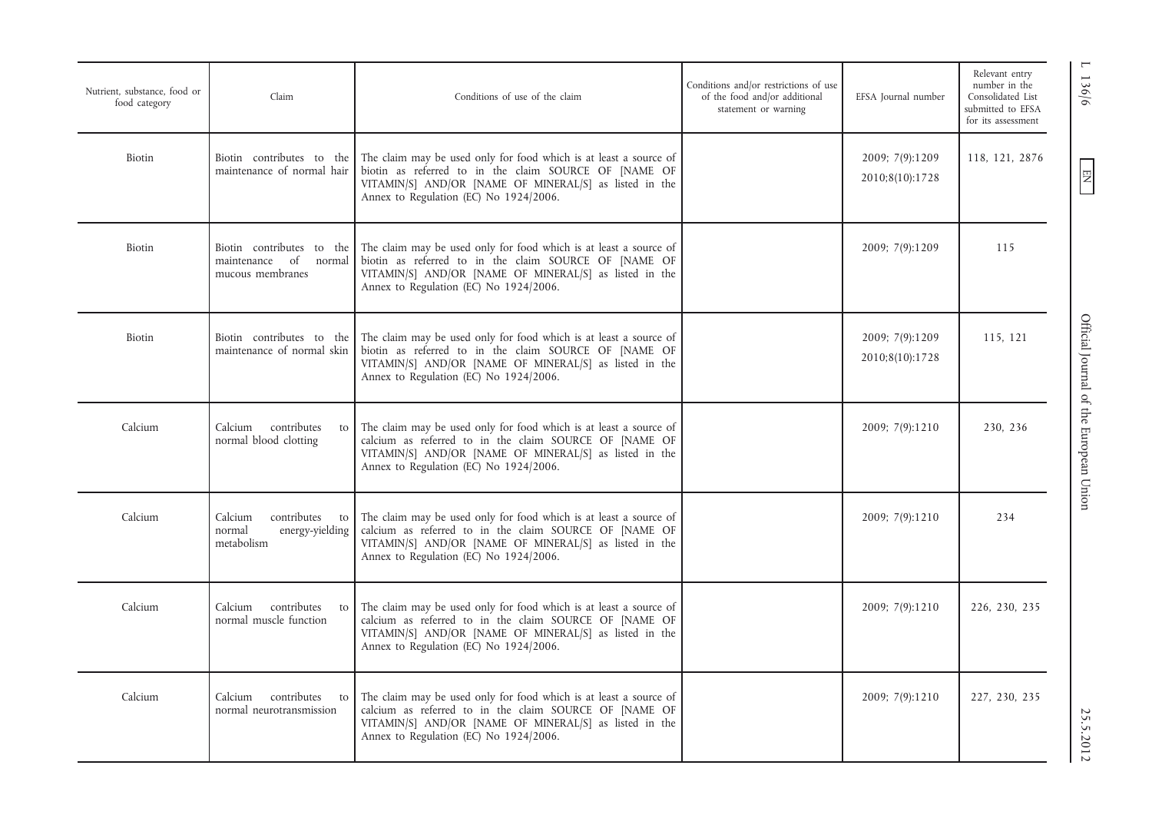| Nutrient, substance, food or<br>food category | Claim                                                                | Conditions of use of the claim                                                                                                                                                                                                                           | Conditions and/or restrictions of use<br>of the food and/or additional<br>statement or warning | EFSA Journal number                | Relevant entry<br>number in the<br>Consolidated List<br>submitted to EFSA<br>for its assessment |
|-----------------------------------------------|----------------------------------------------------------------------|----------------------------------------------------------------------------------------------------------------------------------------------------------------------------------------------------------------------------------------------------------|------------------------------------------------------------------------------------------------|------------------------------------|-------------------------------------------------------------------------------------------------|
| Biotin                                        | Biotin contributes to the<br>maintenance of normal hair              | The claim may be used only for food which is at least a source of<br>biotin as referred to in the claim SOURCE OF [NAME OF<br>VITAMIN/S] AND/OR [NAME OF MINERAL/S] as listed in the<br>Annex to Regulation (EC) No 1924/2006.                           |                                                                                                | 2009; 7(9):1209<br>2010;8(10):1728 | 118, 121, 2876                                                                                  |
| Biotin                                        | of normal<br>maintenance<br>mucous membranes                         | Biotin contributes to the The claim may be used only for food which is at least a source of<br>biotin as referred to in the claim SOURCE OF [NAME OF<br>VITAMIN/S] AND/OR [NAME OF MINERAL/S] as listed in the<br>Annex to Regulation (EC) No 1924/2006. |                                                                                                | 2009; 7(9):1209                    | 115                                                                                             |
| Biotin                                        | Biotin contributes to the<br>maintenance of normal skin              | The claim may be used only for food which is at least a source of<br>biotin as referred to in the claim SOURCE OF [NAME OF<br>VITAMIN/S] AND/OR [NAME OF MINERAL/S] as listed in the<br>Annex to Regulation (EC) No 1924/2006.                           |                                                                                                | 2009; 7(9):1209<br>2010;8(10):1728 | 115, 121                                                                                        |
| Calcium                                       | Calcium contributes<br>to<br>normal blood clotting                   | The claim may be used only for food which is at least a source of<br>calcium as referred to in the claim SOURCE OF [NAME OF<br>VITAMIN/S] AND/OR [NAME OF MINERAL/S] as listed in the<br>Annex to Regulation (EC) No 1924/2006.                          |                                                                                                | 2009; 7(9):1210                    | 230, 236                                                                                        |
| Calcium                                       | Calcium<br>contributes to<br>normal<br>energy-yielding<br>metabolism | The claim may be used only for food which is at least a source of<br>calcium as referred to in the claim SOURCE OF [NAME OF<br>VITAMIN/S] AND/OR [NAME OF MINERAL/S] as listed in the<br>Annex to Regulation (EC) No 1924/2006.                          |                                                                                                | 2009; 7(9):1210                    | 234                                                                                             |
| Calcium                                       | contributes<br>Calcium<br>to<br>normal muscle function               | The claim may be used only for food which is at least a source of<br>calcium as referred to in the claim SOURCE OF [NAME OF<br>VITAMIN/S] AND/OR [NAME OF MINERAL/S] as listed in the<br>Annex to Regulation (EC) No 1924/2006.                          |                                                                                                | 2009; 7(9):1210                    | 226, 230, 235                                                                                   |
| Calcium                                       | contributes to<br>Calcium<br>normal neurotransmission                | The claim may be used only for food which is at least a source of<br>calcium as referred to in the claim SOURCE OF [NAME OF<br>VITAMIN/S] AND/OR [NAME OF MINERAL/S] as listed in the<br>Annex to Regulation (EC) No 1924/2006.                          |                                                                                                | 2009; 7(9):1210                    | 227, 230, 235                                                                                   |

L 136/6  $\left[\frac{136}{6}\right]$  DHC and DHC of the European Union 25.00 25.0012 Official Journal of the European Union

1 136/6

 $\boxed{\phantom{\text{N}}}{\mathbf{N}}$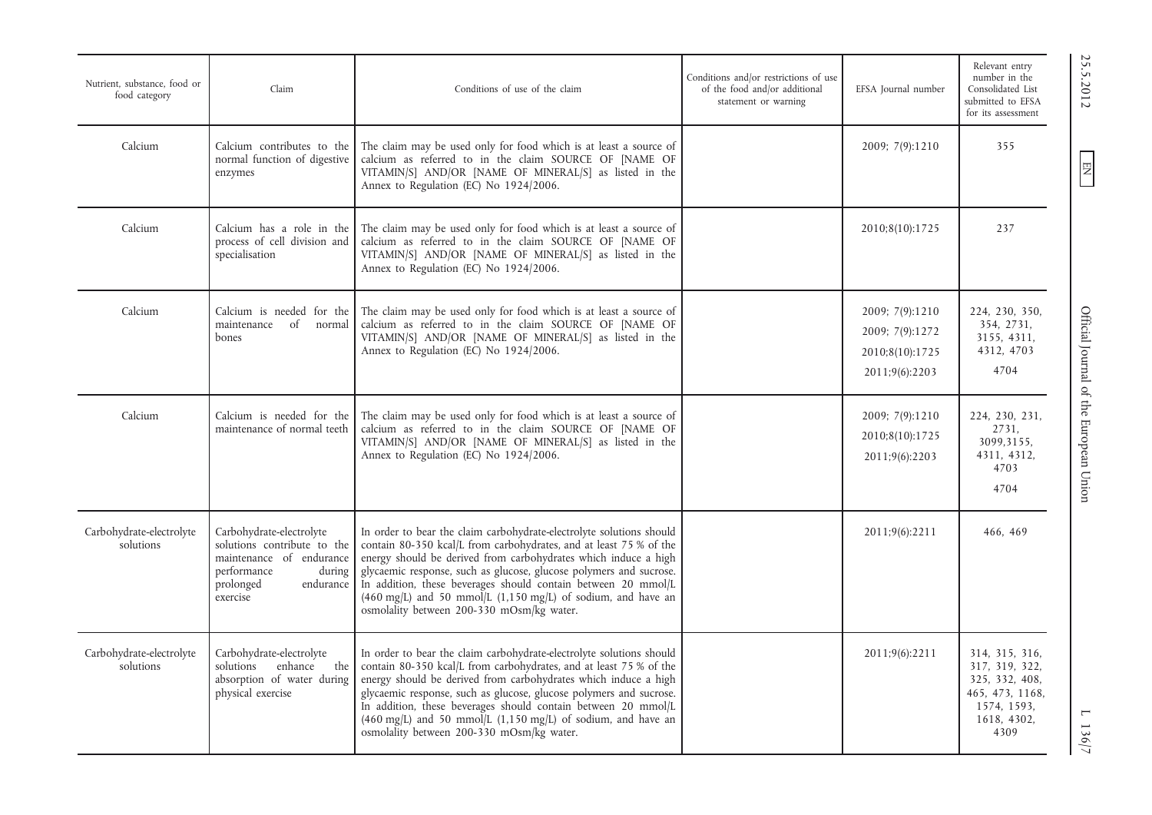| Nutrient, substance, food or<br>food category | Claim                                                                                                                                              | Conditions of use of the claim                                                                                                                                                                                                                                                                                                                                                                                                                                                        | Conditions and/or restrictions of use<br>of the food and/or additional<br>statement or warning | EFSA Journal number                                                     | Relevant entry<br>number in the<br>Consolidated List<br>submitted to EFSA<br>for its assessment             |
|-----------------------------------------------|----------------------------------------------------------------------------------------------------------------------------------------------------|---------------------------------------------------------------------------------------------------------------------------------------------------------------------------------------------------------------------------------------------------------------------------------------------------------------------------------------------------------------------------------------------------------------------------------------------------------------------------------------|------------------------------------------------------------------------------------------------|-------------------------------------------------------------------------|-------------------------------------------------------------------------------------------------------------|
| Calcium                                       | Calcium contributes to the<br>normal function of digestive<br>enzymes                                                                              | The claim may be used only for food which is at least a source of<br>calcium as referred to in the claim SOURCE OF [NAME OF<br>VITAMIN/S] AND/OR [NAME OF MINERAL/S] as listed in the<br>Annex to Regulation (EC) No 1924/2006.                                                                                                                                                                                                                                                       |                                                                                                | 2009; 7(9):1210                                                         | 355                                                                                                         |
| Calcium                                       | Calcium has a role in the<br>process of cell division and<br>specialisation                                                                        | The claim may be used only for food which is at least a source of<br>calcium as referred to in the claim SOURCE OF [NAME OF<br>VITAMIN/S] AND/OR [NAME OF MINERAL/S] as listed in the<br>Annex to Regulation (EC) No 1924/2006.                                                                                                                                                                                                                                                       |                                                                                                | 2010;8(10):1725                                                         | 237                                                                                                         |
| Calcium                                       | Calcium is needed for the<br>maintenance of normal<br>bones                                                                                        | The claim may be used only for food which is at least a source of<br>calcium as referred to in the claim SOURCE OF [NAME OF<br>VITAMIN/S] AND/OR [NAME OF MINERAL/S] as listed in the<br>Annex to Regulation (EC) No 1924/2006.                                                                                                                                                                                                                                                       |                                                                                                | 2009; 7(9):1210<br>2009; 7(9):1272<br>2010;8(10):1725<br>2011;9(6):2203 | 224, 230, 350,<br>354, 2731,<br>3155, 4311,<br>4312, 4703<br>4704                                           |
| Calcium                                       | Calcium is needed for the<br>maintenance of normal teeth                                                                                           | The claim may be used only for food which is at least a source of<br>calcium as referred to in the claim SOURCE OF [NAME OF<br>VITAMIN/S] AND/OR [NAME OF MINERAL/S] as listed in the<br>Annex to Regulation (EC) No 1924/2006.                                                                                                                                                                                                                                                       |                                                                                                | 2009; 7(9):1210<br>2010;8(10):1725<br>2011;9(6):2203                    | 224, 230, 231,<br>2731,<br>3099,3155,<br>4311, 4312,<br>4703<br>4704                                        |
| Carbohydrate-electrolyte<br>solutions         | Carbohydrate-electrolyte<br>solutions contribute to the<br>maintenance of endurance<br>performance<br>during<br>prolonged<br>endurance<br>exercise | In order to bear the claim carbohydrate-electrolyte solutions should<br>contain 80-350 kcal/L from carbohydrates, and at least 75 % of the<br>energy should be derived from carbohydrates which induce a high<br>glycaemic response, such as glucose, glucose polymers and sucrose.<br>In addition, these beverages should contain between 20 mmol/L<br>$(460 \text{ mg/L})$ and 50 mmol/L $(1,150 \text{ mg/L})$ of sodium, and have an<br>osmolality between 200-330 mOsm/kg water. |                                                                                                | 2011;9(6):2211                                                          | 466, 469                                                                                                    |
| Carbohydrate-electrolyte<br>solutions         | Carbohydrate-electrolyte<br>solutions enhance<br>the<br>absorption of water during<br>physical exercise                                            | In order to bear the claim carbohydrate-electrolyte solutions should<br>contain 80-350 kcal/L from carbohydrates, and at least 75 % of the<br>energy should be derived from carbohydrates which induce a high<br>glycaemic response, such as glucose, glucose polymers and sucrose.<br>In addition, these beverages should contain between 20 mmol/L<br>$(460 \text{ mg/L})$ and 50 mmol/L (1,150 mg/L) of sodium, and have an<br>osmolality between 200-330 mOsm/kg water.           |                                                                                                | 2011;9(6):2211                                                          | 314, 315, 316,<br>317, 319, 322,<br>325, 332, 408,<br>465, 473, 1168,<br>1574, 1593,<br>1618, 4302,<br>4309 |

 $\text{C.5.5.2012}$   $\text{C.5.6.21}$   $\text{C.5.6.21}$   $\text{O.6.6.21}$   $\text{O.6.6.21}$   $\text{O.6.6.21}$   $\text{O.6.6.21}$   $\text{C.6.6.21}$   $\text{C.6.6.21}$   $\text{C.6.6.21}$   $\text{C.6.6.21}$   $\text{C.6.6.21}$   $\text{C.6.6.21}$   $\text{C.6.6.21}$   $\text{C.6.6$ Official Journal of the European Union

25.5.2012

EN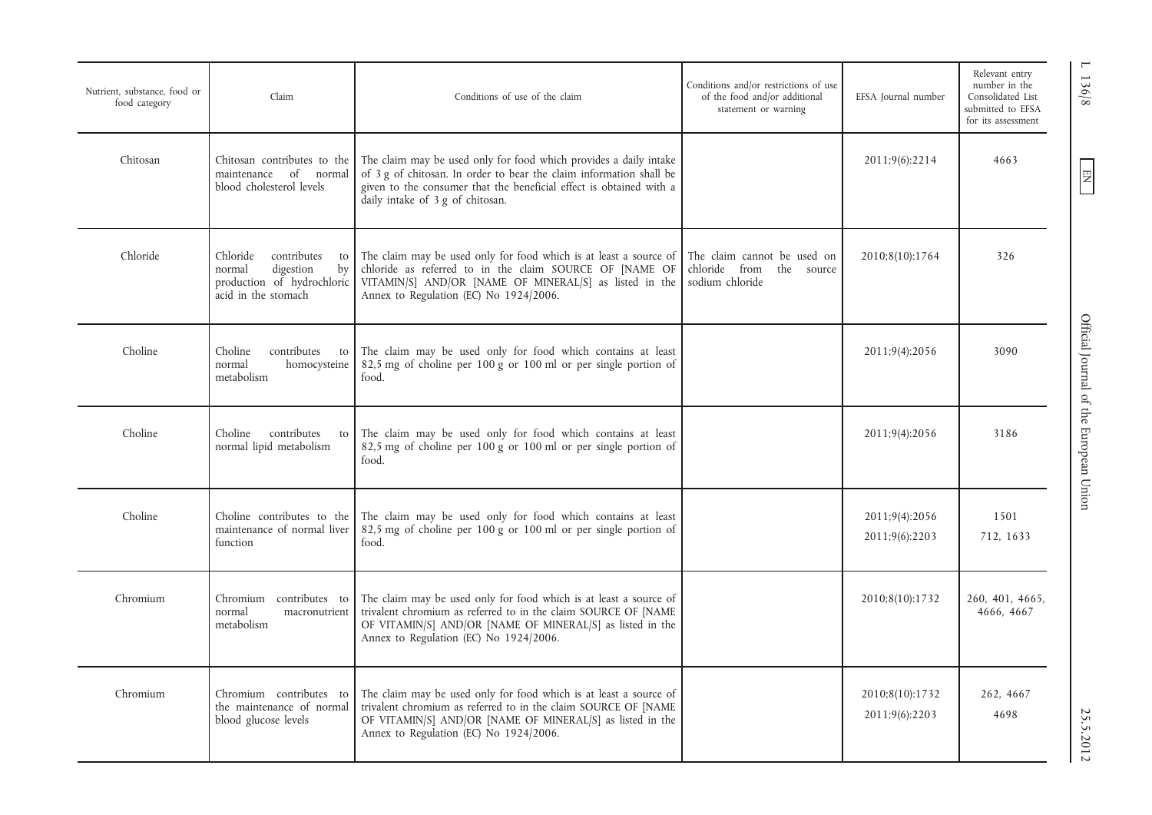| Nutrient, substance, food or<br>food category | Claim                                                                                                           | Conditions of use of the claim                                                                                                                                                                                                                      | Conditions and/or restrictions of use<br>of the food and/or additional<br>statement or warning | EFSA Journal number               | Relevant entry<br>number in the<br>Consolidated List<br>submitted to EFSA<br>for its assessment |
|-----------------------------------------------|-----------------------------------------------------------------------------------------------------------------|-----------------------------------------------------------------------------------------------------------------------------------------------------------------------------------------------------------------------------------------------------|------------------------------------------------------------------------------------------------|-----------------------------------|-------------------------------------------------------------------------------------------------|
| Chitosan                                      | Chitosan contributes to the<br>of normal<br>maintenance<br>blood cholesterol levels                             | The claim may be used only for food which provides a daily intake<br>of 3 g of chitosan. In order to bear the claim information shall be<br>given to the consumer that the beneficial effect is obtained with a<br>daily intake of 3 g of chitosan. |                                                                                                | 2011;9(6):2214                    | 4663                                                                                            |
| Chloride                                      | contributes<br>Chloride<br>to<br>normal<br>digestion<br>by<br>production of hydrochloric<br>acid in the stomach | The claim may be used only for food which is at least a source of<br>chloride as referred to in the claim SOURCE OF [NAME OF<br>VITAMIN/S] AND/OR [NAME OF MINERAL/S] as listed in the<br>Annex to Regulation (EC) No 1924/2006.                    | The claim cannot be used on<br>chloride from<br>the source<br>sodium chloride                  | 2010;8(10):1764                   | 326                                                                                             |
| Choline                                       | contributes<br>Choline<br>to<br>normal<br>homocysteine<br>metabolism                                            | The claim may be used only for food which contains at least<br>82,5 mg of choline per 100 g or 100 ml or per single portion of<br>food.                                                                                                             |                                                                                                | 2011;9(4):2056                    | 3090                                                                                            |
| Choline                                       | Choline<br>contributes<br>to<br>normal lipid metabolism                                                         | The claim may be used only for food which contains at least<br>82,5 mg of choline per 100 g or 100 ml or per single portion of<br>food.                                                                                                             |                                                                                                | 2011;9(4):2056                    | 3186                                                                                            |
| Choline                                       | Choline contributes to the<br>maintenance of normal liver<br>function                                           | The claim may be used only for food which contains at least<br>82,5 mg of choline per 100 g or 100 ml or per single portion of<br>food.                                                                                                             |                                                                                                | 2011;9(4):2056<br>2011;9(6):2203  | 1501<br>712, 1633                                                                               |
| Chromium                                      | Chromium contributes to<br>normal<br>macronutrient<br>metabolism                                                | The claim may be used only for food which is at least a source of<br>trivalent chromium as referred to in the claim SOURCE OF [NAME<br>OF VITAMIN/S] AND/OR [NAME OF MINERAL/S] as listed in the<br>Annex to Regulation (EC) No 1924/2006.          |                                                                                                | 2010;8(10):1732                   | 260, 401, 4665,<br>4666, 4667                                                                   |
| Chromium                                      | Chromium contributes to<br>the maintenance of normal<br>blood glucose levels                                    | The claim may be used only for food which is at least a source of<br>trivalent chromium as referred to in the claim SOURCE OF [NAME<br>OF VITAMIN/S] AND/OR [NAME OF MINERAL/S] as listed in the<br>Annex to Regulation (EC) No 1924/2006.          |                                                                                                | 2010;8(10):1732<br>2011;9(6):2203 | 262, 4667<br>4698                                                                               |

1 136/8

 $EN$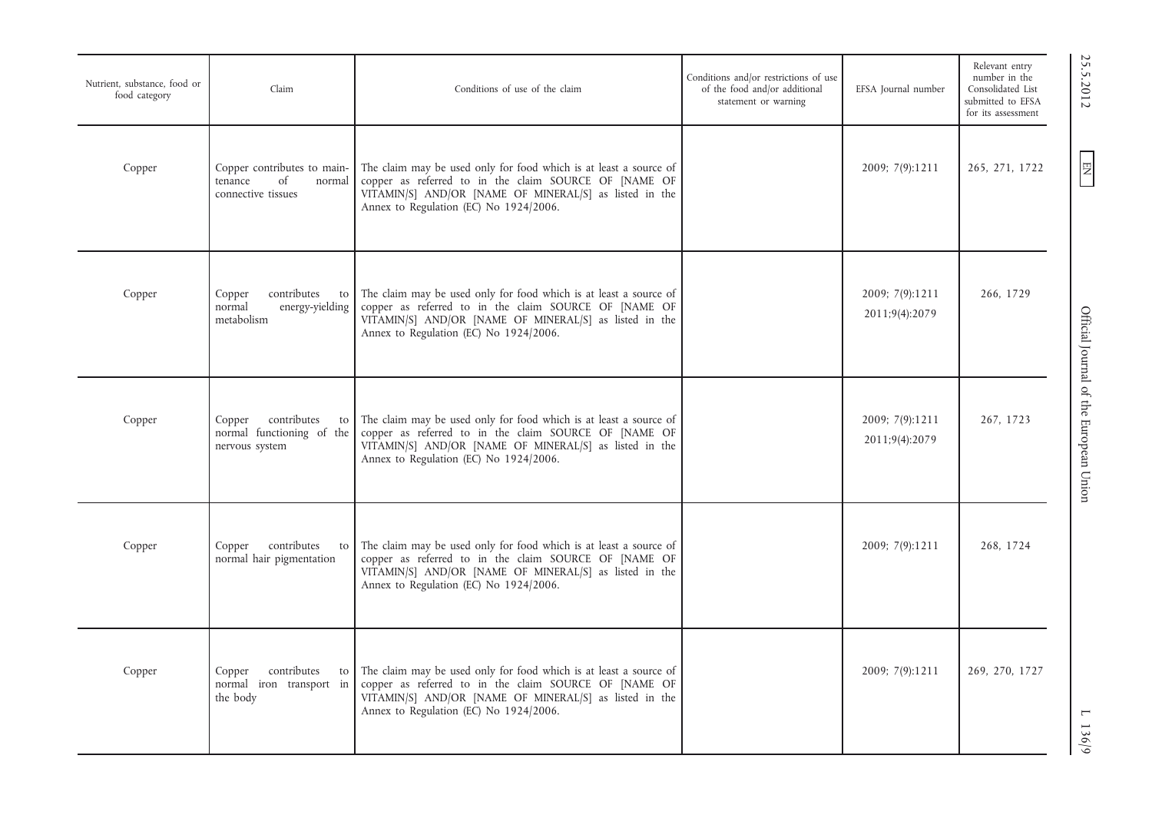| Nutrient, substance, food or<br>food category | Claim                                                                        | Conditions of use of the claim                                                                                                                                                                                                 | Conditions and/or restrictions of use<br>of the food and/or additional<br>statement or warning | EFSA Journal number               | Relevant entry<br>number in the<br>Consolidated List<br>submitted to EFSA<br>for its assessment |
|-----------------------------------------------|------------------------------------------------------------------------------|--------------------------------------------------------------------------------------------------------------------------------------------------------------------------------------------------------------------------------|------------------------------------------------------------------------------------------------|-----------------------------------|-------------------------------------------------------------------------------------------------|
| Copper                                        | Copper contributes to main-<br>tenance<br>of<br>normal<br>connective tissues | The claim may be used only for food which is at least a source of<br>copper as referred to in the claim SOURCE OF [NAME OF<br>VITAMIN/S] AND/OR [NAME OF MINERAL/S] as listed in the<br>Annex to Regulation (EC) No 1924/2006. |                                                                                                | 2009; 7(9):1211                   | 265, 271, 1722                                                                                  |
| Copper                                        | contributes<br>Copper<br>to<br>normal<br>energy-yielding<br>metabolism       | The claim may be used only for food which is at least a source of<br>copper as referred to in the claim SOURCE OF [NAME OF<br>VITAMIN/S] AND/OR [NAME OF MINERAL/S] as listed in the<br>Annex to Regulation (EC) No 1924/2006. |                                                                                                | 2009; 7(9):1211<br>2011;9(4):2079 | 266, 1729                                                                                       |
| Copper                                        | contributes<br>Copper<br>to<br>normal functioning of the<br>nervous system   | The claim may be used only for food which is at least a source of<br>copper as referred to in the claim SOURCE OF [NAME OF<br>VITAMIN/S] AND/OR [NAME OF MINERAL/S] as listed in the<br>Annex to Regulation (EC) No 1924/2006. |                                                                                                | 2009; 7(9):1211<br>2011;9(4):2079 | 267, 1723                                                                                       |
| Copper                                        | Copper contributes<br>to<br>normal hair pigmentation                         | The claim may be used only for food which is at least a source of<br>copper as referred to in the claim SOURCE OF [NAME OF<br>VITAMIN/S] AND/OR [NAME OF MINERAL/S] as listed in the<br>Annex to Regulation (EC) No 1924/2006. |                                                                                                | 2009; 7(9):1211                   | 268, 1724                                                                                       |
| Copper                                        | contributes<br>Copper<br>to<br>normal iron transport in<br>the body          | The claim may be used only for food which is at least a source of<br>copper as referred to in the claim SOURCE OF [NAME OF<br>VITAMIN/S] AND/OR [NAME OF MINERAL/S] as listed in the<br>Annex to Regulation (EC) No 1924/2006. |                                                                                                | 2009; 7(9):1211                   | 269, 270, 1727                                                                                  |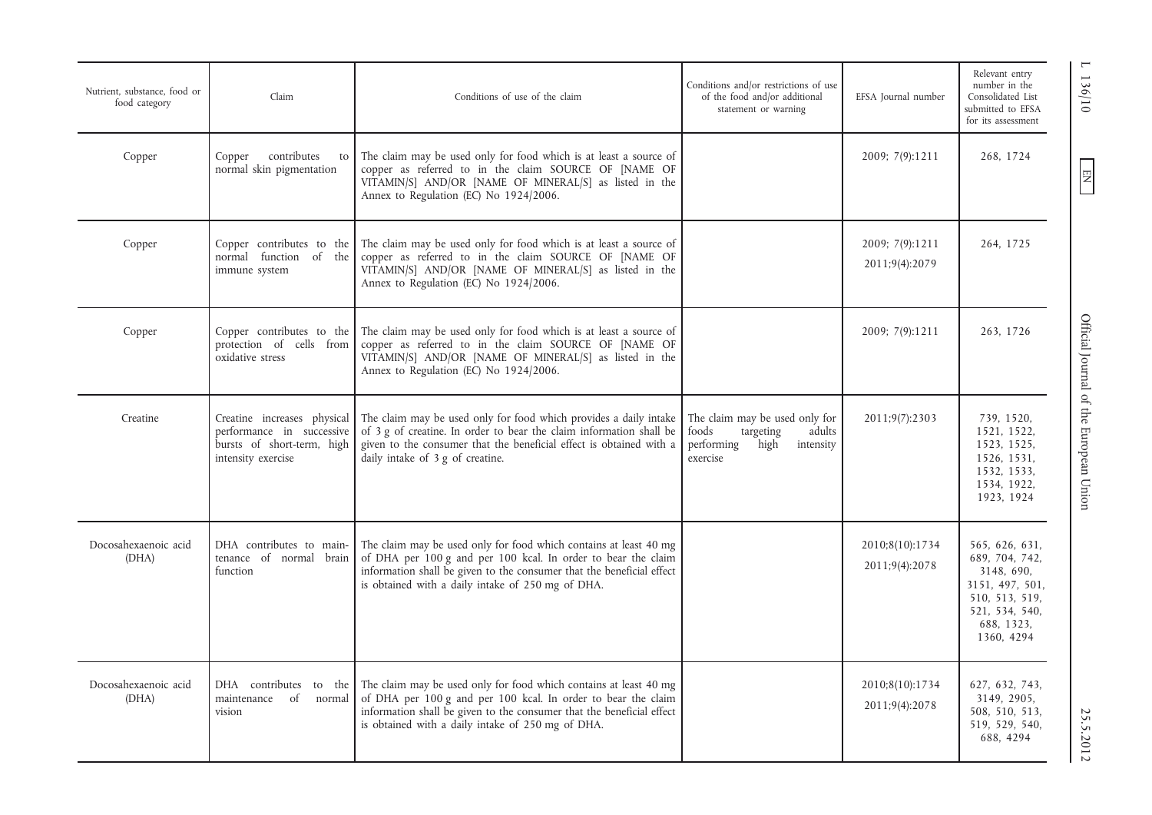| Nutrient, substance, food or<br>food category | Claim                                                                         | Conditions of use of the claim                                                                                                                                                                                                                                                  | Conditions and/or restrictions of use<br>of the food and/or additional<br>statement or warning                | EFSA Journal number               | Relevant entry<br>number in the<br>Consolidated List<br>submitted to EFSA<br>for its assessment                                   |
|-----------------------------------------------|-------------------------------------------------------------------------------|---------------------------------------------------------------------------------------------------------------------------------------------------------------------------------------------------------------------------------------------------------------------------------|---------------------------------------------------------------------------------------------------------------|-----------------------------------|-----------------------------------------------------------------------------------------------------------------------------------|
| Copper                                        | contributes<br>Copper<br>to<br>normal skin pigmentation                       | The claim may be used only for food which is at least a source of<br>copper as referred to in the claim SOURCE OF [NAME OF<br>VITAMIN/S] AND/OR [NAME OF MINERAL/S] as listed in the<br>Annex to Regulation (EC) No 1924/2006.                                                  |                                                                                                               | 2009; 7(9):1211                   | 268, 1724                                                                                                                         |
| Copper                                        | Copper contributes to the<br>normal function of the<br>immune system          | The claim may be used only for food which is at least a source of<br>copper as referred to in the claim SOURCE OF [NAME OF<br>VITAMIN/S] AND/OR [NAME OF MINERAL/S] as listed in the<br>Annex to Regulation (EC) No 1924/2006.                                                  |                                                                                                               | 2009; 7(9):1211<br>2011;9(4):2079 | 264, 1725                                                                                                                         |
| Copper                                        | Copper contributes to the<br>protection of cells from<br>oxidative stress     | The claim may be used only for food which is at least a source of<br>copper as referred to in the claim SOURCE OF [NAME OF<br>VITAMIN/S] AND/OR [NAME OF MINERAL/S] as listed in the<br>Annex to Regulation (EC) No 1924/2006.                                                  |                                                                                                               | 2009; 7(9):1211                   | 263, 1726                                                                                                                         |
| Creatine                                      | performance in successive<br>bursts of short-term, high<br>intensity exercise | Creatine increases physical The claim may be used only for food which provides a daily intake<br>of 3 g of creatine. In order to bear the claim information shall be<br>given to the consumer that the beneficial effect is obtained with a<br>daily intake of 3 g of creatine. | The claim may be used only for<br>foods<br>targeting<br>adults<br>performing<br>high<br>intensity<br>exercise | 2011;9(7):2303                    | 739, 1520,<br>1521, 1522,<br>1523, 1525,<br>1526, 1531,<br>1532, 1533,<br>1534, 1922,<br>1923, 1924                               |
| Docosahexaenoic acid<br>(DHA)                 | DHA contributes to main-<br>tenance of normal brain<br>function               | The claim may be used only for food which contains at least 40 mg<br>of DHA per 100 g and per 100 kcal. In order to bear the claim<br>information shall be given to the consumer that the beneficial effect<br>is obtained with a daily intake of 250 mg of DHA.                |                                                                                                               | 2010;8(10):1734<br>2011;9(4):2078 | 565, 626, 631,<br>689, 704, 742,<br>3148, 690,<br>3151, 497, 501,<br>510, 513, 519,<br>521, 534, 540,<br>688, 1323,<br>1360, 4294 |
| Docosahexaenoic acid<br>(DHA)                 | DHA contributes to the<br>of<br>maintenance<br>normal<br>vision               | The claim may be used only for food which contains at least 40 mg<br>of DHA per 100 g and per 100 kcal. In order to bear the claim<br>information shall be given to the consumer that the beneficial effect<br>is obtained with a daily intake of 250 mg of DHA.                |                                                                                                               | 2010;8(10):1734<br>2011;9(4):2078 | 627, 632, 743,<br>3149, 2905,<br>508, 510, 513,<br>519, 529, 540,<br>688, 4294                                                    |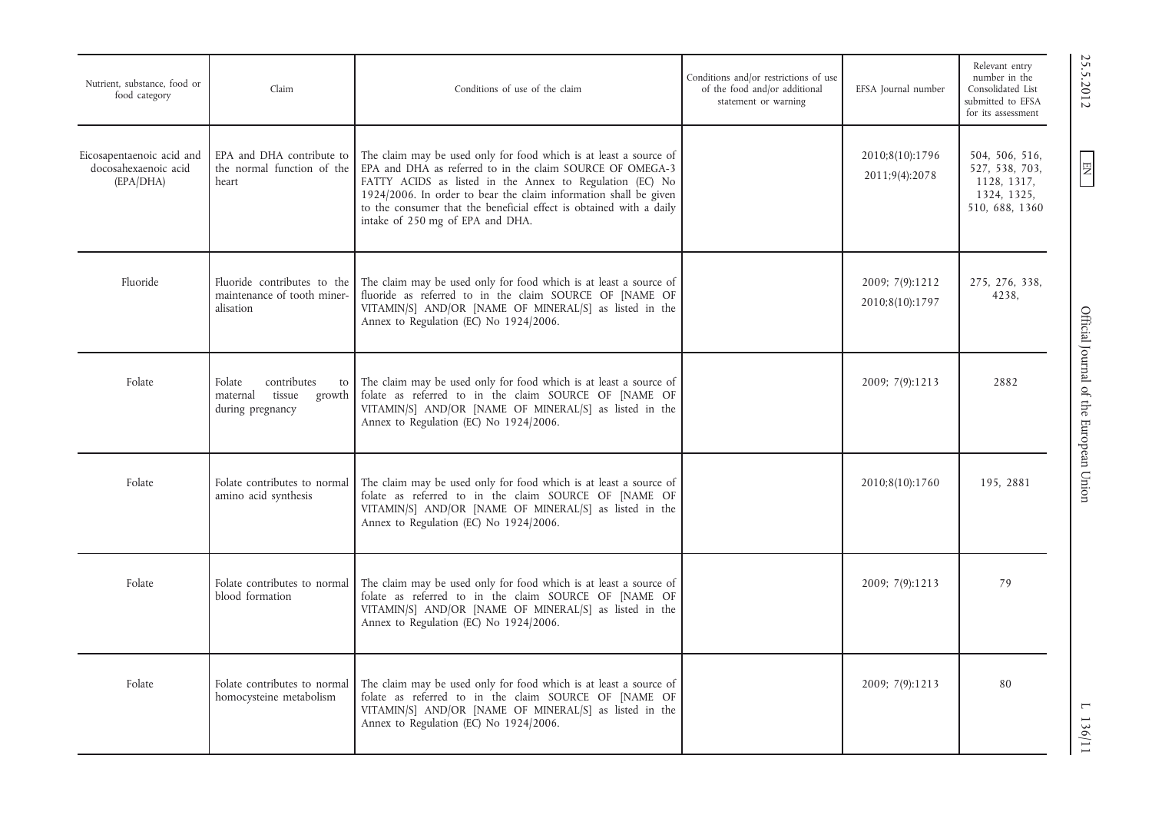| Nutrient, substance, food or<br>food category                  | Claim                                                                           | Conditions of use of the claim                                                                                                                                                                                                                                                                                                                                            | Conditions and/or restrictions of use<br>of the food and/or additional<br>statement or warning | EFSA Journal number                | Relevant entry<br>number in the<br>Consolidated List<br>submitted to EFSA<br>for its assessment |
|----------------------------------------------------------------|---------------------------------------------------------------------------------|---------------------------------------------------------------------------------------------------------------------------------------------------------------------------------------------------------------------------------------------------------------------------------------------------------------------------------------------------------------------------|------------------------------------------------------------------------------------------------|------------------------------------|-------------------------------------------------------------------------------------------------|
| Eicosapentaenoic acid and<br>docosahexaenoic acid<br>(EPA/DHA) | EPA and DHA contribute to<br>the normal function of the<br>heart                | The claim may be used only for food which is at least a source of<br>EPA and DHA as referred to in the claim SOURCE OF OMEGA-3<br>FATTY ACIDS as listed in the Annex to Regulation (EC) No<br>1924/2006. In order to bear the claim information shall be given<br>to the consumer that the beneficial effect is obtained with a daily<br>intake of 250 mg of EPA and DHA. |                                                                                                | 2010;8(10):1796<br>2011;9(4):2078  | 504, 506, 516,<br>527, 538, 703,<br>1128, 1317,<br>1324, 1325,<br>510, 688, 1360                |
| Fluoride                                                       | Fluoride contributes to the<br>maintenance of tooth miner-<br>alisation         | The claim may be used only for food which is at least a source of<br>fluoride as referred to in the claim SOURCE OF [NAME OF<br>VITAMIN/S] AND/OR [NAME OF MINERAL/S] as listed in the<br>Annex to Regulation (EC) No 1924/2006.                                                                                                                                          |                                                                                                | 2009; 7(9):1212<br>2010;8(10):1797 | 275, 276, 338,<br>4238,                                                                         |
| Folate                                                         | Folate<br>contributes<br>to<br>tissue<br>maternal<br>growth<br>during pregnancy | The claim may be used only for food which is at least a source of<br>folate as referred to in the claim SOURCE OF [NAME OF<br>VITAMIN/S] AND/OR [NAME OF MINERAL/S] as listed in the<br>Annex to Regulation (EC) No 1924/2006.                                                                                                                                            |                                                                                                | 2009; 7(9):1213                    | 2882                                                                                            |
| Folate                                                         | Folate contributes to normal<br>amino acid synthesis                            | The claim may be used only for food which is at least a source of<br>folate as referred to in the claim SOURCE OF [NAME OF<br>VITAMIN/S] AND/OR [NAME OF MINERAL/S] as listed in the<br>Annex to Regulation (EC) No 1924/2006.                                                                                                                                            |                                                                                                | 2010;8(10):1760                    | 195, 2881                                                                                       |
| Folate                                                         | Folate contributes to normal<br>blood formation                                 | The claim may be used only for food which is at least a source of<br>folate as referred to in the claim SOURCE OF [NAME OF<br>VITAMIN/S] AND/OR [NAME OF MINERAL/S] as listed in the<br>Annex to Regulation (EC) No 1924/2006.                                                                                                                                            |                                                                                                | 2009; 7(9):1213                    | 79                                                                                              |
| Folate                                                         | Folate contributes to normal<br>homocysteine metabolism                         | The claim may be used only for food which is at least a source of<br>folate as referred to in the claim SOURCE OF [NAME OF<br>VITAMIN/S] AND/OR [NAME OF MINERAL/S] as listed in the<br>Annex to Regulation (EC) No 1924/2006.                                                                                                                                            |                                                                                                | 2009; 7(9):1213                    | 80                                                                                              |

25.5.2012

EN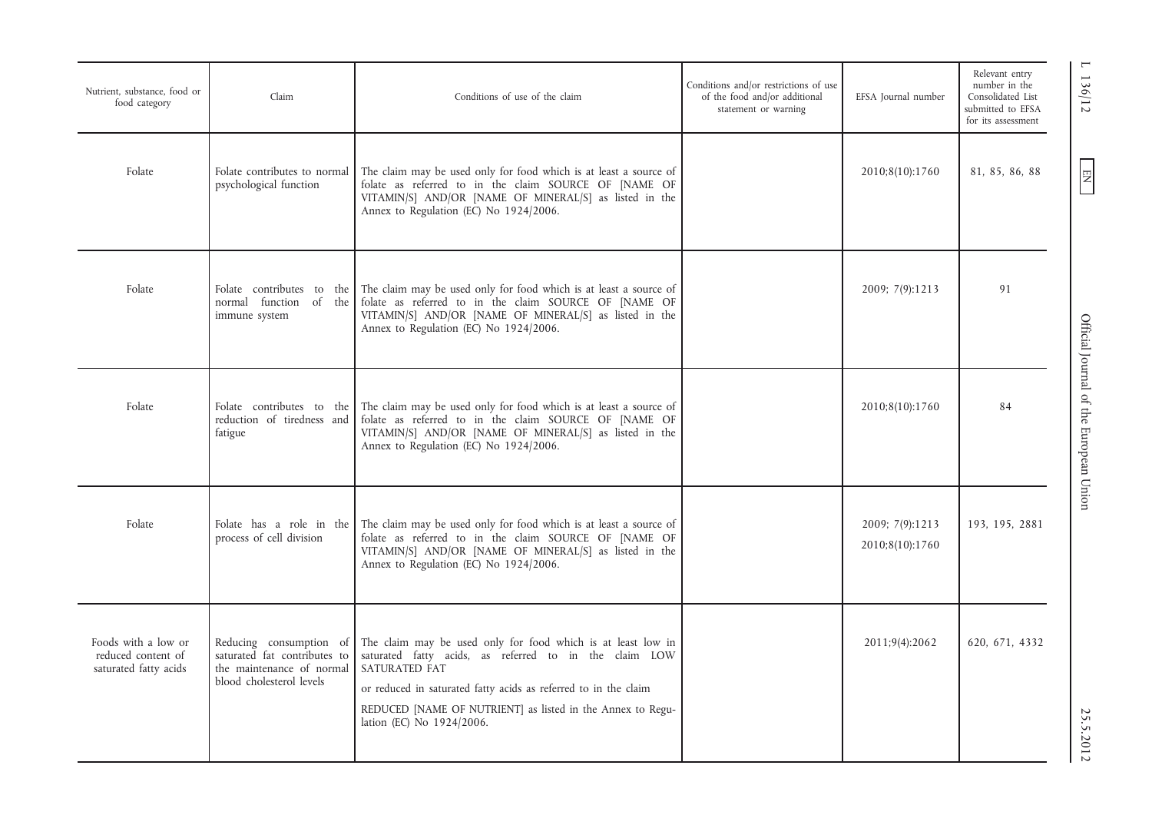| Nutrient, substance, food or<br>food category                      | Claim                                                                                                            | Conditions of use of the claim                                                                                                                                                                                                                                                                        | Conditions and/or restrictions of use<br>of the food and/or additional<br>statement or warning | EFSA Journal number                | Relevant entry<br>number in the<br>Consolidated List<br>submitted to EFSA<br>for its assessment |
|--------------------------------------------------------------------|------------------------------------------------------------------------------------------------------------------|-------------------------------------------------------------------------------------------------------------------------------------------------------------------------------------------------------------------------------------------------------------------------------------------------------|------------------------------------------------------------------------------------------------|------------------------------------|-------------------------------------------------------------------------------------------------|
| Folate                                                             | Folate contributes to normal<br>psychological function                                                           | The claim may be used only for food which is at least a source of<br>folate as referred to in the claim SOURCE OF [NAME OF<br>VITAMIN/S] AND/OR [NAME OF MINERAL/S] as listed in the<br>Annex to Regulation (EC) No 1924/2006.                                                                        |                                                                                                | 2010;8(10):1760                    | 81, 85, 86, 88                                                                                  |
| Folate                                                             | normal function of the<br>immune system                                                                          | Folate contributes to the The claim may be used only for food which is at least a source of<br>folate as referred to in the claim SOURCE OF [NAME OF<br>VITAMIN/S] AND/OR [NAME OF MINERAL/S] as listed in the<br>Annex to Regulation (EC) No 1924/2006.                                              |                                                                                                | 2009; 7(9):1213                    | 91                                                                                              |
| Folate                                                             | Folate contributes to the<br>reduction of tiredness and<br>fatigue                                               | The claim may be used only for food which is at least a source of<br>folate as referred to in the claim SOURCE OF [NAME OF<br>VITAMIN/S] AND/OR [NAME OF MINERAL/S] as listed in the<br>Annex to Regulation (EC) No 1924/2006.                                                                        |                                                                                                | 2010;8(10):1760                    | 84                                                                                              |
| Folate                                                             | Folate has a role in the<br>process of cell division                                                             | The claim may be used only for food which is at least a source of<br>folate as referred to in the claim SOURCE OF [NAME OF<br>VITAMIN/S] AND/OR [NAME OF MINERAL/S] as listed in the<br>Annex to Regulation (EC) No 1924/2006.                                                                        |                                                                                                | 2009; 7(9):1213<br>2010;8(10):1760 | 193, 195, 2881                                                                                  |
| Foods with a low or<br>reduced content of<br>saturated fatty acids | Reducing consumption of<br>saturated fat contributes to<br>the maintenance of normal<br>blood cholesterol levels | The claim may be used only for food which is at least low in<br>saturated fatty acids, as referred to in the claim LOW<br>SATURATED FAT<br>or reduced in saturated fatty acids as referred to in the claim<br>REDUCED [NAME OF NUTRIENT] as listed in the Annex to Regu-<br>lation (EC) No 1924/2006. |                                                                                                | 2011;9(4):2062                     | 620, 671, 4332                                                                                  |

 $1 \frac{136}{12}$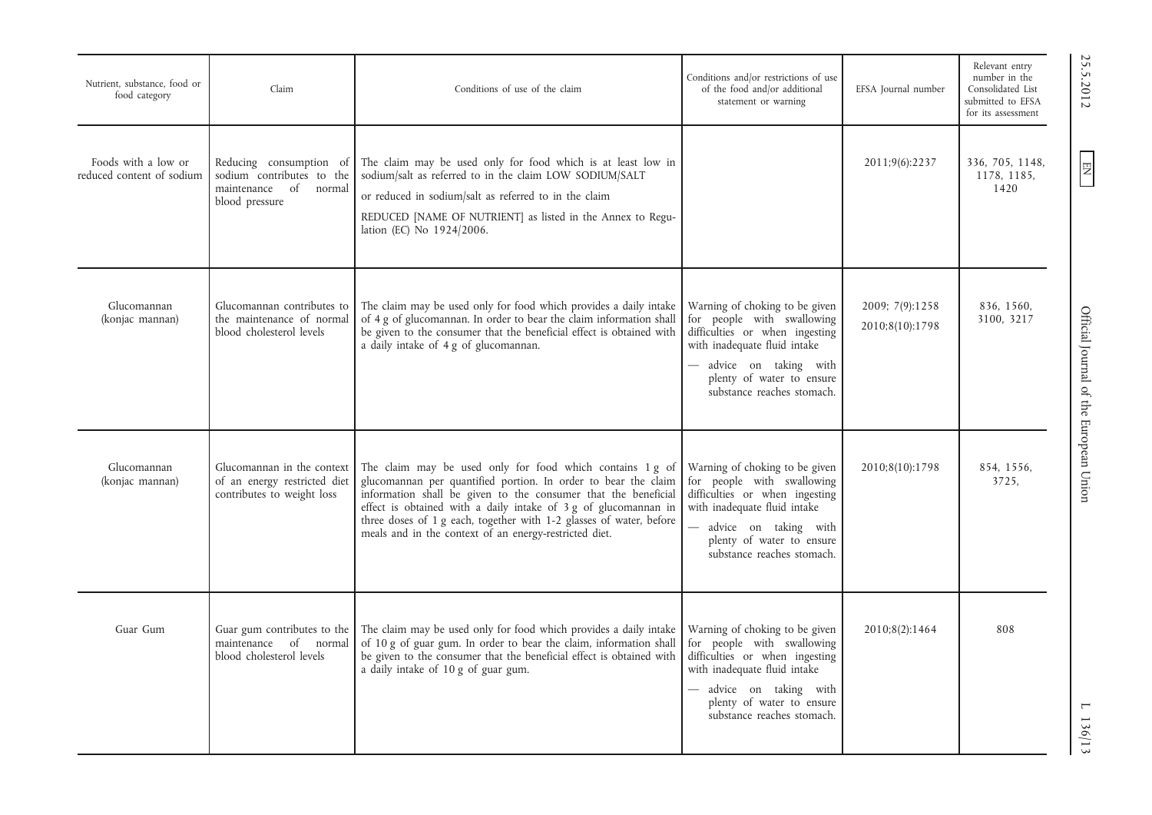| Nutrient, substance, food or<br>food category    | Claim                                                                                              | Conditions of use of the claim                                                                                                                                                                                                                                                                                                                                                                    | Conditions and/or restrictions of use<br>of the food and/or additional<br>statement or warning                                                                                                                     | EFSA Journal number                | Relevant entry<br>number in the<br>Consolidated List<br>submitted to EFSA<br>for its assessment |
|--------------------------------------------------|----------------------------------------------------------------------------------------------------|---------------------------------------------------------------------------------------------------------------------------------------------------------------------------------------------------------------------------------------------------------------------------------------------------------------------------------------------------------------------------------------------------|--------------------------------------------------------------------------------------------------------------------------------------------------------------------------------------------------------------------|------------------------------------|-------------------------------------------------------------------------------------------------|
| Foods with a low or<br>reduced content of sodium | Reducing consumption of<br>sodium contributes to the<br>maintenance of<br>normal<br>blood pressure | The claim may be used only for food which is at least low in<br>sodium/salt as referred to in the claim LOW SODIUM/SALT<br>or reduced in sodium/salt as referred to in the claim<br>REDUCED [NAME OF NUTRIENT] as listed in the Annex to Regu-<br>lation (EC) No 1924/2006.                                                                                                                       |                                                                                                                                                                                                                    | 2011;9(6):2237                     | 336, 705, 1148,<br>1178, 1185,<br>1420                                                          |
| Glucomannan<br>(konjac mannan)                   | Glucomannan contributes to<br>the maintenance of normal<br>blood cholesterol levels                | The claim may be used only for food which provides a daily intake<br>of 4 g of glucomannan. In order to bear the claim information shall<br>be given to the consumer that the beneficial effect is obtained with<br>a daily intake of 4 g of glucomannan.                                                                                                                                         | Warning of choking to be given<br>for people with swallowing<br>difficulties or when ingesting<br>with inadequate fluid intake<br>advice on taking with<br>plenty of water to ensure<br>substance reaches stomach. | 2009; 7(9):1258<br>2010;8(10):1798 | 836, 1560,<br>3100, 3217                                                                        |
| Glucomannan<br>(konjac mannan)                   | Glucomannan in the context<br>of an energy restricted diet<br>contributes to weight loss           | The claim may be used only for food which contains 1 g of<br>glucomannan per quantified portion. In order to bear the claim<br>information shall be given to the consumer that the beneficial<br>effect is obtained with a daily intake of 3 g of glucomannan in<br>three doses of 1 g each, together with 1-2 glasses of water, before<br>meals and in the context of an energy-restricted diet. | Warning of choking to be given<br>for people with swallowing<br>difficulties or when ingesting<br>with inadequate fluid intake<br>advice on taking with<br>plenty of water to ensure<br>substance reaches stomach. | 2010;8(10):1798                    | 854, 1556,<br>3725,                                                                             |
| Guar Gum                                         | Guar gum contributes to the<br>maintenance of normal<br>blood cholesterol levels                   | The claim may be used only for food which provides a daily intake<br>of 10 g of guar gum. In order to bear the claim, information shall<br>be given to the consumer that the beneficial effect is obtained with<br>a daily intake of 10 g of guar gum.                                                                                                                                            | Warning of choking to be given<br>for people with swallowing<br>difficulties or when ingesting<br>with inadequate fluid intake<br>advice on taking with<br>plenty of water to ensure<br>substance reaches stomach. | 2010;8(2):1464                     | 808                                                                                             |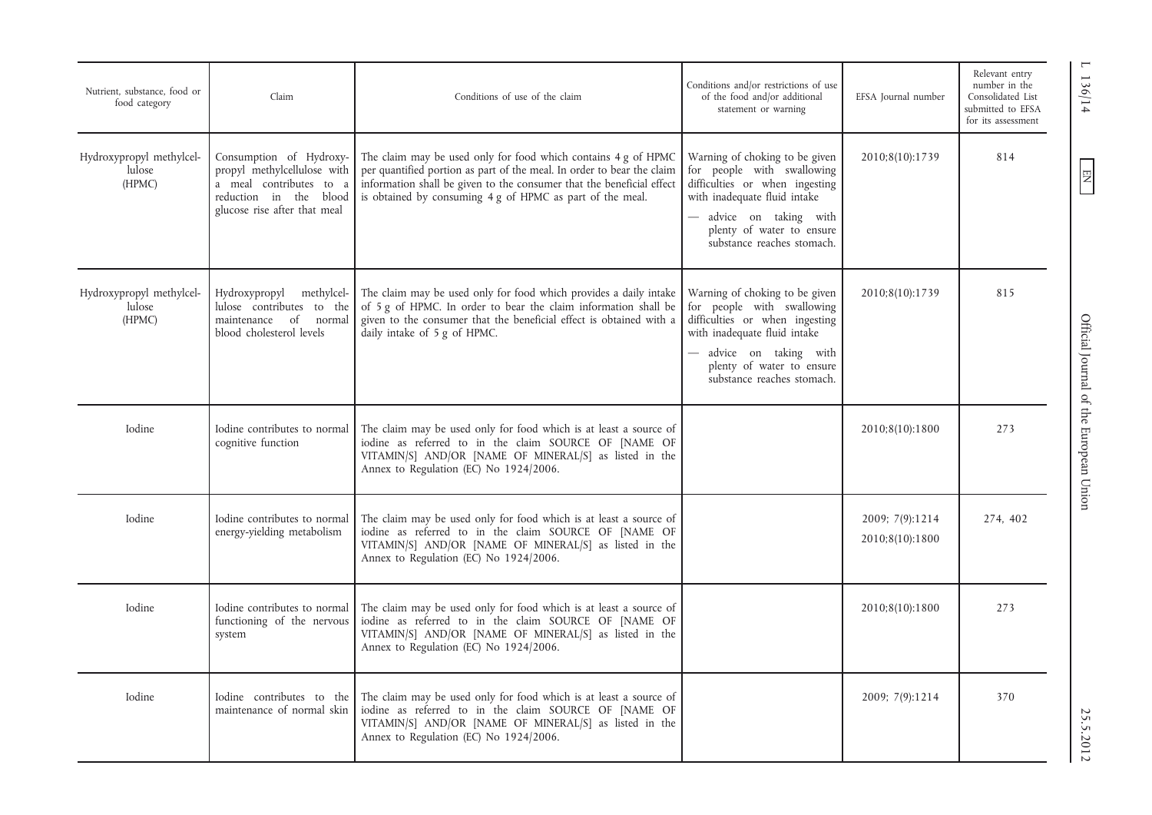| Nutrient, substance, food or<br>food category | Claim                                                                                                                                       | Conditions of use of the claim                                                                                                                                                                                                                                                 | Conditions and/or restrictions of use<br>of the food and/or additional<br>statement or warning                                                                                                                     | EFSA Journal number                | Relevant entry<br>number in the<br>Consolidated List<br>submitted to EFSA<br>for its assessment |
|-----------------------------------------------|---------------------------------------------------------------------------------------------------------------------------------------------|--------------------------------------------------------------------------------------------------------------------------------------------------------------------------------------------------------------------------------------------------------------------------------|--------------------------------------------------------------------------------------------------------------------------------------------------------------------------------------------------------------------|------------------------------------|-------------------------------------------------------------------------------------------------|
| Hydroxypropyl methylcel-<br>lulose<br>(HPMC)  | Consumption of Hydroxy-<br>propyl methylcellulose with<br>a meal contributes to a<br>reduction in the blood<br>glucose rise after that meal | The claim may be used only for food which contains 4 g of HPMC<br>per quantified portion as part of the meal. In order to bear the claim<br>information shall be given to the consumer that the beneficial effect<br>is obtained by consuming 4 g of HPMC as part of the meal. | Warning of choking to be given<br>for people with swallowing<br>difficulties or when ingesting<br>with inadequate fluid intake<br>advice on taking with<br>plenty of water to ensure<br>substance reaches stomach. | 2010;8(10):1739                    | 814                                                                                             |
| Hydroxypropyl methylcel-<br>lulose<br>(HPMC)  | Hydroxypropyl methylcel-<br>lulose contributes to the<br>maintenance of normal<br>blood cholesterol levels                                  | The claim may be used only for food which provides a daily intake<br>of 5 g of HPMC. In order to bear the claim information shall be<br>given to the consumer that the beneficial effect is obtained with a<br>daily intake of 5 g of HPMC.                                    | Warning of choking to be given<br>for people with swallowing<br>difficulties or when ingesting<br>with inadequate fluid intake<br>advice on taking with<br>plenty of water to ensure<br>substance reaches stomach. | 2010;8(10):1739                    | 815                                                                                             |
| Iodine                                        | Iodine contributes to normal<br>cognitive function                                                                                          | The claim may be used only for food which is at least a source of<br>iodine as referred to in the claim SOURCE OF [NAME OF<br>VITAMIN/S] AND/OR [NAME OF MINERAL/S] as listed in the<br>Annex to Regulation (EC) No 1924/2006.                                                 |                                                                                                                                                                                                                    | 2010;8(10):1800                    | 273                                                                                             |
| Iodine                                        | Iodine contributes to normal<br>energy-yielding metabolism                                                                                  | The claim may be used only for food which is at least a source of<br>iodine as referred to in the claim SOURCE OF [NAME OF<br>VITAMIN/S] AND/OR [NAME OF MINERAL/S] as listed in the<br>Annex to Regulation (EC) No 1924/2006.                                                 |                                                                                                                                                                                                                    | 2009; 7(9):1214<br>2010;8(10):1800 | 274, 402                                                                                        |
| Iodine                                        | Iodine contributes to normal<br>functioning of the nervous<br>system                                                                        | The claim may be used only for food which is at least a source of<br>iodine as referred to in the claim SOURCE OF [NAME OF<br>VITAMIN/S] AND/OR [NAME OF MINERAL/S] as listed in the<br>Annex to Regulation (EC) No 1924/2006.                                                 |                                                                                                                                                                                                                    | 2010;8(10):1800                    | 273                                                                                             |
| Iodine                                        | Iodine contributes to the<br>maintenance of normal skin                                                                                     | The claim may be used only for food which is at least a source of<br>iodine as referred to in the claim SOURCE OF [NAME OF<br>VITAMIN/S] AND/OR [NAME OF MINERAL/S] as listed in the<br>Annex to Regulation (EC) No 1924/2006.                                                 |                                                                                                                                                                                                                    | 2009; 7(9):1214                    | 370                                                                                             |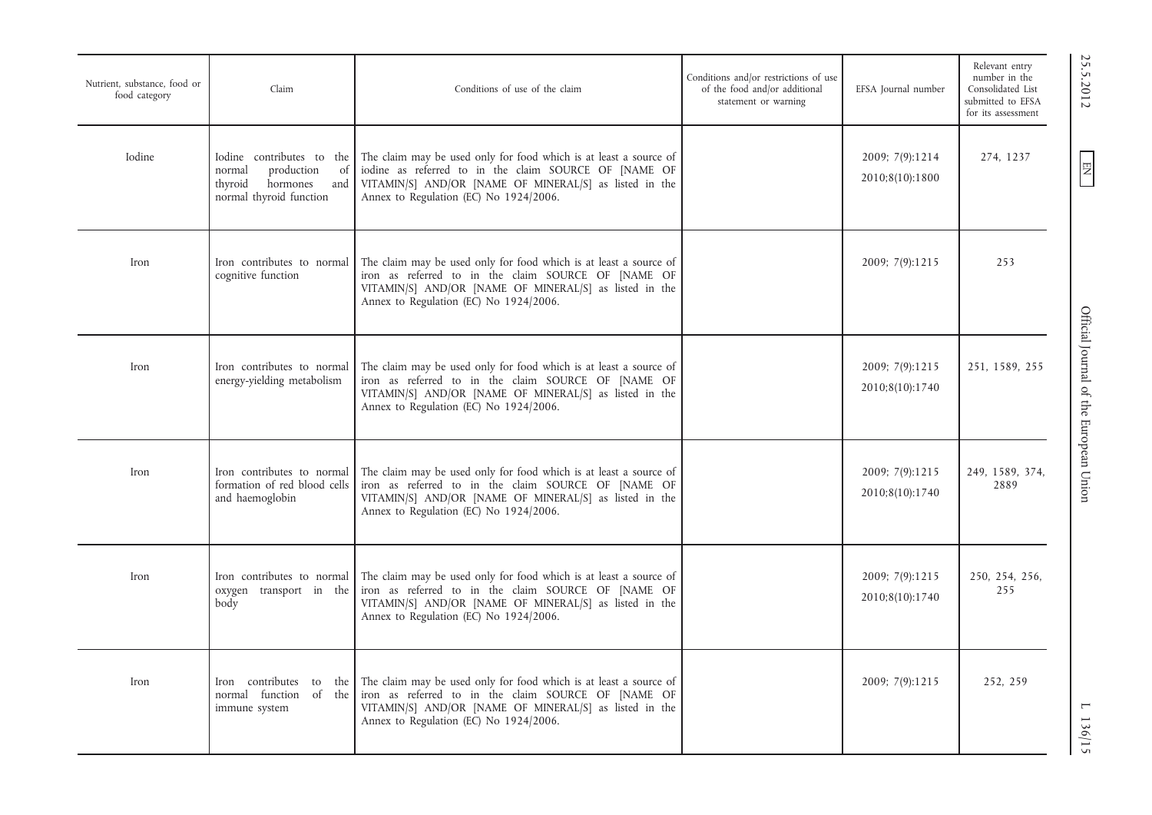| Nutrient, substance, food or<br>food category | Claim                                                                                                            | Conditions of use of the claim                                                                                                                                                                                                 | Conditions and/or restrictions of use<br>of the food and/or additional<br>statement or warning | EFSA Journal number                | Relevant entry<br>number in the<br>Consolidated List<br>submitted to EFSA<br>for its assessment |
|-----------------------------------------------|------------------------------------------------------------------------------------------------------------------|--------------------------------------------------------------------------------------------------------------------------------------------------------------------------------------------------------------------------------|------------------------------------------------------------------------------------------------|------------------------------------|-------------------------------------------------------------------------------------------------|
| Iodine                                        | Iodine contributes to the<br>production<br>normal<br>of<br>hormones<br>thyroid<br>and<br>normal thyroid function | The claim may be used only for food which is at least a source of<br>iodine as referred to in the claim SOURCE OF [NAME OF<br>VITAMIN/S] AND/OR [NAME OF MINERAL/S] as listed in the<br>Annex to Regulation (EC) No 1924/2006. |                                                                                                | 2009; 7(9):1214<br>2010;8(10):1800 | 274, 1237                                                                                       |
| Iron                                          | Iron contributes to normal<br>cognitive function                                                                 | The claim may be used only for food which is at least a source of<br>iron as referred to in the claim SOURCE OF [NAME OF<br>VITAMIN/S] AND/OR [NAME OF MINERAL/S] as listed in the<br>Annex to Regulation (EC) No 1924/2006.   |                                                                                                | 2009; 7(9):1215                    | 253                                                                                             |
| Iron                                          | Iron contributes to normal<br>energy-yielding metabolism                                                         | The claim may be used only for food which is at least a source of<br>iron as referred to in the claim SOURCE OF [NAME OF<br>VITAMIN/S] AND/OR [NAME OF MINERAL/S] as listed in the<br>Annex to Regulation (EC) No 1924/2006.   |                                                                                                | 2009; 7(9):1215<br>2010;8(10):1740 | 251, 1589, 255                                                                                  |
| Iron                                          | Iron contributes to normal<br>formation of red blood cells<br>and haemoglobin                                    | The claim may be used only for food which is at least a source of<br>iron as referred to in the claim SOURCE OF [NAME OF<br>VITAMIN/S] AND/OR [NAME OF MINERAL/S] as listed in the<br>Annex to Regulation (EC) No 1924/2006.   |                                                                                                | 2009; 7(9):1215<br>2010;8(10):1740 | 249, 1589, 374,<br>2889                                                                         |
| Iron                                          | Iron contributes to normal<br>oxygen transport in the<br>body                                                    | The claim may be used only for food which is at least a source of<br>iron as referred to in the claim SOURCE OF [NAME OF<br>VITAMIN/S] AND/OR [NAME OF MINERAL/S] as listed in the<br>Annex to Regulation (EC) No 1924/2006.   |                                                                                                | 2009; 7(9):1215<br>2010;8(10):1740 | 250, 254, 256,<br>255                                                                           |
| Iron                                          | Iron contributes to the<br>normal function of the<br>immune system                                               | The claim may be used only for food which is at least a source of<br>iron as referred to in the claim SOURCE OF [NAME OF<br>VITAMIN/S] AND/OR [NAME OF MINERAL/S] as listed in the<br>Annex to Regulation (EC) No 1924/2006.   |                                                                                                | 2009; 7(9):1215                    | 252, 259                                                                                        |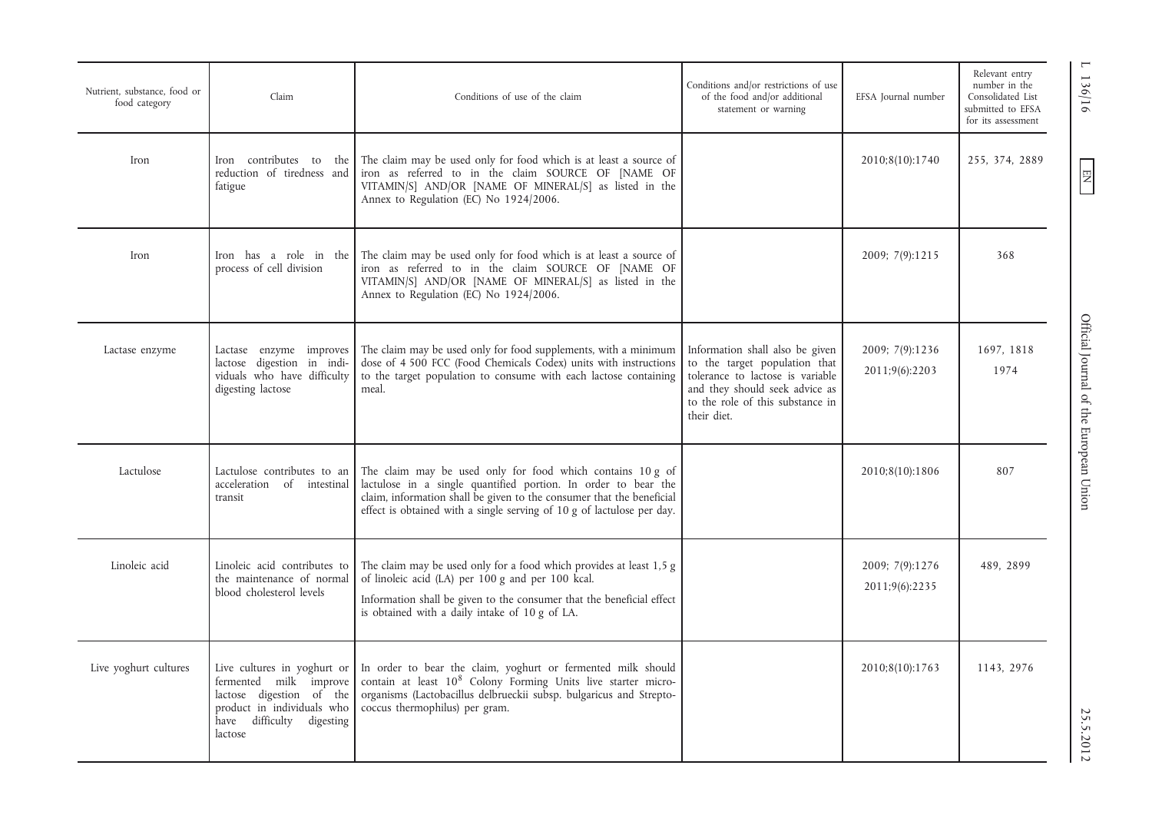| Nutrient, substance, food or<br>food category | Claim                                                                                                                                                      | Conditions of use of the claim                                                                                                                                                                                                                                                  | Conditions and/or restrictions of use<br>of the food and/or additional<br>statement or warning                                                                                            | EFSA Journal number               | Relevant entry<br>136/16<br>number in the<br>Consolidated List<br>submitted to EFSA<br>for its assessment |
|-----------------------------------------------|------------------------------------------------------------------------------------------------------------------------------------------------------------|---------------------------------------------------------------------------------------------------------------------------------------------------------------------------------------------------------------------------------------------------------------------------------|-------------------------------------------------------------------------------------------------------------------------------------------------------------------------------------------|-----------------------------------|-----------------------------------------------------------------------------------------------------------|
| Iron                                          | Iron contributes to the<br>reduction of tiredness and<br>fatigue                                                                                           | The claim may be used only for food which is at least a source of<br>iron as referred to in the claim SOURCE OF [NAME OF<br>VITAMIN/S] AND/OR [NAME OF MINERAL/S] as listed in the<br>Annex to Regulation (EC) No 1924/2006.                                                    |                                                                                                                                                                                           | 2010;8(10):1740                   | 255, 374, 2889<br>$\left  \Xi \right $                                                                    |
| Iron                                          | Iron has a role in the<br>process of cell division                                                                                                         | The claim may be used only for food which is at least a source of<br>iron as referred to in the claim SOURCE OF [NAME OF<br>VITAMIN/S] AND/OR [NAME OF MINERAL/S] as listed in the<br>Annex to Regulation (EC) No 1924/2006.                                                    |                                                                                                                                                                                           | 2009; 7(9):1215                   | 368                                                                                                       |
| Lactase enzyme                                | Lactase enzyme improves<br>lactose digestion in indi-<br>viduals who have difficulty<br>digesting lactose                                                  | The claim may be used only for food supplements, with a minimum<br>dose of 4 500 FCC (Food Chemicals Codex) units with instructions<br>to the target population to consume with each lactose containing<br>meal.                                                                | Information shall also be given<br>to the target population that<br>tolerance to lactose is variable<br>and they should seek advice as<br>to the role of this substance in<br>their diet. | 2009; 7(9):1236<br>2011;9(6):2203 | Official Journal of the European Union<br>1697, 1818<br>1974                                              |
| Lactulose                                     | Lactulose contributes to an<br>acceleration of intestinal<br>transit                                                                                       | The claim may be used only for food which contains 10 g of<br>lactulose in a single quantified portion. In order to bear the<br>claim, information shall be given to the consumer that the beneficial<br>effect is obtained with a single serving of 10 g of lactulose per day. |                                                                                                                                                                                           | 2010;8(10):1806                   | 807                                                                                                       |
| Linoleic acid                                 | Linoleic acid contributes to<br>the maintenance of normal<br>blood cholesterol levels                                                                      | The claim may be used only for a food which provides at least 1,5 g<br>of linoleic acid (LA) per 100 g and per 100 kcal.<br>Information shall be given to the consumer that the beneficial effect<br>is obtained with a daily intake of 10 g of LA.                             |                                                                                                                                                                                           | 2009; 7(9):1276<br>2011;9(6):2235 | 489, 2899                                                                                                 |
| Live yoghurt cultures                         | Live cultures in yoghurt or<br>fermented milk improve<br>lactose digestion of the<br>product in individuals who<br>difficulty digesting<br>have<br>lactose | In order to bear the claim, yoghurt or fermented milk should<br>contain at least 10 <sup>8</sup> Colony Forming Units live starter micro-<br>organisms (Lactobacillus delbrueckii subsp. bulgaricus and Strepto-<br>coccus thermophilus) per gram.                              |                                                                                                                                                                                           | 2010;8(10):1763                   | 1143, 2976<br>25.5.2012                                                                                   |

 $\boxed{\phantom{\text{N}}}{\mathbf{N}}$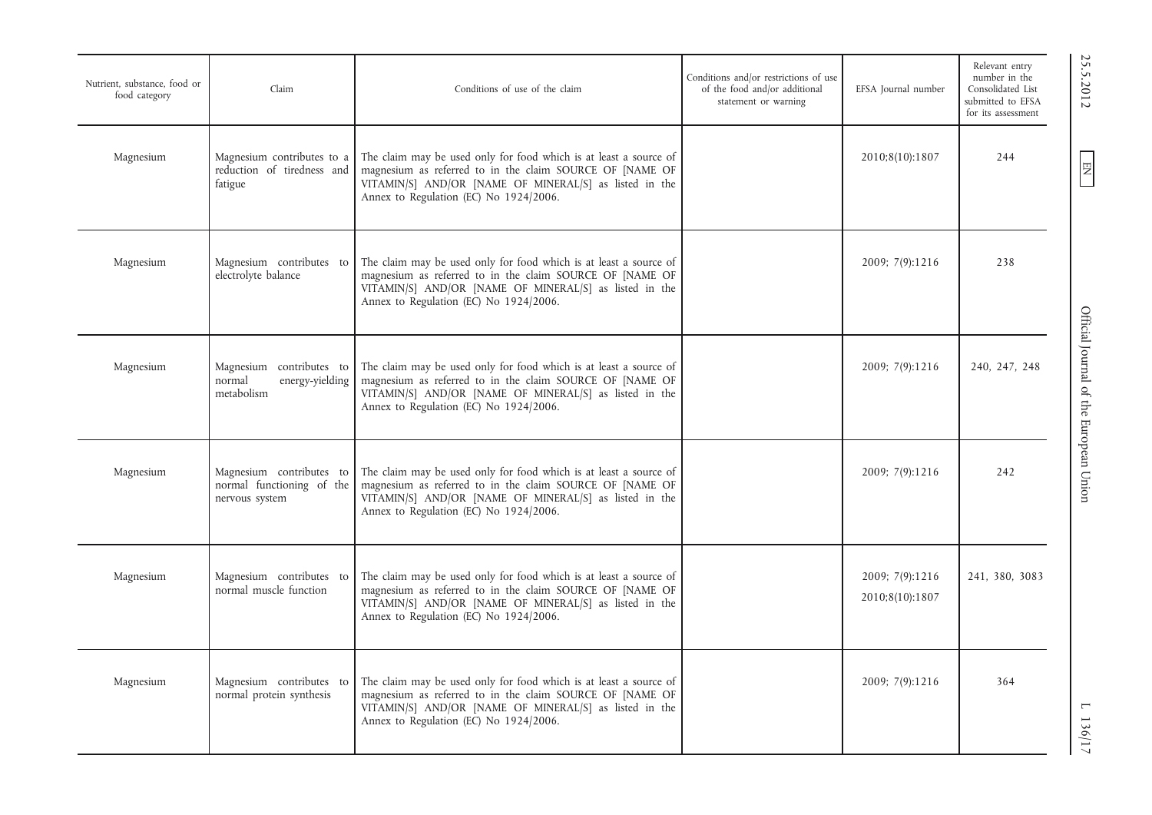| Nutrient, substance, food or<br>food category | Claim                                                                   | Conditions of use of the claim                                                                                                                                                                                                    | Conditions and/or restrictions of use<br>of the food and/or additional<br>statement or warning | EFSA Journal number                | Relevant entry<br>number in the<br>Consolidated List<br>submitted to EFSA<br>for its assessment |
|-----------------------------------------------|-------------------------------------------------------------------------|-----------------------------------------------------------------------------------------------------------------------------------------------------------------------------------------------------------------------------------|------------------------------------------------------------------------------------------------|------------------------------------|-------------------------------------------------------------------------------------------------|
| Magnesium                                     | Magnesium contributes to a<br>reduction of tiredness and<br>fatigue     | The claim may be used only for food which is at least a source of<br>magnesium as referred to in the claim SOURCE OF [NAME OF<br>VITAMIN/S] AND/OR [NAME OF MINERAL/S] as listed in the<br>Annex to Regulation (EC) No 1924/2006. |                                                                                                | 2010;8(10):1807                    | 244                                                                                             |
| Magnesium                                     | Magnesium contributes to<br>electrolyte balance                         | The claim may be used only for food which is at least a source of<br>magnesium as referred to in the claim SOURCE OF [NAME OF<br>VITAMIN/S] AND/OR [NAME OF MINERAL/S] as listed in the<br>Annex to Regulation (EC) No 1924/2006. |                                                                                                | 2009; 7(9):1216                    | 238                                                                                             |
| Magnesium                                     | Magnesium contributes to<br>normal<br>energy-yielding<br>metabolism     | The claim may be used only for food which is at least a source of<br>magnesium as referred to in the claim SOURCE OF [NAME OF<br>VITAMIN/S] AND/OR [NAME OF MINERAL/S] as listed in the<br>Annex to Regulation (EC) No 1924/2006. |                                                                                                | 2009; 7(9):1216                    | 240, 247, 248                                                                                   |
| Magnesium                                     | Magnesium contributes to<br>normal functioning of the<br>nervous system | The claim may be used only for food which is at least a source of<br>magnesium as referred to in the claim SOURCE OF [NAME OF<br>VITAMIN/S] AND/OR [NAME OF MINERAL/S] as listed in the<br>Annex to Regulation (EC) No 1924/2006. |                                                                                                | 2009; 7(9):1216                    | 242                                                                                             |
| Magnesium                                     | Magnesium contributes to<br>normal muscle function                      | The claim may be used only for food which is at least a source of<br>magnesium as referred to in the claim SOURCE OF [NAME OF<br>VITAMIN/S] AND/OR [NAME OF MINERAL/S] as listed in the<br>Annex to Regulation (EC) No 1924/2006. |                                                                                                | 2009; 7(9):1216<br>2010;8(10):1807 | 241, 380, 3083                                                                                  |
| Magnesium                                     | Magnesium contributes to<br>normal protein synthesis                    | The claim may be used only for food which is at least a source of<br>magnesium as referred to in the claim SOURCE OF [NAME OF<br>VITAMIN/S] AND/OR [NAME OF MINERAL/S] as listed in the<br>Annex to Regulation (EC) No 1924/2006. |                                                                                                | 2009; 7(9):1216                    | 364                                                                                             |

 $\text{C.21:}$   $\text{C.31:}$   $\text{C.41:}$   $\text{C.51:}$   $\text{C.61:}$   $\text{C.61:}$   $\text{C.71:}$   $\text{C.71:}$   $\text{C.71:}$   $\text{C.71:}$   $\text{C.71:}$ Official Journal of the European Union

25.5.2012

EN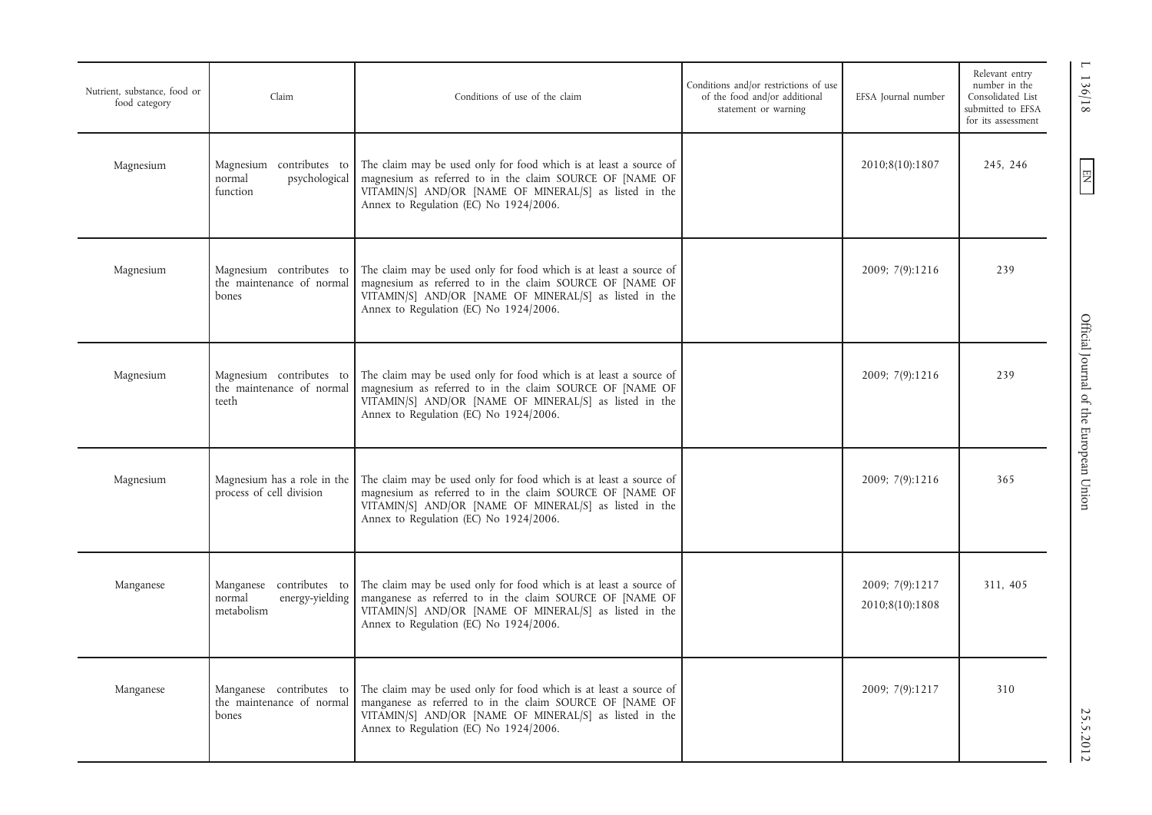| Nutrient, substance, food or<br>food category | Claim                                                               | Conditions of use of the claim                                                                                                                                                                                                    | Conditions and/or restrictions of use<br>of the food and/or additional<br>statement or warning | EFSA Journal number                | Relevant entry<br>number in the<br>Consolidated List<br>submitted to EFSA<br>for its assessment |
|-----------------------------------------------|---------------------------------------------------------------------|-----------------------------------------------------------------------------------------------------------------------------------------------------------------------------------------------------------------------------------|------------------------------------------------------------------------------------------------|------------------------------------|-------------------------------------------------------------------------------------------------|
| Magnesium                                     | Magnesium contributes to<br>normal<br>psychological<br>function     | The claim may be used only for food which is at least a source of<br>magnesium as referred to in the claim SOURCE OF [NAME OF<br>VITAMIN/S] AND/OR [NAME OF MINERAL/S] as listed in the<br>Annex to Regulation (EC) No 1924/2006. |                                                                                                | 2010;8(10):1807                    | 245, 246                                                                                        |
| Magnesium                                     | Magnesium contributes to<br>the maintenance of normal<br>bones      | The claim may be used only for food which is at least a source of<br>magnesium as referred to in the claim SOURCE OF [NAME OF<br>VITAMIN/S] AND/OR [NAME OF MINERAL/S] as listed in the<br>Annex to Regulation (EC) No 1924/2006. |                                                                                                | 2009; 7(9):1216                    | 239                                                                                             |
| Magnesium                                     | Magnesium contributes to<br>the maintenance of normal<br>teeth      | The claim may be used only for food which is at least a source of<br>magnesium as referred to in the claim SOURCE OF [NAME OF<br>VITAMIN/S] AND/OR [NAME OF MINERAL/S] as listed in the<br>Annex to Regulation (EC) No 1924/2006. |                                                                                                | 2009; 7(9):1216                    | 239                                                                                             |
| Magnesium                                     | Magnesium has a role in the<br>process of cell division             | The claim may be used only for food which is at least a source of<br>magnesium as referred to in the claim SOURCE OF [NAME OF<br>VITAMIN/S] AND/OR [NAME OF MINERAL/S] as listed in the<br>Annex to Regulation (EC) No 1924/2006. |                                                                                                | 2009; 7(9):1216                    | 365                                                                                             |
| Manganese                                     | Manganese contributes to<br>normal<br>energy-yielding<br>metabolism | The claim may be used only for food which is at least a source of<br>manganese as referred to in the claim SOURCE OF [NAME OF<br>VITAMIN/S] AND/OR [NAME OF MINERAL/S] as listed in the<br>Annex to Regulation (EC) No 1924/2006. |                                                                                                | 2009; 7(9):1217<br>2010;8(10):1808 | 311, 405                                                                                        |
| Manganese                                     | Manganese contributes to<br>the maintenance of normal<br>bones      | The claim may be used only for food which is at least a source of<br>manganese as referred to in the claim SOURCE OF [NAME OF<br>VITAMIN/S] AND/OR [NAME OF MINERAL/S] as listed in the<br>Annex to Regulation (EC) No 1924/2006. |                                                                                                | 2009; 7(9):1217                    | 310                                                                                             |

EN L 136/18 Official Journal of the European Union 25.00 Designation 25.5.2012 Official Journal of the European Union

1 136/18

 $EN$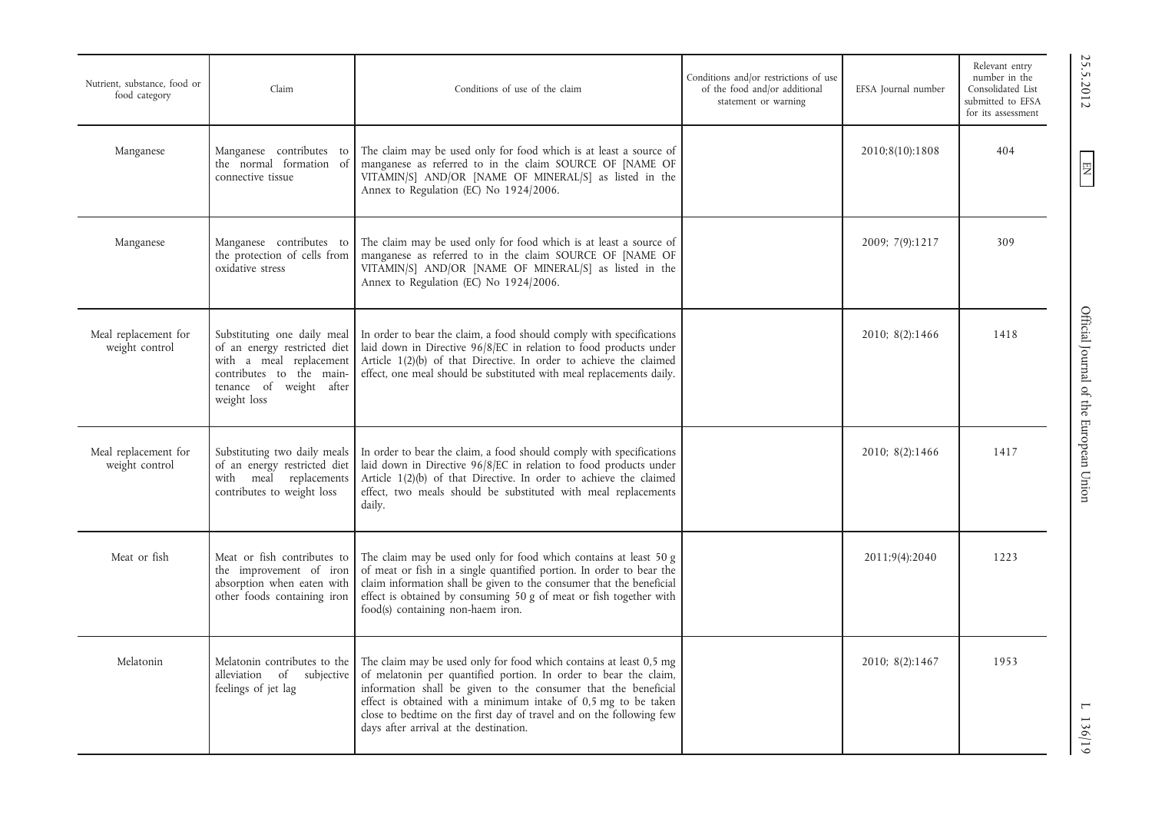| Nutrient, substance, food or<br>food category | Claim                                                                                                                                                        | Conditions of use of the claim                                                                                                                                                                                                                                                                                                                                                                 | Conditions and/or restrictions of use<br>of the food and/or additional<br>statement or warning | EFSA Journal number | Relevant entry<br>number in the<br>Consolidated List<br>submitted to EFSA<br>for its assessment |
|-----------------------------------------------|--------------------------------------------------------------------------------------------------------------------------------------------------------------|------------------------------------------------------------------------------------------------------------------------------------------------------------------------------------------------------------------------------------------------------------------------------------------------------------------------------------------------------------------------------------------------|------------------------------------------------------------------------------------------------|---------------------|-------------------------------------------------------------------------------------------------|
| Manganese                                     | Manganese contributes to<br>the normal formation of<br>connective tissue                                                                                     | The claim may be used only for food which is at least a source of<br>manganese as referred to in the claim SOURCE OF [NAME OF<br>VITAMIN/S] AND/OR [NAME OF MINERAL/S] as listed in the<br>Annex to Regulation (EC) No 1924/2006.                                                                                                                                                              |                                                                                                | 2010;8(10):1808     | 404                                                                                             |
| Manganese                                     | Manganese contributes to<br>the protection of cells from<br>oxidative stress                                                                                 | The claim may be used only for food which is at least a source of<br>manganese as referred to in the claim SOURCE OF [NAME OF<br>VITAMIN/S] AND/OR [NAME OF MINERAL/S] as listed in the<br>Annex to Regulation (EC) No 1924/2006.                                                                                                                                                              |                                                                                                | 2009; 7(9):1217     | 309                                                                                             |
| Meal replacement for<br>weight control        | Substituting one daily meal<br>of an energy restricted diet<br>with a meal replacement<br>contributes to the main-<br>tenance of weight after<br>weight loss | In order to bear the claim, a food should comply with specifications<br>laid down in Directive 96/8/EC in relation to food products under<br>Article 1(2)(b) of that Directive. In order to achieve the claimed<br>effect, one meal should be substituted with meal replacements daily.                                                                                                        |                                                                                                | 2010; 8(2):1466     | 1418                                                                                            |
| Meal replacement for<br>weight control        | Substituting two daily meals<br>of an energy restricted diet<br>with meal replacements<br>contributes to weight loss                                         | In order to bear the claim, a food should comply with specifications<br>laid down in Directive 96/8/EC in relation to food products under<br>Article 1(2)(b) of that Directive. In order to achieve the claimed<br>effect, two meals should be substituted with meal replacements<br>daily.                                                                                                    |                                                                                                | 2010; 8(2):1466     | 1417                                                                                            |
| Meat or fish                                  | Meat or fish contributes to<br>the improvement of iron<br>absorption when eaten with<br>other foods containing iron                                          | The claim may be used only for food which contains at least 50 g<br>of meat or fish in a single quantified portion. In order to bear the<br>claim information shall be given to the consumer that the beneficial<br>effect is obtained by consuming 50 g of meat or fish together with<br>food(s) containing non-haem iron.                                                                    |                                                                                                | 2011;9(4):2040      | 1223                                                                                            |
| Melatonin                                     | Melatonin contributes to the<br>alleviation<br>of<br>subjective<br>feelings of jet lag                                                                       | The claim may be used only for food which contains at least 0,5 mg<br>of melatonin per quantified portion. In order to bear the claim,<br>information shall be given to the consumer that the beneficial<br>effect is obtained with a minimum intake of $0,5$ mg to be taken<br>close to bedtime on the first day of travel and on the following few<br>days after arrival at the destination. |                                                                                                | 2010; 8(2):1467     | 1953                                                                                            |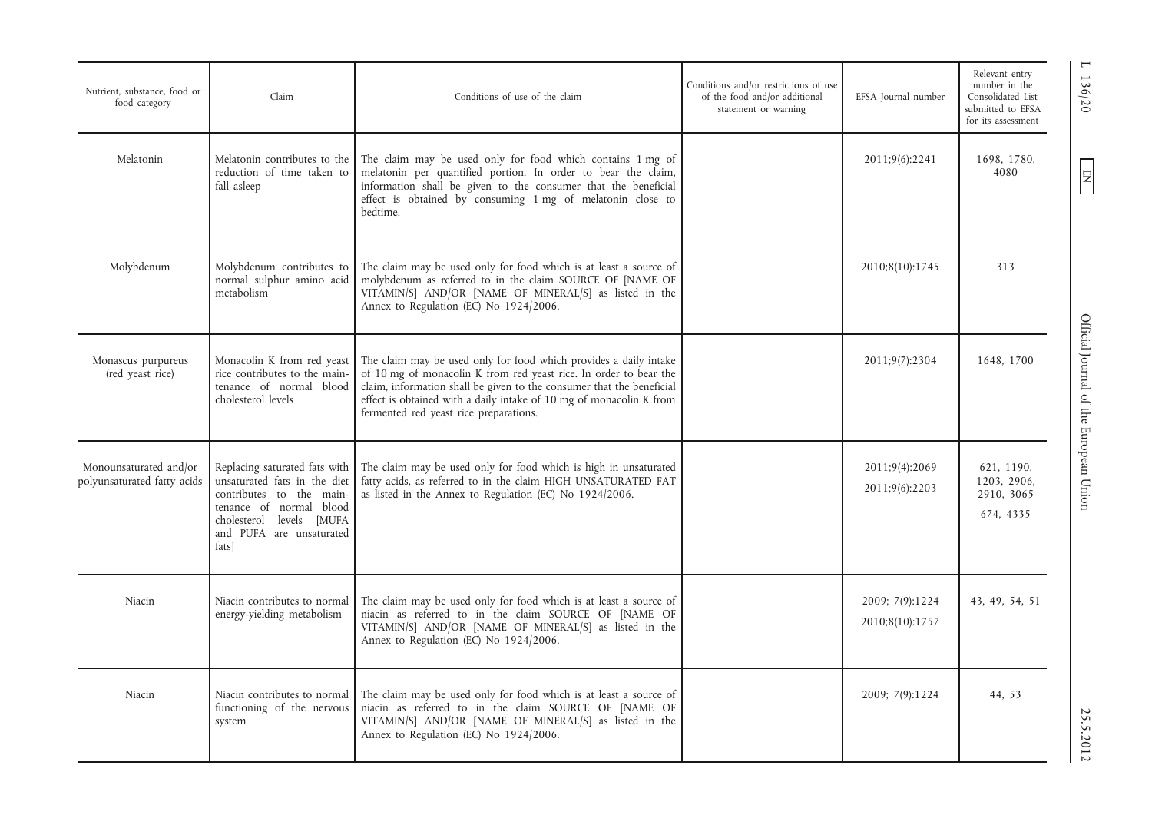| Nutrient, substance, food or<br>food category         | Claim                                                                                                                                                                                 | Conditions of use of the claim                                                                                                                                                                                                                                                                                                   | Conditions and/or restrictions of use<br>of the food and/or additional<br>statement or warning | EFSA Journal number                | Relevant entry<br>number in the<br>Consolidated List<br>submitted to EFSA<br>for its assessment |
|-------------------------------------------------------|---------------------------------------------------------------------------------------------------------------------------------------------------------------------------------------|----------------------------------------------------------------------------------------------------------------------------------------------------------------------------------------------------------------------------------------------------------------------------------------------------------------------------------|------------------------------------------------------------------------------------------------|------------------------------------|-------------------------------------------------------------------------------------------------|
| Melatonin                                             | Melatonin contributes to the<br>reduction of time taken to<br>fall asleep                                                                                                             | The claim may be used only for food which contains 1 mg of<br>melatonin per quantified portion. In order to bear the claim,<br>information shall be given to the consumer that the beneficial<br>effect is obtained by consuming 1 mg of melatonin close to<br>bedtime.                                                          |                                                                                                | 2011;9(6):2241                     | 1698, 1780,<br>4080                                                                             |
| Molybdenum                                            | Molybdenum contributes to<br>normal sulphur amino acid<br>metabolism                                                                                                                  | The claim may be used only for food which is at least a source of<br>molybdenum as referred to in the claim SOURCE OF [NAME OF<br>VITAMIN/S] AND/OR [NAME OF MINERAL/S] as listed in the<br>Annex to Regulation (EC) No 1924/2006.                                                                                               |                                                                                                | 2010;8(10):1745                    | 313                                                                                             |
| Monascus purpureus<br>(red yeast rice)                | Monacolin K from red yeast<br>rice contributes to the main-<br>tenance of normal blood<br>cholesterol levels                                                                          | The claim may be used only for food which provides a daily intake<br>of 10 mg of monacolin K from red yeast rice. In order to bear the<br>claim, information shall be given to the consumer that the beneficial<br>effect is obtained with a daily intake of 10 mg of monacolin K from<br>fermented red yeast rice preparations. |                                                                                                | 2011;9(7):2304                     | 1648, 1700                                                                                      |
| Monounsaturated and/or<br>polyunsaturated fatty acids | Replacing saturated fats with<br>unsaturated fats in the diet<br>contributes to the main-<br>tenance of normal blood<br>cholesterol levels [MUFA<br>and PUFA are unsaturated<br>fats] | The claim may be used only for food which is high in unsaturated<br>fatty acids, as referred to in the claim HIGH UNSATURATED FAT<br>as listed in the Annex to Regulation (EC) No 1924/2006.                                                                                                                                     |                                                                                                | 2011;9(4):2069<br>2011;9(6):2203   | 621, 1190,<br>1203, 2906,<br>2910, 3065<br>674, 4335                                            |
| Niacin                                                | Niacin contributes to normal<br>energy-yielding metabolism                                                                                                                            | The claim may be used only for food which is at least a source of<br>niacin as referred to in the claim SOURCE OF [NAME OF<br>VITAMIN/S] AND/OR [NAME OF MINERAL/S] as listed in the<br>Annex to Regulation (EC) No 1924/2006.                                                                                                   |                                                                                                | 2009; 7(9):1224<br>2010;8(10):1757 | 43, 49, 54, 51                                                                                  |
| Niacin                                                | Niacin contributes to normal<br>functioning of the nervous<br>system                                                                                                                  | The claim may be used only for food which is at least a source of<br>niacin as referred to in the claim SOURCE OF [NAME OF<br>VITAMIN/S] AND/OR [NAME OF MINERAL/S] as listed in the<br>Annex to Regulation (EC) No 1924/2006.                                                                                                   |                                                                                                | 2009; 7(9):1224                    | 44, 53                                                                                          |

EN L 136/20 Official Journal of the European Union 25.5.2012 25.5.2012 Official Journal of the European Union

 $L$  136/20

 $\boxed{\phantom{\text{N}}}{\mathbf{N}}$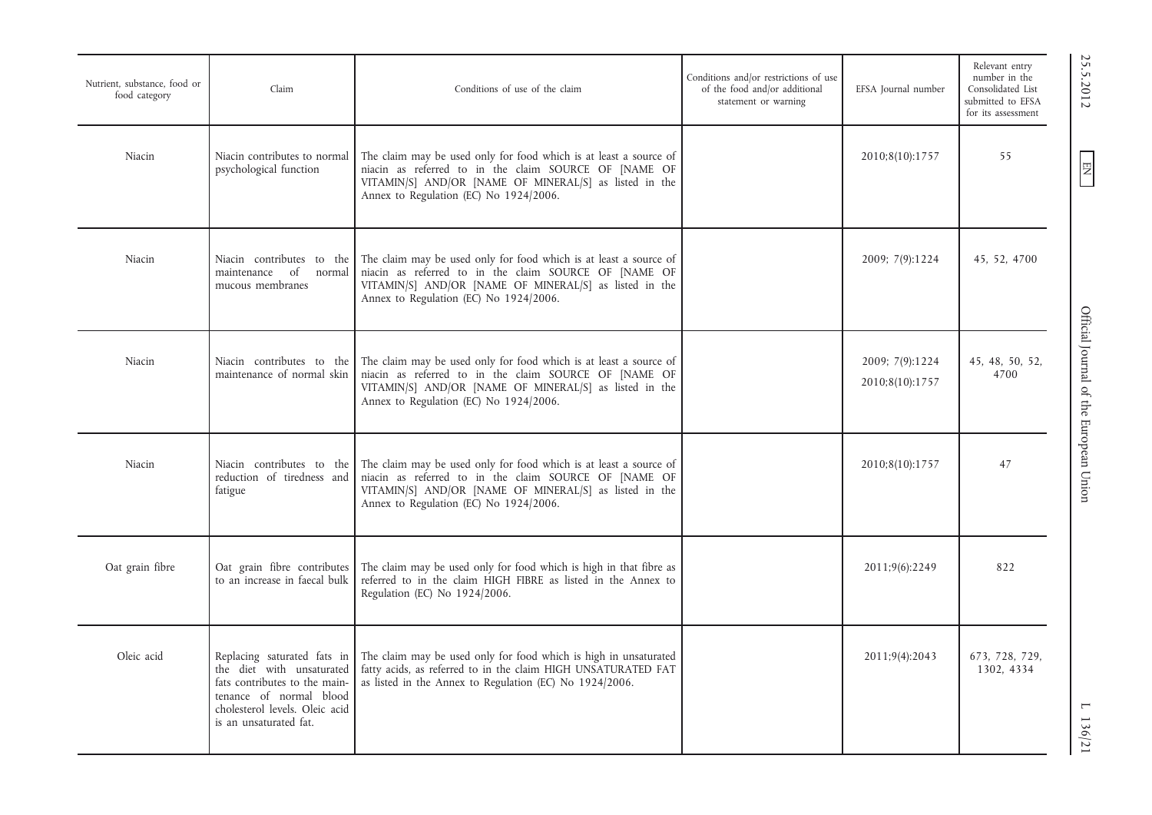| Nutrient, substance, food or<br>food category | Claim                                                                                                                                                                            | Conditions of use of the claim                                                                                                                                                                                                 | Conditions and/or restrictions of use<br>of the food and/or additional<br>statement or warning | EFSA Journal number                | Relevant entry<br>number in the<br>Consolidated List<br>submitted to EFSA<br>for its assessment | 25.5.2012                              |
|-----------------------------------------------|----------------------------------------------------------------------------------------------------------------------------------------------------------------------------------|--------------------------------------------------------------------------------------------------------------------------------------------------------------------------------------------------------------------------------|------------------------------------------------------------------------------------------------|------------------------------------|-------------------------------------------------------------------------------------------------|----------------------------------------|
| Niacin                                        | Niacin contributes to normal<br>psychological function                                                                                                                           | The claim may be used only for food which is at least a source of<br>niacin as referred to in the claim SOURCE OF [NAME OF<br>VITAMIN/S] AND/OR [NAME OF MINERAL/S] as listed in the<br>Annex to Regulation (EC) No 1924/2006. |                                                                                                | 2010;8(10):1757                    | 55                                                                                              | 罔                                      |
| Niacin                                        | Niacin contributes to the<br>maintenance of normal<br>mucous membranes                                                                                                           | The claim may be used only for food which is at least a source of<br>niacin as referred to in the claim SOURCE OF [NAME OF<br>VITAMIN/S] AND/OR [NAME OF MINERAL/S] as listed in the<br>Annex to Regulation (EC) No 1924/2006. |                                                                                                | 2009; 7(9):1224                    | 45, 52, 4700                                                                                    |                                        |
| Niacin                                        | Niacin contributes to the<br>maintenance of normal skin                                                                                                                          | The claim may be used only for food which is at least a source of<br>niacin as referred to in the claim SOURCE OF [NAME OF<br>VITAMIN/S] AND/OR [NAME OF MINERAL/S] as listed in the<br>Annex to Regulation (EC) No 1924/2006. |                                                                                                | 2009; 7(9):1224<br>2010;8(10):1757 | 45, 48, 50, 52,<br>4700                                                                         | Official Journal of the European Union |
| Niacin                                        | Niacin contributes to the<br>reduction of tiredness and<br>fatigue                                                                                                               | The claim may be used only for food which is at least a source of<br>niacin as referred to in the claim SOURCE OF [NAME OF<br>VITAMIN/S] AND/OR [NAME OF MINERAL/S] as listed in the<br>Annex to Regulation (EC) No 1924/2006. |                                                                                                | 2010;8(10):1757                    | 47                                                                                              |                                        |
| Oat grain fibre                               | Oat grain fibre contributes<br>to an increase in faecal bulk                                                                                                                     | The claim may be used only for food which is high in that fibre as<br>referred to in the claim HIGH FIBRE as listed in the Annex to<br>Regulation (EC) No 1924/2006.                                                           |                                                                                                | 2011;9(6):2249                     | 822                                                                                             |                                        |
| Oleic acid                                    | Replacing saturated fats in<br>the diet with unsaturated<br>fats contributes to the main-<br>tenance of normal blood<br>cholesterol levels. Oleic acid<br>is an unsaturated fat. | The claim may be used only for food which is high in unsaturated<br>fatty acids, as referred to in the claim HIGH UNSATURATED FAT<br>as listed in the Annex to Regulation (EC) No 1924/2006.                                   |                                                                                                | 2011;9(4):2043                     | 673, 728, 729,<br>1302, 4334                                                                    | L 136/21                               |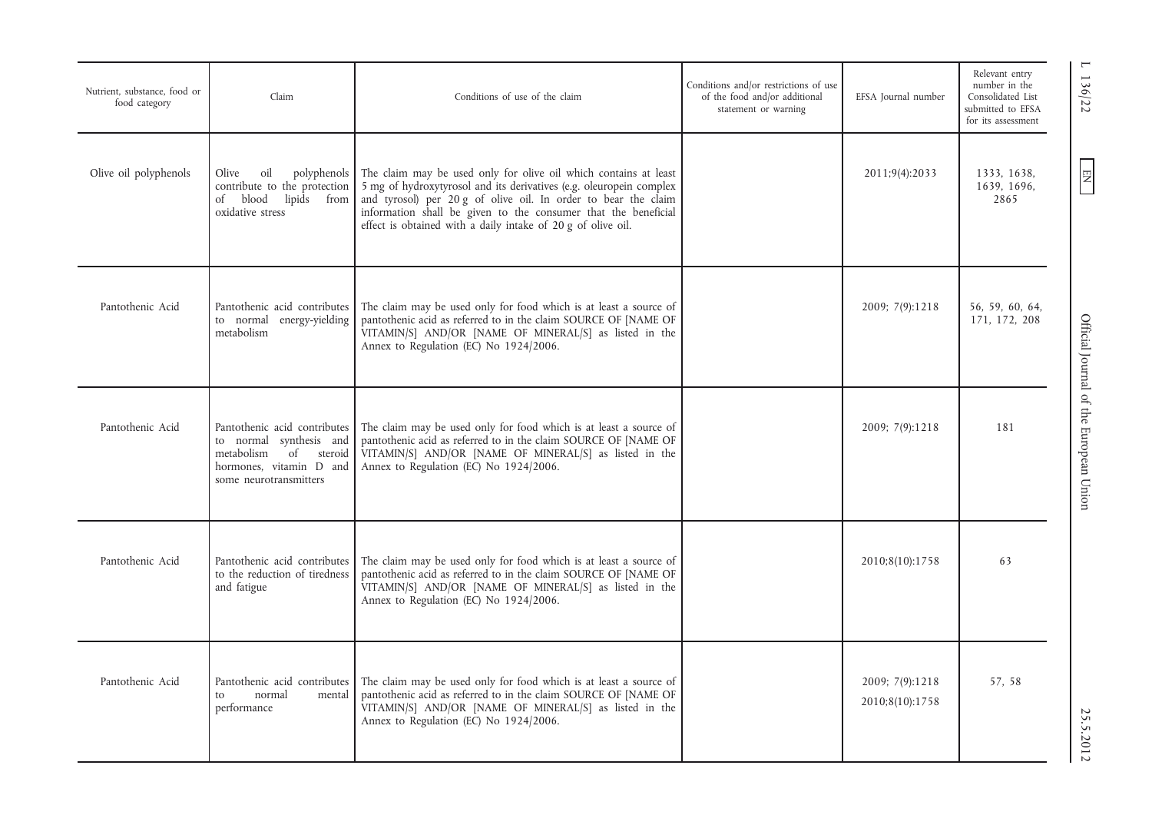| Nutrient, substance, food or<br>food category | Claim                                                                                                                                       | Conditions of use of the claim                                                                                                                                                                                                                                                                                                              | Conditions and/or restrictions of use<br>of the food and/or additional<br>statement or warning | EFSA Journal number                | Relevant entry<br>number in the<br>Consolidated List<br>submitted to EFSA<br>for its assessment | $\mathbf{\mathsf{I}}$<br>136/22        |
|-----------------------------------------------|---------------------------------------------------------------------------------------------------------------------------------------------|---------------------------------------------------------------------------------------------------------------------------------------------------------------------------------------------------------------------------------------------------------------------------------------------------------------------------------------------|------------------------------------------------------------------------------------------------|------------------------------------|-------------------------------------------------------------------------------------------------|----------------------------------------|
| Olive oil polyphenols                         | Olive<br>oil<br>polyphenols<br>contribute to the protection<br>of blood lipids<br>from<br>oxidative stress                                  | The claim may be used only for olive oil which contains at least<br>5 mg of hydroxytyrosol and its derivatives (e.g. oleuropein complex<br>and tyrosol) per 20 g of olive oil. In order to bear the claim<br>information shall be given to the consumer that the beneficial<br>effect is obtained with a daily intake of 20 g of olive oil. |                                                                                                | 2011;9(4):2033                     | 1333, 1638,<br>1639, 1696,<br>2865                                                              | $\mathbb{E}$                           |
| Pantothenic Acid                              | Pantothenic acid contributes<br>to normal<br>energy-yielding<br>metabolism                                                                  | The claim may be used only for food which is at least a source of<br>pantothenic acid as referred to in the claim SOURCE OF [NAME OF<br>VITAMIN/S] AND/OR [NAME OF MINERAL/S] as listed in the<br>Annex to Regulation (EC) No 1924/2006.                                                                                                    |                                                                                                | 2009; 7(9):1218                    | 56, 59, 60, 64,<br>171, 172, 208                                                                |                                        |
| Pantothenic Acid                              | Pantothenic acid contributes<br>to normal synthesis and<br>of<br>metabolism<br>steroid<br>hormones, vitamin D and<br>some neurotransmitters | The claim may be used only for food which is at least a source of<br>pantothenic acid as referred to in the claim SOURCE OF [NAME OF<br>VITAMIN/S] AND/OR [NAME OF MINERAL/S] as listed in the<br>Annex to Regulation (EC) No 1924/2006.                                                                                                    |                                                                                                | 2009; 7(9):1218                    | 181                                                                                             | Official Journal of the European Union |
| Pantothenic Acid                              | Pantothenic acid contributes<br>to the reduction of tiredness<br>and fatigue                                                                | The claim may be used only for food which is at least a source of<br>pantothenic acid as referred to in the claim SOURCE OF [NAME OF<br>VITAMIN/S] AND/OR [NAME OF MINERAL/S] as listed in the<br>Annex to Regulation (EC) No 1924/2006.                                                                                                    |                                                                                                | 2010;8(10):1758                    | 63                                                                                              |                                        |
| Pantothenic Acid                              | Pantothenic acid contributes<br>normal<br>mental<br>to<br>performance                                                                       | The claim may be used only for food which is at least a source of<br>pantothenic acid as referred to in the claim SOURCE OF [NAME OF<br>VITAMIN/S] AND/OR [NAME OF MINERAL/S] as listed in the<br>Annex to Regulation (EC) No 1924/2006.                                                                                                    |                                                                                                | 2009; 7(9):1218<br>2010;8(10):1758 | 57, 58                                                                                          | 25.5.2012                              |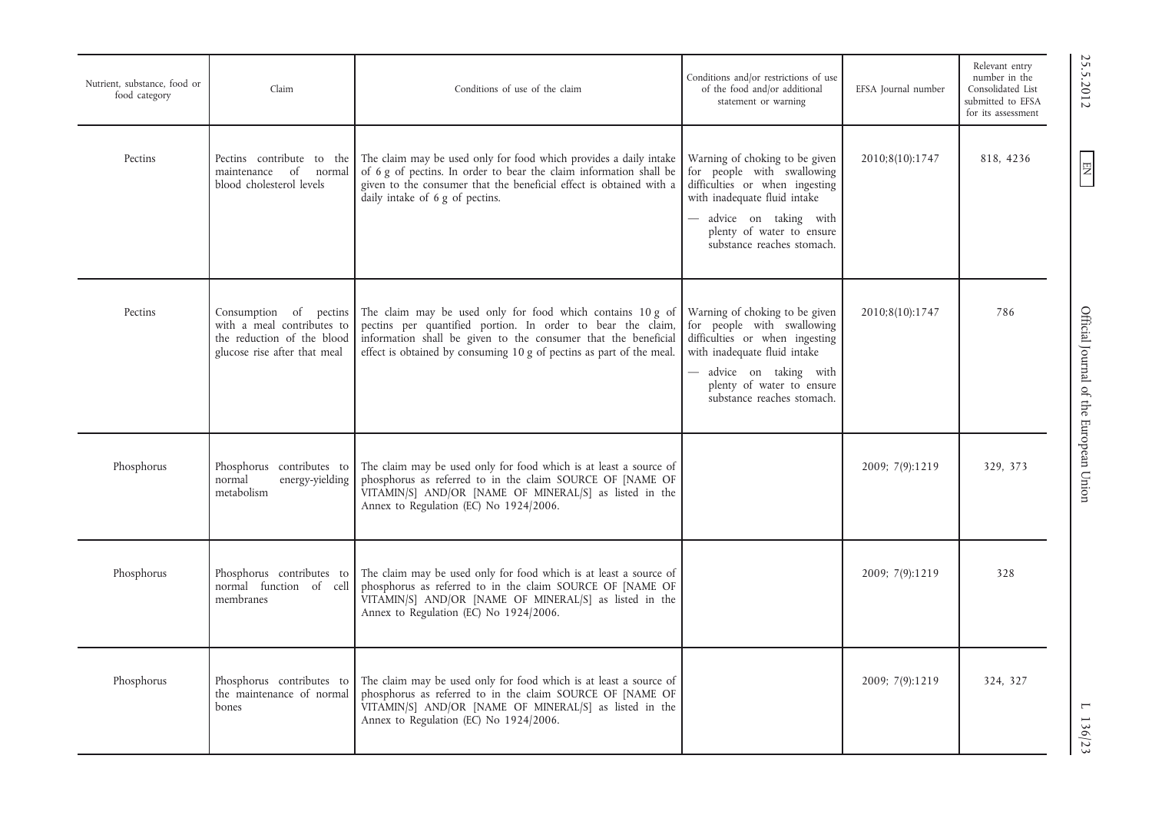| Nutrient, substance, food or<br>food category | Claim                                                                                                              | Conditions of use of the claim                                                                                                                                                                                                                                      | Conditions and/or restrictions of use<br>of the food and/or additional<br>statement or warning                                                                                                                       | EFSA Journal number | Relevant entry<br>number in the<br>Consolidated List<br>submitted to EFSA<br>for its assessment |
|-----------------------------------------------|--------------------------------------------------------------------------------------------------------------------|---------------------------------------------------------------------------------------------------------------------------------------------------------------------------------------------------------------------------------------------------------------------|----------------------------------------------------------------------------------------------------------------------------------------------------------------------------------------------------------------------|---------------------|-------------------------------------------------------------------------------------------------|
| Pectins                                       | Pectins contribute to the<br>maintenance of<br>normal<br>blood cholesterol levels                                  | The claim may be used only for food which provides a daily intake<br>of 6 g of pectins. In order to bear the claim information shall be<br>given to the consumer that the beneficial effect is obtained with a<br>daily intake of 6 g of pectins.                   | Warning of choking to be given<br>for people with swallowing<br>difficulties or when ingesting<br>with inadequate fluid intake<br>advice on taking with<br>plenty of water to ensure<br>substance reaches stomach.   | 2010;8(10):1747     | 818, 4236                                                                                       |
| Pectins                                       | Consumption of pectins<br>with a meal contributes to<br>the reduction of the blood<br>glucose rise after that meal | The claim may be used only for food which contains 10 g of<br>pectins per quantified portion. In order to bear the claim,<br>information shall be given to the consumer that the beneficial<br>effect is obtained by consuming 10 g of pectins as part of the meal. | Warning of choking to be given<br>for people with swallowing<br>difficulties or when ingesting<br>with inadequate fluid intake<br>- advice on taking with<br>plenty of water to ensure<br>substance reaches stomach. | 2010;8(10):1747     | 786                                                                                             |
| Phosphorus                                    | Phosphorus contributes to<br>normal<br>energy-yielding<br>metabolism                                               | The claim may be used only for food which is at least a source of<br>phosphorus as referred to in the claim SOURCE OF [NAME OF<br>VITAMIN/S] AND/OR [NAME OF MINERAL/S] as listed in the<br>Annex to Regulation (EC) No 1924/2006.                                  |                                                                                                                                                                                                                      | 2009; 7(9):1219     | 329.373                                                                                         |
| Phosphorus                                    | Phosphorus contributes to<br>normal function of cell<br>membranes                                                  | The claim may be used only for food which is at least a source of<br>phosphorus as referred to in the claim SOURCE OF [NAME OF<br>VITAMIN/S] AND/OR [NAME OF MINERAL/S] as listed in the<br>Annex to Regulation (EC) No 1924/2006.                                  |                                                                                                                                                                                                                      | 2009; 7(9):1219     | 328                                                                                             |
| Phosphorus                                    | Phosphorus contributes to<br>the maintenance of normal<br>bones                                                    | The claim may be used only for food which is at least a source of<br>phosphorus as referred to in the claim SOURCE OF [NAME OF<br>VITAMIN/S] AND/OR [NAME OF MINERAL/S] as listed in the<br>Annex to Regulation (EC) No 1924/2006.                                  |                                                                                                                                                                                                                      | 2009; 7(9):1219     | 324, 327                                                                                        |

25.5.2012

EN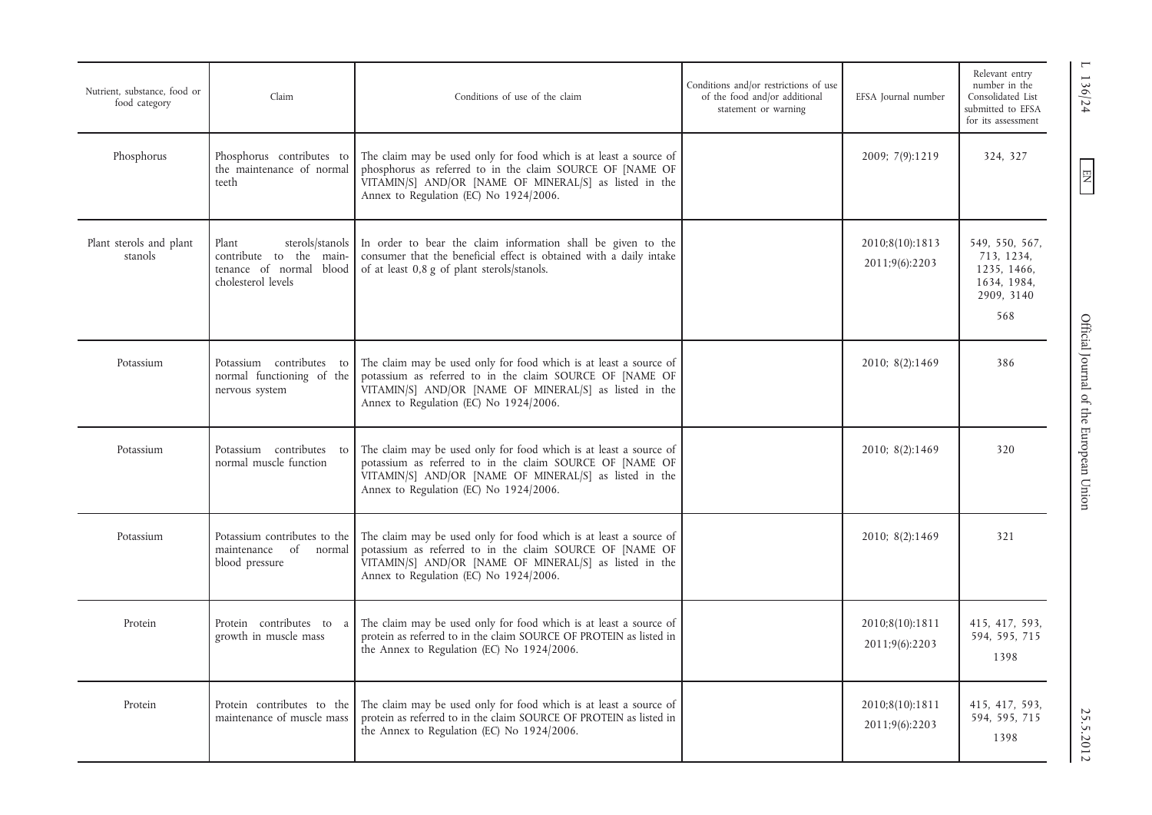| Nutrient, substance, food or<br>food category | Claim                                                                                                | Conditions of use of the claim                                                                                                                                                                                                     | Conditions and/or restrictions of use<br>of the food and/or additional<br>statement or warning | EFSA Journal number               | Relevant entry<br>number in the<br>Consolidated List<br>submitted to EFSA<br>for its assessment |
|-----------------------------------------------|------------------------------------------------------------------------------------------------------|------------------------------------------------------------------------------------------------------------------------------------------------------------------------------------------------------------------------------------|------------------------------------------------------------------------------------------------|-----------------------------------|-------------------------------------------------------------------------------------------------|
| Phosphorus                                    | Phosphorus contributes to<br>the maintenance of normal<br>teeth                                      | The claim may be used only for food which is at least a source of<br>phosphorus as referred to in the claim SOURCE OF [NAME OF<br>VITAMIN/S] AND/OR [NAME OF MINERAL/S] as listed in the<br>Annex to Regulation (EC) No 1924/2006. |                                                                                                | 2009; 7(9):1219                   | 324, 327                                                                                        |
| Plant sterols and plant<br>stanols            | sterols/stanols<br>Plant<br>contribute to the main-<br>tenance of normal blood<br>cholesterol levels | In order to bear the claim information shall be given to the<br>consumer that the beneficial effect is obtained with a daily intake<br>of at least 0,8 g of plant sterols/stanols.                                                 |                                                                                                | 2010;8(10):1813<br>2011;9(6):2203 | 549, 550, 567,<br>713, 1234,<br>1235, 1466,<br>1634, 1984,<br>2909, 3140<br>568                 |
| Potassium                                     | Potassium contributes to<br>normal functioning of the<br>nervous system                              | The claim may be used only for food which is at least a source of<br>potassium as referred to in the claim SOURCE OF [NAME OF<br>VITAMIN/S] AND/OR [NAME OF MINERAL/S] as listed in the<br>Annex to Regulation (EC) No 1924/2006.  |                                                                                                | 2010; 8(2):1469                   | Official Journal of the European Union<br>386                                                   |
| Potassium                                     | Potassium contributes to<br>normal muscle function                                                   | The claim may be used only for food which is at least a source of<br>potassium as referred to in the claim SOURCE OF [NAME OF<br>VITAMIN/S] AND/OR [NAME OF MINERAL/S] as listed in the<br>Annex to Regulation (EC) No 1924/2006.  |                                                                                                | 2010; 8(2):1469                   | 320                                                                                             |
| Potassium                                     | Potassium contributes to the<br>maintenance of normal<br>blood pressure                              | The claim may be used only for food which is at least a source of<br>potassium as referred to in the claim SOURCE OF [NAME OF<br>VITAMIN/S] AND/OR [NAME OF MINERAL/S] as listed in the<br>Annex to Regulation (EC) No 1924/2006.  |                                                                                                | 2010; 8(2):1469                   | 321                                                                                             |
| Protein                                       | Protein contributes to<br>a<br>growth in muscle mass                                                 | The claim may be used only for food which is at least a source of<br>protein as referred to in the claim SOURCE OF PROTEIN as listed in<br>the Annex to Regulation (EC) No 1924/2006.                                              |                                                                                                | 2010;8(10):1811<br>2011;9(6):2203 | 415, 417, 593,<br>594, 595, 715<br>1398                                                         |
| Protein                                       | Protein contributes to the<br>maintenance of muscle mass                                             | The claim may be used only for food which is at least a source of<br>protein as referred to in the claim SOURCE OF PROTEIN as listed in<br>the Annex to Regulation (EC) No 1924/2006.                                              |                                                                                                | 2010;8(10):1811<br>2011;9(6):2203 | 415, 417, 593,<br>594, 595, 715<br>1398                                                         |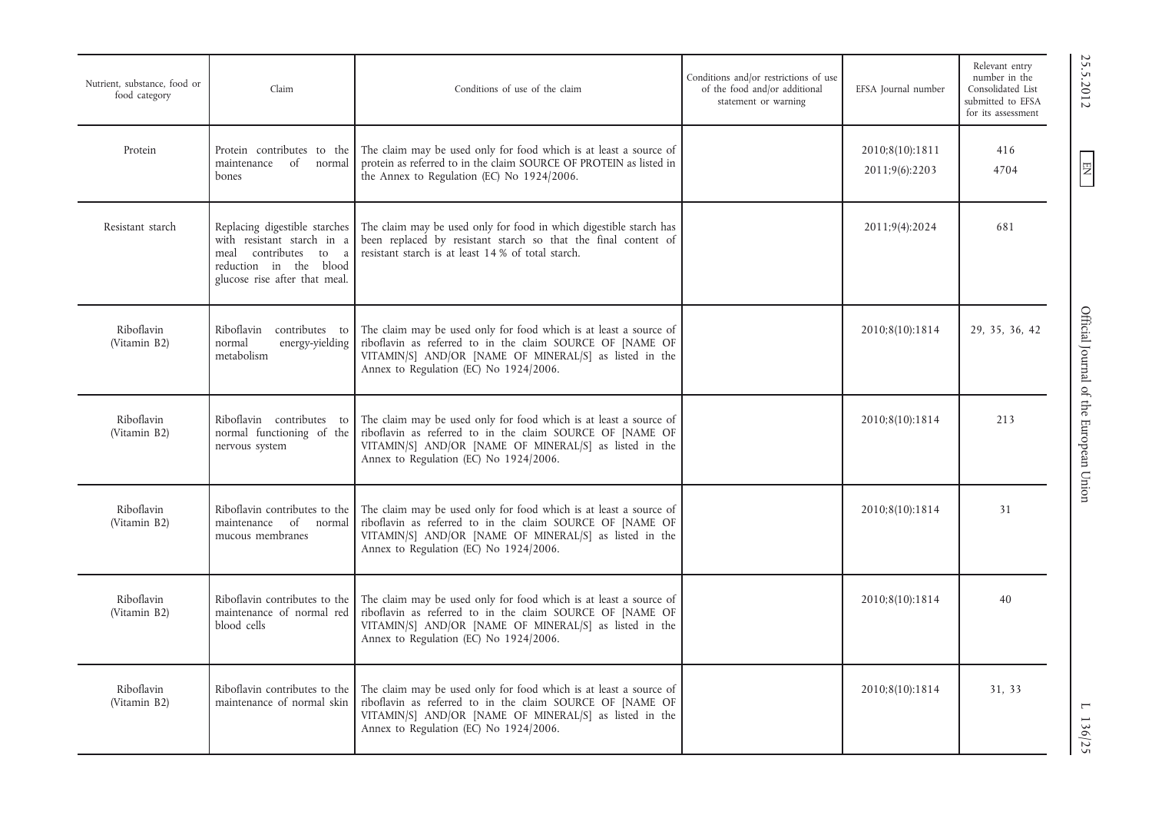| Nutrient, substance, food or<br>food category | Claim                                                                                                                                              | Conditions of use of the claim                                                                                                                                                                                                     | Conditions and/or restrictions of use<br>of the food and/or additional<br>statement or warning | EFSA Journal number               | Relevant entry<br>number in the<br>Consolidated List<br>submitted to EFSA<br>for its assessment |
|-----------------------------------------------|----------------------------------------------------------------------------------------------------------------------------------------------------|------------------------------------------------------------------------------------------------------------------------------------------------------------------------------------------------------------------------------------|------------------------------------------------------------------------------------------------|-----------------------------------|-------------------------------------------------------------------------------------------------|
| Protein                                       | Protein contributes to the<br>of<br>maintenance<br>normal<br>bones                                                                                 | The claim may be used only for food which is at least a source of<br>protein as referred to in the claim SOURCE OF PROTEIN as listed in<br>the Annex to Regulation (EC) No 1924/2006.                                              |                                                                                                | 2010;8(10):1811<br>2011;9(6):2203 | 416<br>4704                                                                                     |
| Resistant starch                              | Replacing digestible starches<br>with resistant starch in a<br>meal contributes to<br>a<br>reduction in the blood<br>glucose rise after that meal. | The claim may be used only for food in which digestible starch has<br>been replaced by resistant starch so that the final content of<br>resistant starch is at least 14 % of total starch.                                         |                                                                                                | 2011;9(4):2024                    | 681                                                                                             |
| Riboflavin<br>(Vitamin B2)                    | Riboflavin contributes to<br>normal<br>energy-yielding<br>metabolism                                                                               | The claim may be used only for food which is at least a source of<br>riboflavin as referred to in the claim SOURCE OF [NAME OF<br>VITAMIN/S] AND/OR [NAME OF MINERAL/S] as listed in the<br>Annex to Regulation (EC) No 1924/2006. |                                                                                                | 2010;8(10):1814                   | 29, 35, 36, 42                                                                                  |
| Riboflavin<br>(Vitamin B2)                    | Riboflavin contributes to<br>normal functioning of the<br>nervous system                                                                           | The claim may be used only for food which is at least a source of<br>riboflavin as referred to in the claim SOURCE OF [NAME OF<br>VITAMIN/S] AND/OR [NAME OF MINERAL/S] as listed in the<br>Annex to Regulation (EC) No 1924/2006. |                                                                                                | 2010;8(10):1814                   | 213                                                                                             |
| Riboflavin<br>(Vitamin B2)                    | Riboflavin contributes to the<br>maintenance of normal<br>mucous membranes                                                                         | The claim may be used only for food which is at least a source of<br>riboflavin as referred to in the claim SOURCE OF [NAME OF<br>VITAMIN/S] AND/OR [NAME OF MINERAL/S] as listed in the<br>Annex to Regulation (EC) No 1924/2006. |                                                                                                | 2010;8(10):1814                   | 31                                                                                              |
| Riboflavin<br>(Vitamin B2)                    | Riboflavin contributes to the<br>maintenance of normal red<br>blood cells                                                                          | The claim may be used only for food which is at least a source of<br>riboflavin as referred to in the claim SOURCE OF [NAME OF<br>VITAMIN/S] AND/OR [NAME OF MINERAL/S] as listed in the<br>Annex to Regulation (EC) No 1924/2006. |                                                                                                | 2010;8(10):1814                   | 40                                                                                              |
| Riboflavin<br>(Vitamin B2)                    | Riboflavin contributes to the<br>maintenance of normal skin                                                                                        | The claim may be used only for food which is at least a source of<br>riboflavin as referred to in the claim SOURCE OF [NAME OF<br>VITAMIN/S] AND/OR [NAME OF MINERAL/S] as listed in the<br>Annex to Regulation (EC) No 1924/2006. |                                                                                                | 2010;8(10):1814                   | 31, 33                                                                                          |

EN

25.5.2012

EN 25.5.2012 Official Journal of the European Union L 136/25Official Journal of the European Union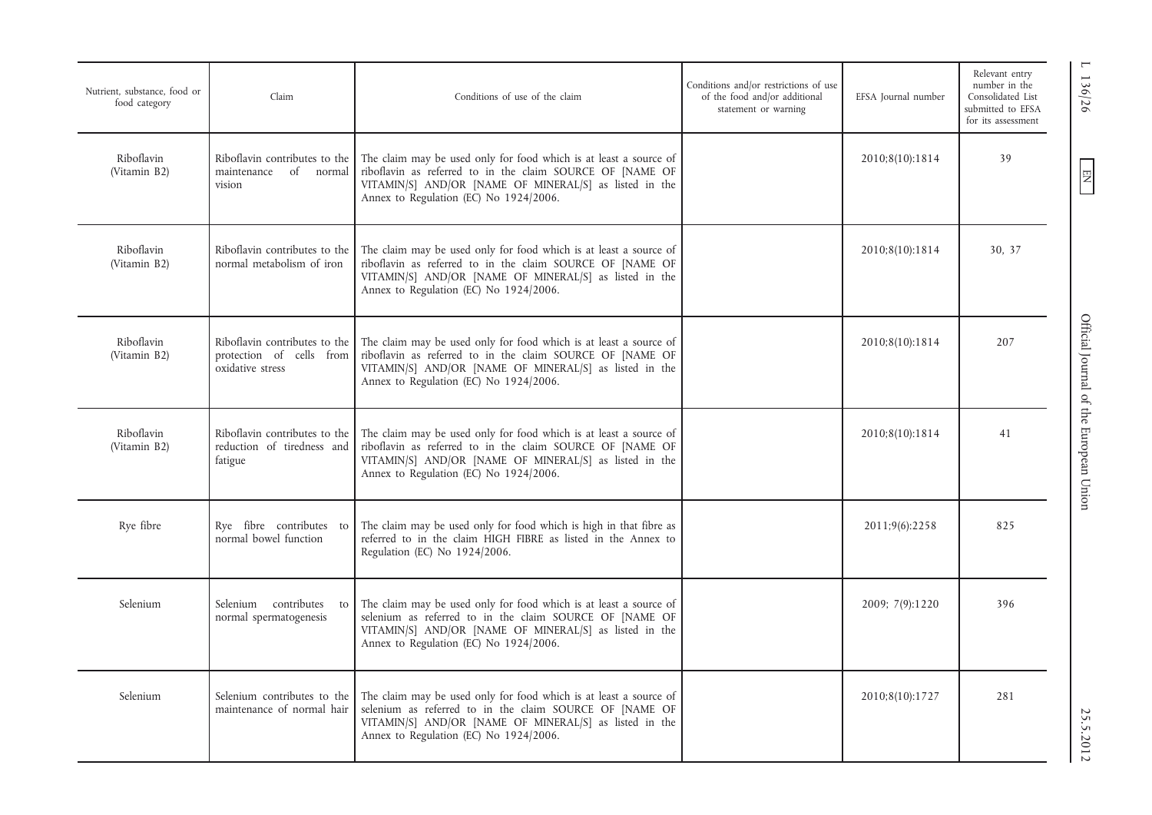| Nutrient, substance, food or<br>food category | Claim                                                                         | Conditions of use of the claim                                                                                                                                                                                                     | Conditions and/or restrictions of use<br>of the food and/or additional<br>statement or warning | EFSA Journal number | Relevant entry<br>number in the<br>Consolidated List<br>submitted to EFSA<br>for its assessment |
|-----------------------------------------------|-------------------------------------------------------------------------------|------------------------------------------------------------------------------------------------------------------------------------------------------------------------------------------------------------------------------------|------------------------------------------------------------------------------------------------|---------------------|-------------------------------------------------------------------------------------------------|
| Riboflavin<br>(Vitamin B2)                    | Riboflavin contributes to the<br>maintenance of normal<br>vision              | The claim may be used only for food which is at least a source of<br>riboflavin as referred to in the claim SOURCE OF [NAME OF<br>VITAMIN/S] AND/OR [NAME OF MINERAL/S] as listed in the<br>Annex to Regulation (EC) No 1924/2006. |                                                                                                | 2010;8(10):1814     | 39                                                                                              |
| Riboflavin<br>(Vitamin B2)                    | Riboflavin contributes to the<br>normal metabolism of iron                    | The claim may be used only for food which is at least a source of<br>riboflavin as referred to in the claim SOURCE OF [NAME OF<br>VITAMIN/S] AND/OR [NAME OF MINERAL/S] as listed in the<br>Annex to Regulation (EC) No 1924/2006. |                                                                                                | 2010;8(10):1814     | 30, 37                                                                                          |
| Riboflavin<br>(Vitamin B2)                    | Riboflavin contributes to the<br>protection of cells from<br>oxidative stress | The claim may be used only for food which is at least a source of<br>riboflavin as referred to in the claim SOURCE OF [NAME OF<br>VITAMIN/S] AND/OR [NAME OF MINERAL/S] as listed in the<br>Annex to Regulation (EC) No 1924/2006. |                                                                                                | 2010;8(10):1814     | 207                                                                                             |
| Riboflavin<br>(Vitamin B2)                    | Riboflavin contributes to the<br>reduction of tiredness and<br>fatigue        | The claim may be used only for food which is at least a source of<br>riboflavin as referred to in the claim SOURCE OF [NAME OF<br>VITAMIN/S] AND/OR [NAME OF MINERAL/S] as listed in the<br>Annex to Regulation (EC) No 1924/2006. |                                                                                                | 2010;8(10):1814     | 41                                                                                              |
| Rye fibre                                     | Rye fibre contributes to<br>normal bowel function                             | The claim may be used only for food which is high in that fibre as<br>referred to in the claim HIGH FIBRE as listed in the Annex to<br>Regulation (EC) No 1924/2006.                                                               |                                                                                                | 2011;9(6):2258      | 825                                                                                             |
| Selenium                                      | Selenium contributes<br>to<br>normal spermatogenesis                          | The claim may be used only for food which is at least a source of<br>selenium as referred to in the claim SOURCE OF [NAME OF<br>VITAMIN/S] AND/OR [NAME OF MINERAL/S] as listed in the<br>Annex to Regulation (EC) No 1924/2006.   |                                                                                                | 2009; 7(9):1220     | 396                                                                                             |
| Selenium                                      | Selenium contributes to the<br>maintenance of normal hair                     | The claim may be used only for food which is at least a source of<br>selenium as referred to in the claim SOURCE OF [NAME OF<br>VITAMIN/S] AND/OR [NAME OF MINERAL/S] as listed in the<br>Annex to Regulation (EC) No 1924/2006.   |                                                                                                | 2010;8(10):1727     | 281                                                                                             |

L 136/26

 $EN$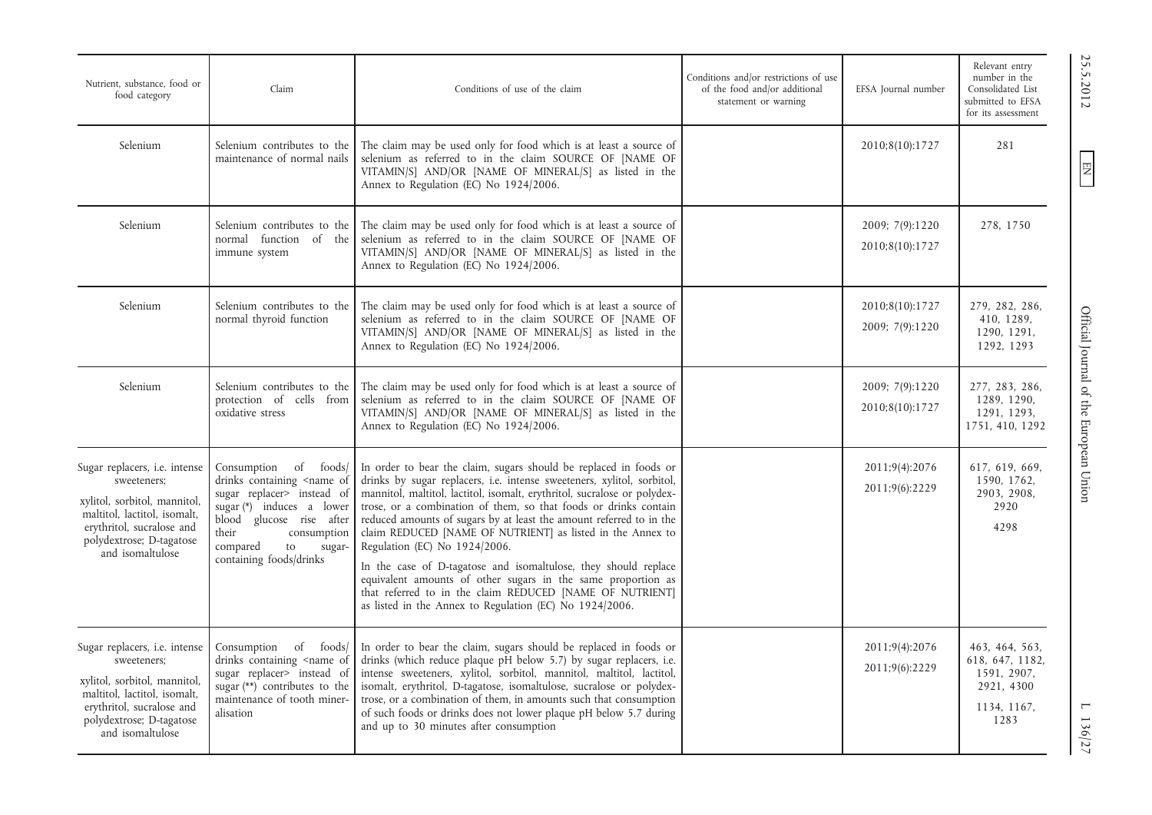| Nutrient, substance, food or<br>food category                                                                                                                                                    | Claim                                                                                                                                                                                                                                                          | Conditions of use of the claim                                                                                                                                                                                                                                                                                                                                                                                                                                                                                                                                                                                                                                                                                                     | Conditions and/or restrictions of use<br>of the food and/or additional<br>statement or warning | EFSA Journal number                | Relevant entry<br>number in the<br>Consolidated List<br>submitted to EFSA<br>for its assessment |
|--------------------------------------------------------------------------------------------------------------------------------------------------------------------------------------------------|----------------------------------------------------------------------------------------------------------------------------------------------------------------------------------------------------------------------------------------------------------------|------------------------------------------------------------------------------------------------------------------------------------------------------------------------------------------------------------------------------------------------------------------------------------------------------------------------------------------------------------------------------------------------------------------------------------------------------------------------------------------------------------------------------------------------------------------------------------------------------------------------------------------------------------------------------------------------------------------------------------|------------------------------------------------------------------------------------------------|------------------------------------|-------------------------------------------------------------------------------------------------|
| Selenium                                                                                                                                                                                         | Selenium contributes to the<br>maintenance of normal nails                                                                                                                                                                                                     | The claim may be used only for food which is at least a source of<br>selenium as referred to in the claim SOURCE OF [NAME OF<br>VITAMIN/S] AND/OR [NAME OF MINERAL/S] as listed in the<br>Annex to Regulation (EC) No 1924/2006.                                                                                                                                                                                                                                                                                                                                                                                                                                                                                                   |                                                                                                | 2010;8(10):1727                    | 281                                                                                             |
| Selenium                                                                                                                                                                                         | Selenium contributes to the<br>normal function of the<br>immune system                                                                                                                                                                                         | The claim may be used only for food which is at least a source of<br>selenium as referred to in the claim SOURCE OF [NAME OF<br>VITAMIN/S] AND/OR [NAME OF MINERAL/S] as listed in the<br>Annex to Regulation (EC) No 1924/2006.                                                                                                                                                                                                                                                                                                                                                                                                                                                                                                   |                                                                                                | 2009; 7(9):1220<br>2010;8(10):1727 | 278, 1750                                                                                       |
| Selenium                                                                                                                                                                                         | Selenium contributes to the<br>normal thyroid function                                                                                                                                                                                                         | The claim may be used only for food which is at least a source of<br>selenium as referred to in the claim SOURCE OF [NAME OF<br>VITAMIN/S] AND/OR [NAME OF MINERAL/S] as listed in the<br>Annex to Regulation (EC) No 1924/2006.                                                                                                                                                                                                                                                                                                                                                                                                                                                                                                   |                                                                                                | 2010;8(10):1727<br>2009; 7(9):1220 | 279, 282, 286,<br>410, 1289,<br>1290, 1291,<br>1292, 1293                                       |
| Selenium                                                                                                                                                                                         | Selenium contributes to the<br>protection of cells from<br>oxidative stress                                                                                                                                                                                    | The claim may be used only for food which is at least a source of<br>selenium as referred to in the claim SOURCE OF [NAME OF<br>VITAMIN/S] AND/OR [NAME OF MINERAL/S] as listed in the<br>Annex to Regulation (EC) No 1924/2006.                                                                                                                                                                                                                                                                                                                                                                                                                                                                                                   |                                                                                                | 2009; 7(9):1220<br>2010;8(10):1727 | 277, 283, 286,<br>1289, 1290,<br>1291, 1293,<br>1751, 410, 1292                                 |
| Sugar replacers, <i>i.e.</i> intense<br>sweeteners;<br>xylitol, sorbitol, mannitol,<br>maltitol, lactitol, isomalt,<br>erythritol, sucralose and<br>polydextrose; D-tagatose<br>and isomaltulose | Consumption<br>of foods/<br>drinks containing <name of<br="">sugar replacer&gt; instead of<br/>sugar <math>(*)</math> induces a lower<br/>blood glucose rise after<br/>their<br/>consumption<br/>compared<br/>to<br/>sugar-<br/>containing foods/drinks</name> | In order to bear the claim, sugars should be replaced in foods or<br>drinks by sugar replacers, <i>i.e.</i> intense sweeteners, xylitol, sorbitol,<br>mannitol, maltitol, lactitol, isomalt, erythritol, sucralose or polydex-<br>trose, or a combination of them, so that foods or drinks contain<br>reduced amounts of sugars by at least the amount referred to in the<br>claim REDUCED [NAME OF NUTRIENT] as listed in the Annex to<br>Regulation (EC) No 1924/2006.<br>In the case of D-tagatose and isomaltulose, they should replace<br>equivalent amounts of other sugars in the same proportion as<br>that referred to in the claim REDUCED [NAME OF NUTRIENT]<br>as listed in the Annex to Regulation (EC) No 1924/2006. |                                                                                                | 2011;9(4):2076<br>2011;9(6):2229   | 617, 619, 669,<br>1590, 1762,<br>2903, 2908,<br>2920<br>4298                                    |
| Sugar replacers, i.e. intense<br>sweeteners;<br>xylitol, sorbitol, mannitol,<br>maltitol, lactitol, isomalt,<br>erythritol, sucralose and<br>polydextrose; D-tagatose<br>and isomaltulose        | Consumption of foods/<br>drinks containing <name of<br="">sugar replacer&gt; instead of<br/>sugar <math>(**)</math> contributes to the<br/>maintenance of tooth miner-<br/>alisation</name>                                                                    | In order to bear the claim, sugars should be replaced in foods or<br>drinks (which reduce plaque pH below 5.7) by sugar replacers, i.e.<br>intense sweeteners, xylitol, sorbitol, mannitol, maltitol, lactitol,<br>isomalt, erythritol, D-tagatose, isomaltulose, sucralose or polydex-<br>trose, or a combination of them, in amounts such that consumption<br>of such foods or drinks does not lower plaque pH below 5.7 during<br>and up to 30 minutes after consumption                                                                                                                                                                                                                                                        |                                                                                                | 2011;9(4):2076<br>2011;9(6):2229   | 463, 464, 563,<br>618, 647, 1182,<br>1591, 2907,<br>2921, 4300<br>1134, 1167,<br>1283           |

25.5.2012

EN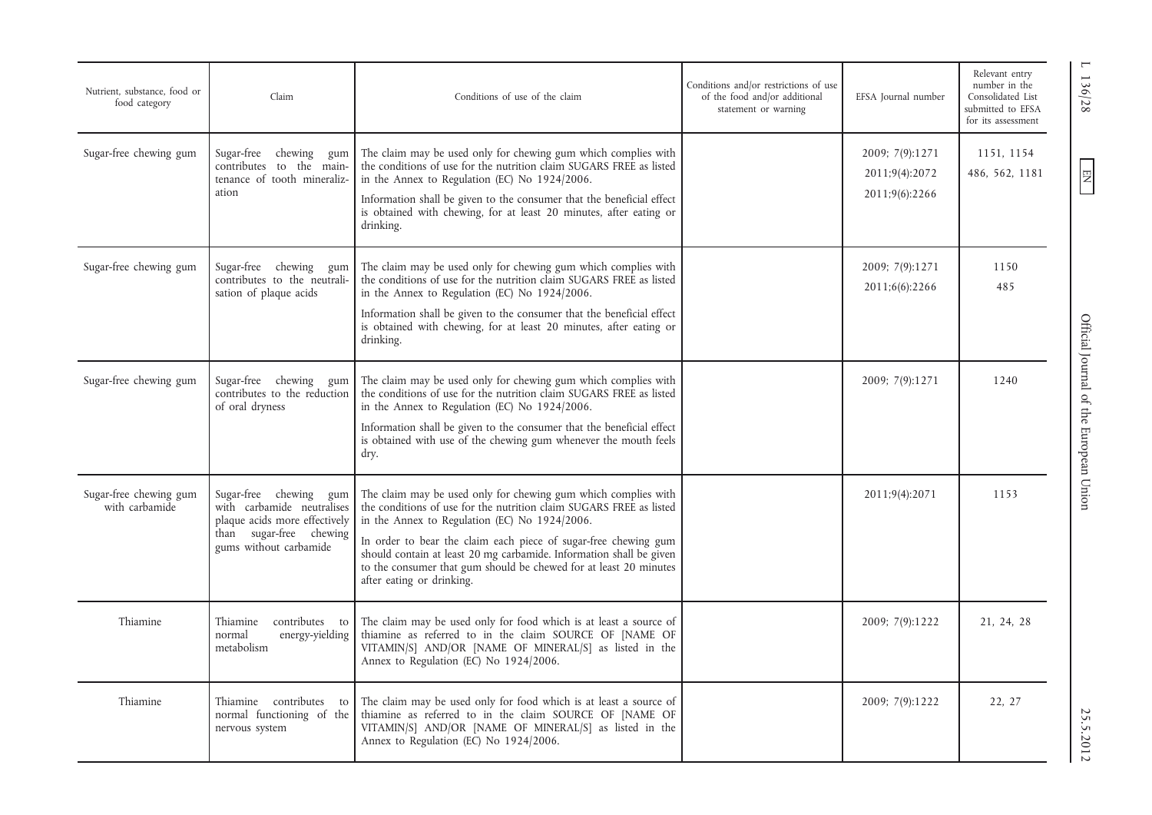| Nutrient, substance, food or<br>food category | Claim                                                                                                                                         | Conditions of use of the claim                                                                                                                                                                                                                                                                                                                                                                                                     | Conditions and/or restrictions of use<br>of the food and/or additional<br>statement or warning | EFSA Journal number                                 | Relevant entry<br>number in the<br>Consolidated List<br>submitted to EFSA<br>for its assessment |
|-----------------------------------------------|-----------------------------------------------------------------------------------------------------------------------------------------------|------------------------------------------------------------------------------------------------------------------------------------------------------------------------------------------------------------------------------------------------------------------------------------------------------------------------------------------------------------------------------------------------------------------------------------|------------------------------------------------------------------------------------------------|-----------------------------------------------------|-------------------------------------------------------------------------------------------------|
| Sugar-free chewing gum                        | Sugar-free chewing gum<br>contributes to the main-<br>tenance of tooth mineraliz-<br>ation                                                    | The claim may be used only for chewing gum which complies with<br>the conditions of use for the nutrition claim SUGARS FREE as listed<br>in the Annex to Regulation (EC) No 1924/2006.<br>Information shall be given to the consumer that the beneficial effect<br>is obtained with chewing, for at least 20 minutes, after eating or<br>drinking.                                                                                 |                                                                                                | 2009; 7(9):1271<br>2011;9(4):2072<br>2011;9(6):2266 | 1151, 1154<br>486, 562, 1181                                                                    |
| Sugar-free chewing gum                        | Sugar-free chewing<br>gum<br>contributes to the neutrali-<br>sation of plaque acids                                                           | The claim may be used only for chewing gum which complies with<br>the conditions of use for the nutrition claim SUGARS FREE as listed<br>in the Annex to Regulation (EC) No 1924/2006.<br>Information shall be given to the consumer that the beneficial effect<br>is obtained with chewing, for at least 20 minutes, after eating or<br>drinking.                                                                                 |                                                                                                | 2009; 7(9):1271<br>2011;6(6):2266                   | 1150<br>485                                                                                     |
| Sugar-free chewing gum                        | Sugar-free chewing<br>gum<br>contributes to the reduction<br>of oral dryness                                                                  | The claim may be used only for chewing gum which complies with<br>the conditions of use for the nutrition claim SUGARS FREE as listed<br>in the Annex to Regulation (EC) No 1924/2006.<br>Information shall be given to the consumer that the beneficial effect<br>is obtained with use of the chewing gum whenever the mouth feels<br>dry.                                                                                        |                                                                                                | 2009; 7(9):1271                                     | 1240                                                                                            |
| Sugar-free chewing gum<br>with carbamide      | Sugar-free chewing<br>gum<br>with carbamide neutralises<br>plaque acids more effectively<br>than sugar-free chewing<br>gums without carbamide | The claim may be used only for chewing gum which complies with<br>the conditions of use for the nutrition claim SUGARS FREE as listed<br>in the Annex to Regulation (EC) No 1924/2006.<br>In order to bear the claim each piece of sugar-free chewing gum<br>should contain at least 20 mg carbamide. Information shall be given<br>to the consumer that gum should be chewed for at least 20 minutes<br>after eating or drinking. |                                                                                                | 2011;9(4):2071                                      | 1153                                                                                            |
| Thiamine                                      | Thiamine<br>contributes to<br>normal<br>energy-yielding<br>metabolism                                                                         | The claim may be used only for food which is at least a source of<br>thiamine as referred to in the claim SOURCE OF [NAME OF<br>VITAMIN/S] AND/OR [NAME OF MINERAL/S] as listed in the<br>Annex to Regulation (EC) No 1924/2006.                                                                                                                                                                                                   |                                                                                                | 2009; 7(9):1222                                     | 21, 24, 28                                                                                      |
| Thiamine                                      | Thiamine contributes to<br>normal functioning of the<br>nervous system                                                                        | The claim may be used only for food which is at least a source of<br>thiamine as referred to in the claim SOURCE OF [NAME OF<br>VITAMIN/S] AND/OR [NAME OF MINERAL/S] as listed in the<br>Annex to Regulation (EC) No 1924/2006.                                                                                                                                                                                                   |                                                                                                | 2009; 7(9):1222                                     | 22, 27                                                                                          |

EN L 136/28 Official Journal of the European Union 25.5.2012 25.5.2012 Official Journal of the European Union

L 136/28

 $\boxed{\phantom{\text{N}}}{\mathbf{N}}$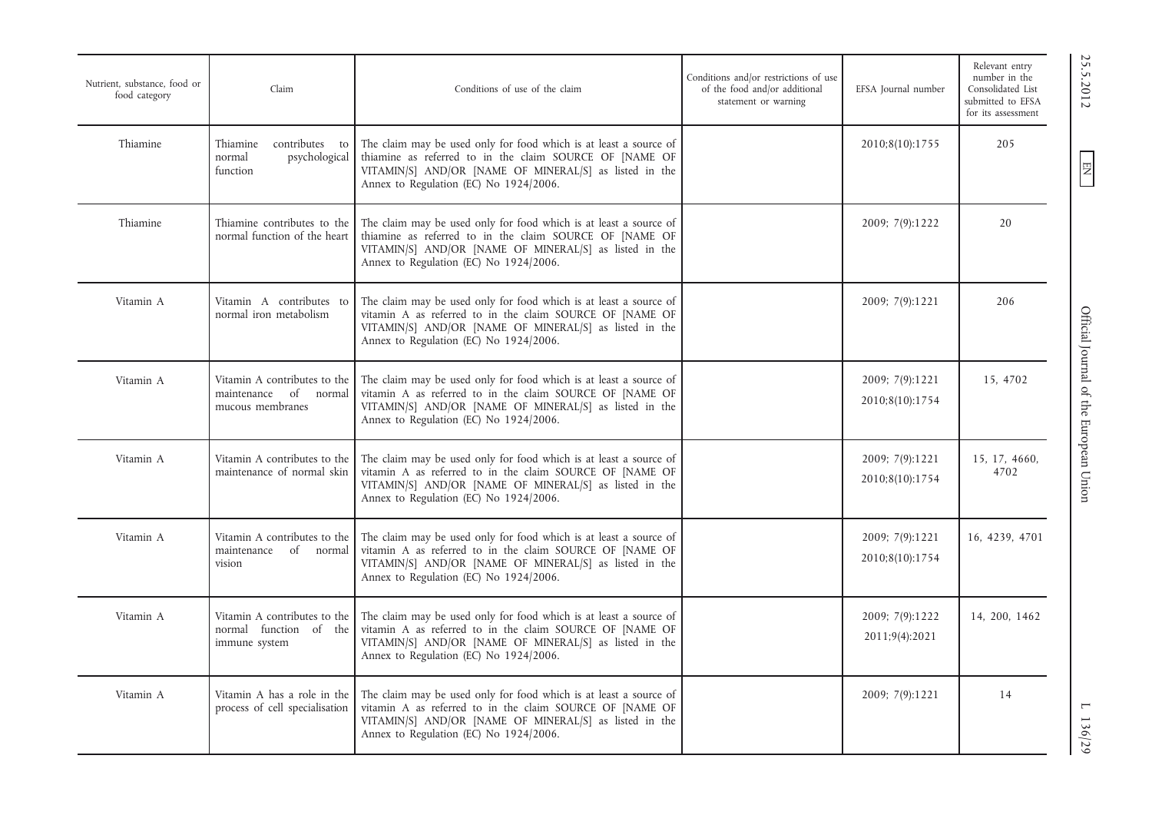| Nutrient, substance, food or<br>food category | Claim                                                                           | Conditions of use of the claim                                                                                                                                                                                                    | Conditions and/or restrictions of use<br>of the food and/or additional<br>statement or warning | EFSA Journal number                | Relevant entry<br>number in the<br>Consolidated List<br>submitted to EFSA<br>for its assessment |
|-----------------------------------------------|---------------------------------------------------------------------------------|-----------------------------------------------------------------------------------------------------------------------------------------------------------------------------------------------------------------------------------|------------------------------------------------------------------------------------------------|------------------------------------|-------------------------------------------------------------------------------------------------|
| Thiamine                                      | Thiamine<br>contributes to<br>psychological<br>normal<br>function               | The claim may be used only for food which is at least a source of<br>thiamine as referred to in the claim SOURCE OF [NAME OF<br>VITAMIN/S] AND/OR [NAME OF MINERAL/S] as listed in the<br>Annex to Regulation (EC) No 1924/2006.  |                                                                                                | 2010;8(10):1755                    | 205                                                                                             |
| Thiamine                                      | Thiamine contributes to the<br>normal function of the heart                     | The claim may be used only for food which is at least a source of<br>thiamine as referred to in the claim SOURCE OF [NAME OF<br>VITAMIN/S] AND/OR [NAME OF MINERAL/S] as listed in the<br>Annex to Regulation (EC) No 1924/2006.  |                                                                                                | 2009; 7(9):1222                    | 20                                                                                              |
| Vitamin A                                     | Vitamin A contributes to<br>normal iron metabolism                              | The claim may be used only for food which is at least a source of<br>vitamin A as referred to in the claim SOURCE OF [NAME OF<br>VITAMIN/S] AND/OR [NAME OF MINERAL/S] as listed in the<br>Annex to Regulation (EC) No 1924/2006. |                                                                                                | 2009; 7(9):1221                    | 206                                                                                             |
| Vitamin A                                     | Vitamin A contributes to the<br>of<br>maintenance<br>normal<br>mucous membranes | The claim may be used only for food which is at least a source of<br>vitamin A as referred to in the claim SOURCE OF [NAME OF<br>VITAMIN/S] AND/OR [NAME OF MINERAL/S] as listed in the<br>Annex to Regulation (EC) No 1924/2006. |                                                                                                | 2009; 7(9):1221<br>2010;8(10):1754 | 15, 4702                                                                                        |
| Vitamin A                                     | Vitamin A contributes to the<br>maintenance of normal skin                      | The claim may be used only for food which is at least a source of<br>vitamin A as referred to in the claim SOURCE OF [NAME OF<br>VITAMIN/S] AND/OR [NAME OF MINERAL/S] as listed in the<br>Annex to Regulation (EC) No 1924/2006. |                                                                                                | 2009; 7(9):1221<br>2010;8(10):1754 | 15, 17, 4660,<br>4702                                                                           |
| Vitamin A                                     | Vitamin A contributes to the<br>maintenance of normal<br>vision                 | The claim may be used only for food which is at least a source of<br>vitamin A as referred to in the claim SOURCE OF [NAME OF<br>VITAMIN/S] AND/OR [NAME OF MINERAL/S] as listed in the<br>Annex to Regulation (EC) No 1924/2006. |                                                                                                | 2009; 7(9):1221<br>2010;8(10):1754 | 16, 4239, 4701                                                                                  |
| Vitamin A                                     | Vitamin A contributes to the<br>normal function of the<br>immune system         | The claim may be used only for food which is at least a source of<br>vitamin A as referred to in the claim SOURCE OF [NAME OF<br>VITAMIN/S] AND/OR [NAME OF MINERAL/S] as listed in the<br>Annex to Regulation (EC) No 1924/2006. |                                                                                                | 2009; 7(9):1222<br>2011;9(4):2021  | 14, 200, 1462                                                                                   |
| Vitamin A                                     | Vitamin A has a role in the<br>process of cell specialisation                   | The claim may be used only for food which is at least a source of<br>vitamin A as referred to in the claim SOURCE OF [NAME OF<br>VITAMIN/S] AND/OR [NAME OF MINERAL/S] as listed in the<br>Annex to Regulation (EC) No 1924/2006. |                                                                                                | 2009; 7(9):1221                    | 14                                                                                              |

 $EN$ 

 $\frac{1136}{29}$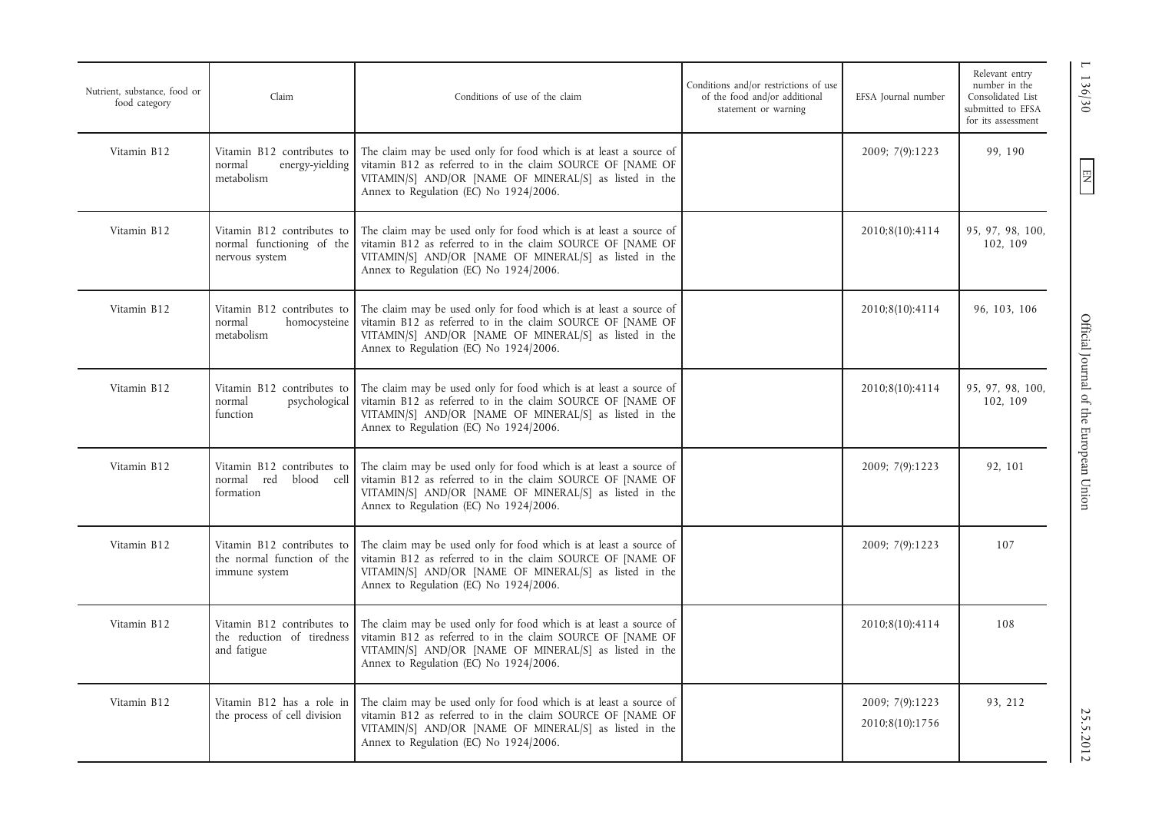| Nutrient, substance, food or<br>food category | Claim                                                                     | Conditions of use of the claim                                                                                                                                                                                                      | Conditions and/or restrictions of use<br>of the food and/or additional<br>statement or warning | EFSA Journal number                | Relevant entry<br>number in the<br>Consolidated List<br>submitted to EFSA<br>for its assessment |
|-----------------------------------------------|---------------------------------------------------------------------------|-------------------------------------------------------------------------------------------------------------------------------------------------------------------------------------------------------------------------------------|------------------------------------------------------------------------------------------------|------------------------------------|-------------------------------------------------------------------------------------------------|
| Vitamin B12                                   | Vitamin B12 contributes to<br>energy-yielding<br>normal<br>metabolism     | The claim may be used only for food which is at least a source of<br>vitamin B12 as referred to in the claim SOURCE OF [NAME OF<br>VITAMIN/S] AND/OR [NAME OF MINERAL/S] as listed in the<br>Annex to Regulation (EC) No 1924/2006. |                                                                                                | 2009; 7(9):1223                    | 99, 190                                                                                         |
| Vitamin B12                                   | Vitamin B12 contributes to<br>normal functioning of the<br>nervous system | The claim may be used only for food which is at least a source of<br>vitamin B12 as referred to in the claim SOURCE OF [NAME OF<br>VITAMIN/S] AND/OR [NAME OF MINERAL/S] as listed in the<br>Annex to Regulation (EC) No 1924/2006. |                                                                                                | 2010;8(10):4114                    | 95, 97, 98, 100,<br>102, 109                                                                    |
| Vitamin B12                                   | Vitamin B12 contributes to<br>normal<br>homocysteine<br>metabolism        | The claim may be used only for food which is at least a source of<br>vitamin B12 as referred to in the claim SOURCE OF [NAME OF<br>VITAMIN/S] AND/OR [NAME OF MINERAL/S] as listed in the<br>Annex to Regulation (EC) No 1924/2006. |                                                                                                | 2010;8(10):4114                    | 96, 103, 106                                                                                    |
| Vitamin B12                                   | Vitamin B12 contributes to<br>normal<br>psychological<br>function         | The claim may be used only for food which is at least a source of<br>vitamin B12 as referred to in the claim SOURCE OF [NAME OF<br>VITAMIN/S] AND/OR [NAME OF MINERAL/S] as listed in the<br>Annex to Regulation (EC) No 1924/2006. |                                                                                                | 2010;8(10):4114                    | 95, 97, 98, 100,<br>102, 109                                                                    |
| Vitamin B12                                   | Vitamin B12 contributes to<br>normal<br>red<br>blood cell<br>formation    | The claim may be used only for food which is at least a source of<br>vitamin B12 as referred to in the claim SOURCE OF [NAME OF<br>VITAMIN/S] AND/OR [NAME OF MINERAL/S] as listed in the<br>Annex to Regulation (EC) No 1924/2006. |                                                                                                | 2009; 7(9):1223                    | 92, 101                                                                                         |
| Vitamin B12                                   | Vitamin B12 contributes to<br>the normal function of the<br>immune system | The claim may be used only for food which is at least a source of<br>vitamin B12 as referred to in the claim SOURCE OF [NAME OF<br>VITAMIN/S] AND/OR [NAME OF MINERAL/S] as listed in the<br>Annex to Regulation (EC) No 1924/2006. |                                                                                                | 2009; 7(9):1223                    | 107                                                                                             |
| Vitamin B12                                   | Vitamin B12 contributes to<br>the reduction of tiredness<br>and fatigue   | The claim may be used only for food which is at least a source of<br>vitamin B12 as referred to in the claim SOURCE OF [NAME OF<br>VITAMIN/S] AND/OR [NAME OF MINERAL/S] as listed in the<br>Annex to Regulation (EC) No 1924/2006. |                                                                                                | 2010;8(10):4114                    | 108                                                                                             |
| Vitamin B12                                   | Vitamin B12 has a role in<br>the process of cell division                 | The claim may be used only for food which is at least a source of<br>vitamin B12 as referred to in the claim SOURCE OF [NAME OF<br>VITAMIN/S] AND/OR [NAME OF MINERAL/S] as listed in the<br>Annex to Regulation (EC) No 1924/2006. |                                                                                                | 2009; 7(9):1223<br>2010;8(10):1756 | 93, 212                                                                                         |

L 136/30 Official Journal of the European Union 25.5.2012 25.5.2012 25.5.2012 25.5.2012 Official Journal of the European Union

1 136/30

 $EN$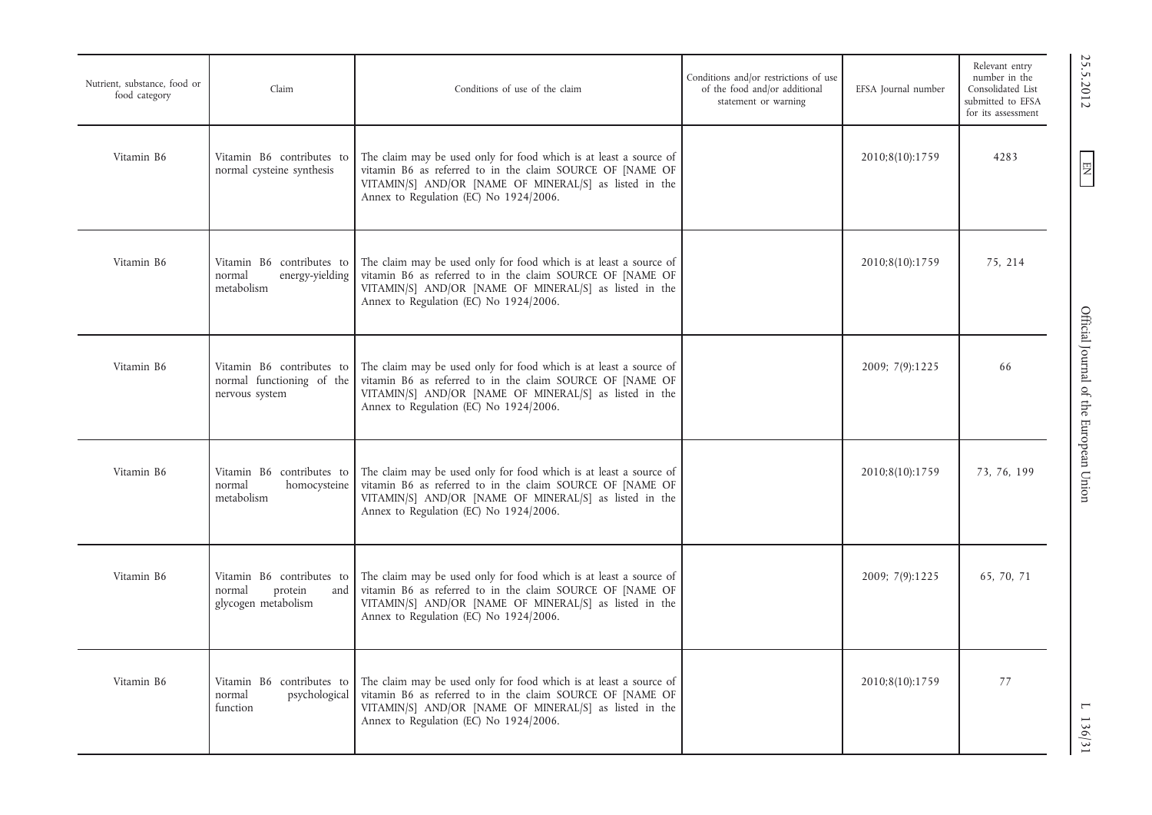| Nutrient, substance, food or<br>food category | Claim                                                                        | Conditions of use of the claim                                                                                                                                                                                                     | Conditions and/or restrictions of use<br>of the food and/or additional<br>statement or warning | EFSA Journal number | Relevant entry<br>number in the<br>Consolidated List<br>submitted to EFSA<br>for its assessment |
|-----------------------------------------------|------------------------------------------------------------------------------|------------------------------------------------------------------------------------------------------------------------------------------------------------------------------------------------------------------------------------|------------------------------------------------------------------------------------------------|---------------------|-------------------------------------------------------------------------------------------------|
| Vitamin B6                                    | Vitamin B6 contributes to<br>normal cysteine synthesis                       | The claim may be used only for food which is at least a source of<br>vitamin B6 as referred to in the claim SOURCE OF [NAME OF<br>VITAMIN/S] AND/OR [NAME OF MINERAL/S] as listed in the<br>Annex to Regulation (EC) No 1924/2006. |                                                                                                | 2010;8(10):1759     | 4283                                                                                            |
| Vitamin B6                                    | Vitamin B6 contributes to<br>normal<br>energy-yielding<br>metabolism         | The claim may be used only for food which is at least a source of<br>vitamin B6 as referred to in the claim SOURCE OF [NAME OF<br>VITAMIN/S] AND/OR [NAME OF MINERAL/S] as listed in the<br>Annex to Regulation (EC) No 1924/2006. |                                                                                                | 2010;8(10):1759     | 75, 214                                                                                         |
| Vitamin B6                                    | Vitamin B6 contributes to<br>normal functioning of the<br>nervous system     | The claim may be used only for food which is at least a source of<br>vitamin B6 as referred to in the claim SOURCE OF [NAME OF<br>VITAMIN/S] AND/OR [NAME OF MINERAL/S] as listed in the<br>Annex to Regulation (EC) No 1924/2006. |                                                                                                | 2009; 7(9):1225     | 66                                                                                              |
| Vitamin B6                                    | Vitamin B6 contributes to<br>normal<br>homocysteine<br>metabolism            | The claim may be used only for food which is at least a source of<br>vitamin B6 as referred to in the claim SOURCE OF [NAME OF<br>VITAMIN/S] AND/OR [NAME OF MINERAL/S] as listed in the<br>Annex to Regulation (EC) No 1924/2006. |                                                                                                | 2010;8(10):1759     | 73, 76, 199                                                                                     |
| Vitamin B6                                    | Vitamin B6 contributes to<br>protein<br>normal<br>and<br>glycogen metabolism | The claim may be used only for food which is at least a source of<br>vitamin B6 as referred to in the claim SOURCE OF [NAME OF<br>VITAMIN/S] AND/OR [NAME OF MINERAL/S] as listed in the<br>Annex to Regulation (EC) No 1924/2006. |                                                                                                | 2009; 7(9):1225     | 65, 70, 71                                                                                      |
| Vitamin B6                                    | Vitamin B6 contributes to<br>psychological<br>normal<br>function             | The claim may be used only for food which is at least a source of<br>vitamin B6 as referred to in the claim SOURCE OF [NAME OF<br>VITAMIN/S] AND/OR [NAME OF MINERAL/S] as listed in the<br>Annex to Regulation (EC) No 1924/2006. |                                                                                                | 2010;8(10):1759     | 77                                                                                              |

25.5.2012

EN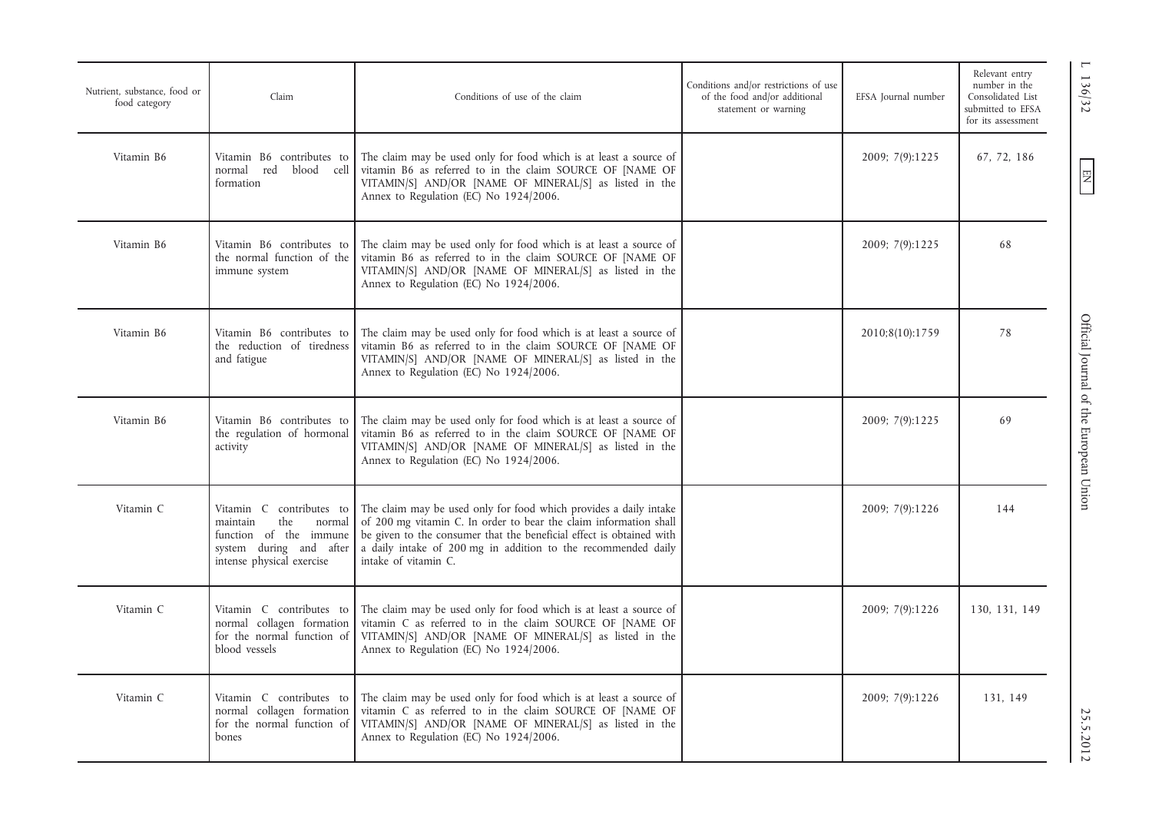| Nutrient, substance, food or<br>food category | Claim                                                                                                                                   | Conditions of use of the claim                                                                                                                                                                                                                                                                          | Conditions and/or restrictions of use<br>of the food and/or additional<br>statement or warning | EFSA Journal number | Relevant entry<br>number in the<br>Consolidated List<br>submitted to EFSA<br>for its assessment |
|-----------------------------------------------|-----------------------------------------------------------------------------------------------------------------------------------------|---------------------------------------------------------------------------------------------------------------------------------------------------------------------------------------------------------------------------------------------------------------------------------------------------------|------------------------------------------------------------------------------------------------|---------------------|-------------------------------------------------------------------------------------------------|
| Vitamin B6                                    | Vitamin B6 contributes to<br>red<br>blood cell<br>normal<br>formation                                                                   | The claim may be used only for food which is at least a source of<br>vitamin B6 as referred to in the claim SOURCE OF [NAME OF<br>VITAMIN/S] AND/OR [NAME OF MINERAL/S] as listed in the<br>Annex to Regulation (EC) No 1924/2006.                                                                      |                                                                                                | 2009; 7(9):1225     | 67, 72, 186                                                                                     |
| Vitamin B6                                    | Vitamin B6 contributes to<br>the normal function of the<br>immune system                                                                | The claim may be used only for food which is at least a source of<br>vitamin B6 as referred to in the claim SOURCE OF [NAME OF<br>VITAMIN/S] AND/OR [NAME OF MINERAL/S] as listed in the<br>Annex to Regulation (EC) No 1924/2006.                                                                      |                                                                                                | 2009; 7(9):1225     | 68                                                                                              |
| Vitamin B6                                    | Vitamin B6 contributes to<br>the reduction of tiredness<br>and fatigue                                                                  | The claim may be used only for food which is at least a source of<br>vitamin B6 as referred to in the claim SOURCE OF [NAME OF<br>VITAMIN/S] AND/OR [NAME OF MINERAL/S] as listed in the<br>Annex to Regulation (EC) No 1924/2006.                                                                      |                                                                                                | 2010;8(10):1759     | 78                                                                                              |
| Vitamin B6                                    | Vitamin B6 contributes to<br>the regulation of hormonal<br>activity                                                                     | The claim may be used only for food which is at least a source of<br>vitamin B6 as referred to in the claim SOURCE OF [NAME OF<br>VITAMIN/S] AND/OR [NAME OF MINERAL/S] as listed in the<br>Annex to Regulation (EC) No 1924/2006.                                                                      |                                                                                                | 2009; 7(9):1225     | 69                                                                                              |
| Vitamin C                                     | Vitamin C contributes to<br>the<br>maintain<br>normal<br>function of the immune<br>system during and after<br>intense physical exercise | The claim may be used only for food which provides a daily intake<br>of 200 mg vitamin C. In order to bear the claim information shall<br>be given to the consumer that the beneficial effect is obtained with<br>a daily intake of 200 mg in addition to the recommended daily<br>intake of vitamin C. |                                                                                                | 2009; 7(9):1226     | 144                                                                                             |
| Vitamin C                                     | Vitamin C contributes to<br>normal collagen formation<br>for the normal function of<br>blood vessels                                    | The claim may be used only for food which is at least a source of<br>vitamin C as referred to in the claim SOURCE OF [NAME OF<br>VITAMIN/S] AND/OR [NAME OF MINERAL/S] as listed in the<br>Annex to Regulation (EC) No 1924/2006.                                                                       |                                                                                                | 2009; 7(9):1226     | 130, 131, 149                                                                                   |
| Vitamin C                                     | Vitamin C contributes to<br>normal collagen formation<br>for the normal function of<br>bones                                            | The claim may be used only for food which is at least a source of<br>vitamin C as referred to in the claim SOURCE OF [NAME OF<br>VITAMIN/S] AND/OR [NAME OF MINERAL/S] as listed in the<br>Annex to Regulation (EC) No 1924/2006.                                                                       |                                                                                                | 2009; 7(9):1226     | 131, 149                                                                                        |

EN L 136/32 Official Journal of the European Union 25.5.2012 25.5.2012 25.5.2012 25.5.2012 25.5.2012 25.5.2012 25.5.2012 25.5.2012 25.00 Official Journal of the European Union

 $1136/32$ 

 $EN$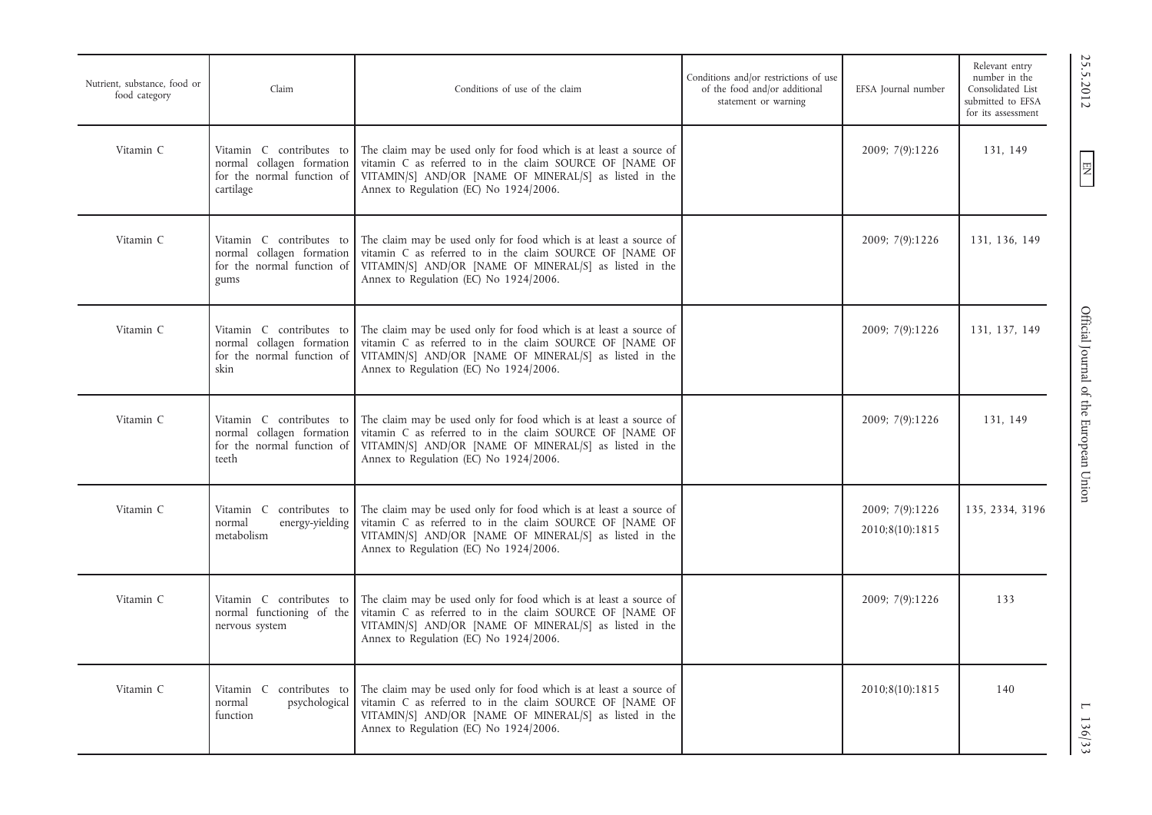| Nutrient, substance, food or<br>food category | Claim                                                                                            | Conditions of use of the claim                                                                                                                                                                                                    | Conditions and/or restrictions of use<br>of the food and/or additional<br>statement or warning | EFSA Journal number                | Relevant entry<br>number in the<br>Consolidated List<br>submitted to EFSA<br>for its assessment |
|-----------------------------------------------|--------------------------------------------------------------------------------------------------|-----------------------------------------------------------------------------------------------------------------------------------------------------------------------------------------------------------------------------------|------------------------------------------------------------------------------------------------|------------------------------------|-------------------------------------------------------------------------------------------------|
| Vitamin C                                     | Vitamin C contributes to<br>normal collagen formation<br>for the normal function of<br>cartilage | The claim may be used only for food which is at least a source of<br>vitamin C as referred to in the claim SOURCE OF [NAME OF<br>VITAMIN/S] AND/OR [NAME OF MINERAL/S] as listed in the<br>Annex to Regulation (EC) No 1924/2006. |                                                                                                | 2009; 7(9):1226                    | 131, 149                                                                                        |
| Vitamin C                                     | Vitamin C contributes to<br>normal collagen formation<br>for the normal function of<br>gums      | The claim may be used only for food which is at least a source of<br>vitamin C as referred to in the claim SOURCE OF [NAME OF<br>VITAMIN/S] AND/OR [NAME OF MINERAL/S] as listed in the<br>Annex to Regulation (EC) No 1924/2006. |                                                                                                | 2009; 7(9):1226                    | 131, 136, 149                                                                                   |
| Vitamin C                                     | Vitamin C contributes to<br>normal collagen formation<br>for the normal function of<br>skin      | The claim may be used only for food which is at least a source of<br>vitamin C as referred to in the claim SOURCE OF [NAME OF<br>VITAMIN/S] AND/OR [NAME OF MINERAL/S] as listed in the<br>Annex to Regulation (EC) No 1924/2006. |                                                                                                | 2009; 7(9):1226                    | 131, 137, 149                                                                                   |
| Vitamin C                                     | Vitamin C contributes to<br>normal collagen formation<br>for the normal function of<br>teeth     | The claim may be used only for food which is at least a source of<br>vitamin C as referred to in the claim SOURCE OF [NAME OF<br>VITAMIN/S] AND/OR [NAME OF MINERAL/S] as listed in the<br>Annex to Regulation (EC) No 1924/2006. |                                                                                                | 2009; 7(9):1226                    | 131, 149                                                                                        |
| Vitamin C                                     | Vitamin C contributes to<br>energy-yielding<br>normal<br>metabolism                              | The claim may be used only for food which is at least a source of<br>vitamin C as referred to in the claim SOURCE OF [NAME OF<br>VITAMIN/S] AND/OR [NAME OF MINERAL/S] as listed in the<br>Annex to Regulation (EC) No 1924/2006. |                                                                                                | 2009; 7(9):1226<br>2010;8(10):1815 | 135, 2334, 3196                                                                                 |
| Vitamin C                                     | Vitamin C contributes to<br>normal functioning of the<br>nervous system                          | The claim may be used only for food which is at least a source of<br>vitamin C as referred to in the claim SOURCE OF [NAME OF<br>VITAMIN/S] AND/OR [NAME OF MINERAL/S] as listed in the<br>Annex to Regulation (EC) No 1924/2006. |                                                                                                | 2009; 7(9):1226                    | 133                                                                                             |
| Vitamin C                                     | contributes to<br>Vitamin C<br>psychological<br>normal<br>function                               | The claim may be used only for food which is at least a source of<br>vitamin C as referred to in the claim SOURCE OF [NAME OF<br>VITAMIN/S] AND/OR [NAME OF MINERAL/S] as listed in the<br>Annex to Regulation (EC) No 1924/2006. |                                                                                                | 2010;8(10):1815                    | 140                                                                                             |

 $EN$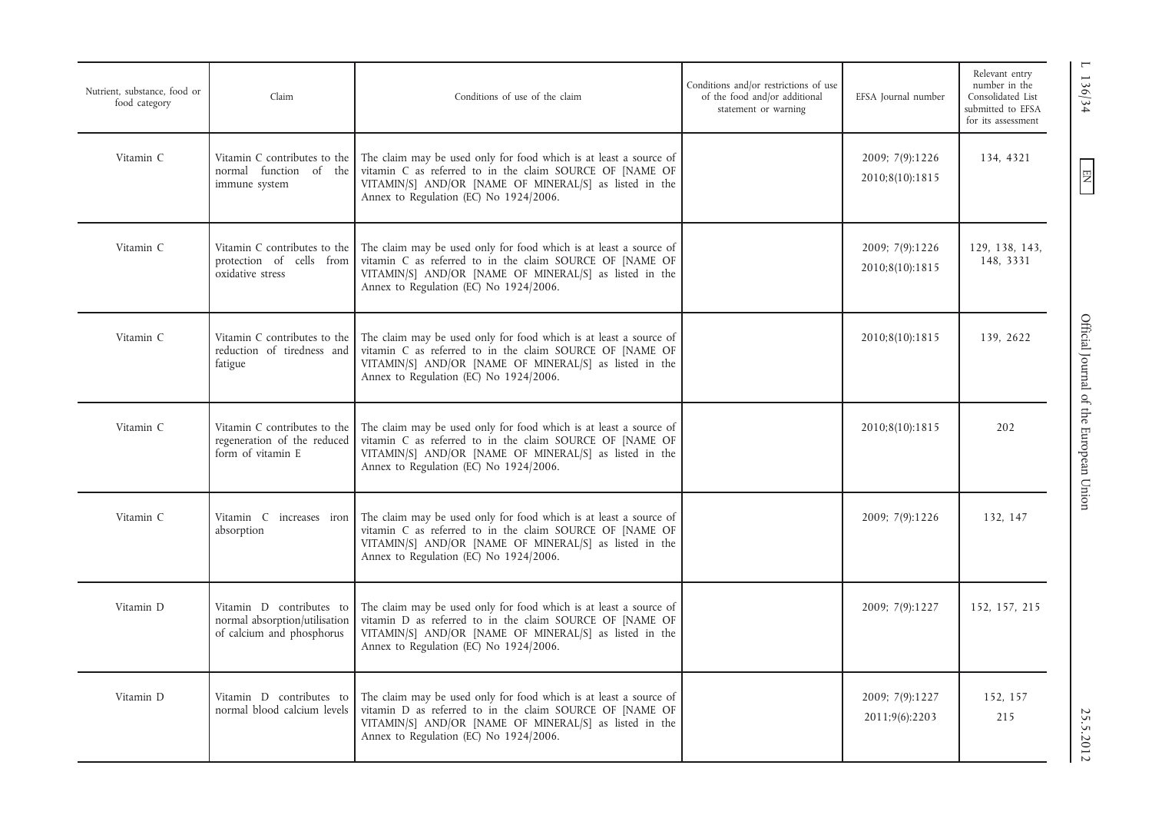| Nutrient, substance, food or<br>food category | Claim                                                                                  | Conditions of use of the claim                                                                                                                                                                                                    | Conditions and/or restrictions of use<br>of the food and/or additional<br>statement or warning | EFSA Journal number                | Relevant entry<br>number in the<br>Consolidated List<br>submitted to EFSA<br>for its assessment |
|-----------------------------------------------|----------------------------------------------------------------------------------------|-----------------------------------------------------------------------------------------------------------------------------------------------------------------------------------------------------------------------------------|------------------------------------------------------------------------------------------------|------------------------------------|-------------------------------------------------------------------------------------------------|
| Vitamin C                                     | Vitamin C contributes to the<br>normal function of the<br>immune system                | The claim may be used only for food which is at least a source of<br>vitamin C as referred to in the claim SOURCE OF [NAME OF<br>VITAMIN/S] AND/OR [NAME OF MINERAL/S] as listed in the<br>Annex to Regulation (EC) No 1924/2006. |                                                                                                | 2009; 7(9):1226<br>2010;8(10):1815 | 134, 4321                                                                                       |
| Vitamin C                                     | Vitamin C contributes to the<br>protection of cells from<br>oxidative stress           | The claim may be used only for food which is at least a source of<br>vitamin C as referred to in the claim SOURCE OF [NAME OF<br>VITAMIN/S] AND/OR [NAME OF MINERAL/S] as listed in the<br>Annex to Regulation (EC) No 1924/2006. |                                                                                                | 2009; 7(9):1226<br>2010;8(10):1815 | 129, 138, 143,<br>148, 3331                                                                     |
| Vitamin C                                     | Vitamin C contributes to the<br>reduction of tiredness and<br>fatigue                  | The claim may be used only for food which is at least a source of<br>vitamin C as referred to in the claim SOURCE OF [NAME OF<br>VITAMIN/S] AND/OR [NAME OF MINERAL/S] as listed in the<br>Annex to Regulation (EC) No 1924/2006. |                                                                                                | 2010;8(10):1815                    | 139, 2622                                                                                       |
| Vitamin C                                     | Vitamin C contributes to the<br>regeneration of the reduced<br>form of vitamin E       | The claim may be used only for food which is at least a source of<br>vitamin C as referred to in the claim SOURCE OF [NAME OF<br>VITAMIN/S] AND/OR [NAME OF MINERAL/S] as listed in the<br>Annex to Regulation (EC) No 1924/2006. |                                                                                                | 2010;8(10):1815                    | 202                                                                                             |
| Vitamin C                                     | Vitamin C increases iron<br>absorption                                                 | The claim may be used only for food which is at least a source of<br>vitamin C as referred to in the claim SOURCE OF [NAME OF<br>VITAMIN/S] AND/OR [NAME OF MINERAL/S] as listed in the<br>Annex to Regulation (EC) No 1924/2006. |                                                                                                | 2009; 7(9):1226                    | 132, 147                                                                                        |
| Vitamin D                                     | Vitamin D contributes to<br>normal absorption/utilisation<br>of calcium and phosphorus | The claim may be used only for food which is at least a source of<br>vitamin D as referred to in the claim SOURCE OF [NAME OF<br>VITAMIN/S] AND/OR [NAME OF MINERAL/S] as listed in the<br>Annex to Regulation (EC) No 1924/2006. |                                                                                                | 2009; 7(9):1227                    | 152, 157, 215                                                                                   |
| Vitamin D                                     | Vitamin D contributes to<br>normal blood calcium levels                                | The claim may be used only for food which is at least a source of<br>vitamin D as referred to in the claim SOURCE OF [NAME OF<br>VITAMIN/S] AND/OR [NAME OF MINERAL/S] as listed in the<br>Annex to Regulation (EC) No 1924/2006. |                                                                                                | 2009; 7(9):1227<br>2011;9(6):2203  | 152.157<br>215                                                                                  |
|                                               |                                                                                        |                                                                                                                                                                                                                                   |                                                                                                |                                    |                                                                                                 |

EN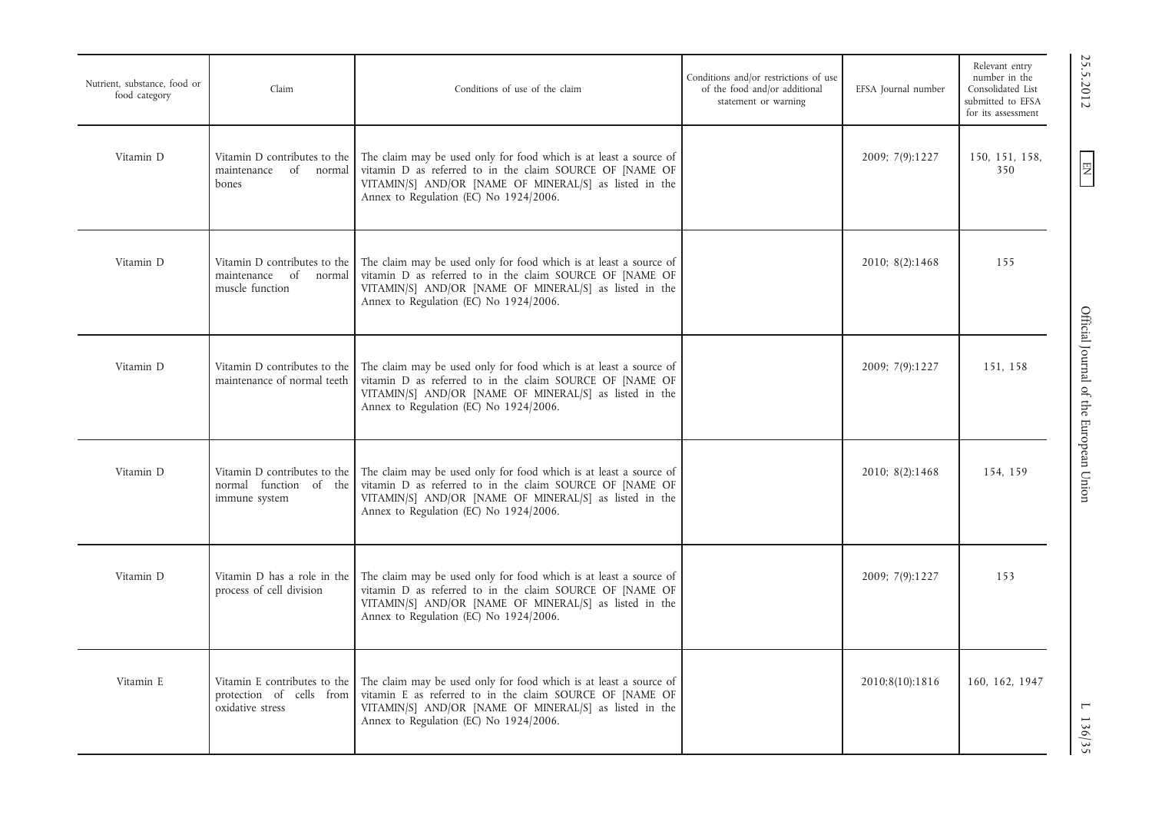| Nutrient, substance, food or<br>food category | Claim                                                                        | Conditions of use of the claim                                                                                                                                                                                                    | Conditions and/or restrictions of use<br>of the food and/or additional<br>statement or warning | EFSA Journal number | Relevant entry<br>number in the<br>Consolidated List<br>submitted to EFSA<br>for its assessment |
|-----------------------------------------------|------------------------------------------------------------------------------|-----------------------------------------------------------------------------------------------------------------------------------------------------------------------------------------------------------------------------------|------------------------------------------------------------------------------------------------|---------------------|-------------------------------------------------------------------------------------------------|
| Vitamin D                                     | Vitamin D contributes to the<br>of normal<br>maintenance<br>bones            | The claim may be used only for food which is at least a source of<br>vitamin D as referred to in the claim SOURCE OF [NAME OF<br>VITAMIN/S] AND/OR [NAME OF MINERAL/S] as listed in the<br>Annex to Regulation (EC) No 1924/2006. |                                                                                                | 2009; 7(9):1227     | 150, 151, 158,<br>350                                                                           |
| Vitamin D                                     | Vitamin D contributes to the<br>maintenance of normal<br>muscle function     | The claim may be used only for food which is at least a source of<br>vitamin D as referred to in the claim SOURCE OF [NAME OF<br>VITAMIN/S] AND/OR [NAME OF MINERAL/S] as listed in the<br>Annex to Regulation (EC) No 1924/2006. |                                                                                                | 2010; 8(2):1468     | 155                                                                                             |
| Vitamin D                                     | Vitamin D contributes to the<br>maintenance of normal teeth                  | The claim may be used only for food which is at least a source of<br>vitamin D as referred to in the claim SOURCE OF [NAME OF<br>VITAMIN/S] AND/OR [NAME OF MINERAL/S] as listed in the<br>Annex to Regulation (EC) No 1924/2006. |                                                                                                | 2009; 7(9):1227     | 151, 158                                                                                        |
| Vitamin D                                     | Vitamin D contributes to the<br>normal function of the<br>immune system      | The claim may be used only for food which is at least a source of<br>vitamin D as referred to in the claim SOURCE OF [NAME OF<br>VITAMIN/S] AND/OR [NAME OF MINERAL/S] as listed in the<br>Annex to Regulation (EC) No 1924/2006. |                                                                                                | 2010; 8(2):1468     | 154, 159                                                                                        |
| Vitamin D                                     | Vitamin D has a role in the<br>process of cell division                      | The claim may be used only for food which is at least a source of<br>vitamin D as referred to in the claim SOURCE OF [NAME OF<br>VITAMIN/S] AND/OR [NAME OF MINERAL/S] as listed in the<br>Annex to Regulation (EC) No 1924/2006. |                                                                                                | 2009; 7(9):1227     | 153                                                                                             |
| Vitamin E                                     | Vitamin E contributes to the<br>protection of cells from<br>oxidative stress | The claim may be used only for food which is at least a source of<br>vitamin E as referred to in the claim SOURCE OF [NAME OF<br>VITAMIN/S] AND/OR [NAME OF MINERAL/S] as listed in the<br>Annex to Regulation (EC) No 1924/2006. |                                                                                                | 2010;8(10):1816     | 160, 162, 1947                                                                                  |

 $\text{C.35}$   $\text{C.51}$   $\text{C.61}$   $\text{C.73}$   $\text{C.73}$   $\text{C.73}$   $\text{C.73}$   $\text{C.73}$   $\text{C.73}$   $\text{C.73}$   $\text{C.73}$   $\text{C.73}$   $\text{C.73}$   $\text{C.73}$   $\text{C.73}$   $\text{C.73}$   $\text{C.73}$   $\text{C.73}$   $\text{C.73}$   $\text{C.73}$  Official Journal of the European Union

25.5.2012

EN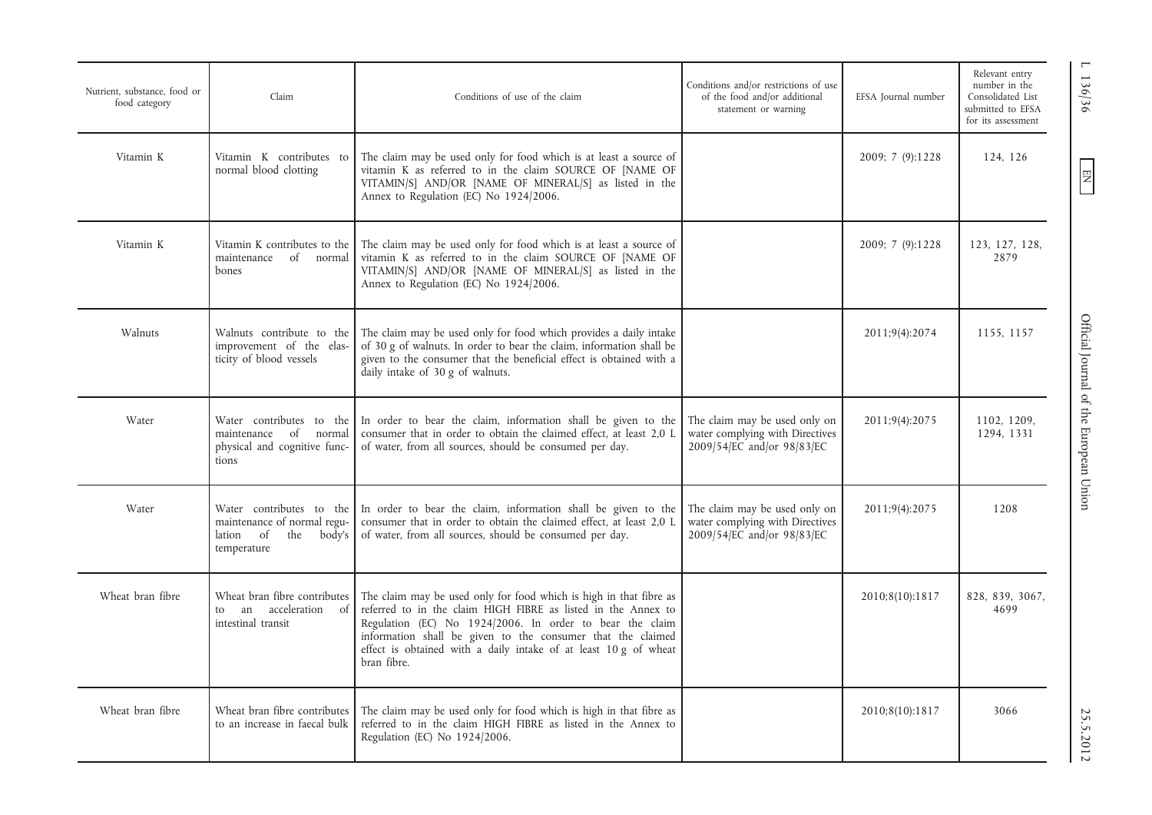| Nutrient, substance, food or<br>food category | Claim                                                                                                   | Conditions of use of the claim                                                                                                                                                                                                                                                                                                                    | Conditions and/or restrictions of use<br>of the food and/or additional<br>statement or warning | EFSA Journal number | Relevant entry<br>number in the<br>Consolidated List<br>submitted to EFSA<br>for its assessment |
|-----------------------------------------------|---------------------------------------------------------------------------------------------------------|---------------------------------------------------------------------------------------------------------------------------------------------------------------------------------------------------------------------------------------------------------------------------------------------------------------------------------------------------|------------------------------------------------------------------------------------------------|---------------------|-------------------------------------------------------------------------------------------------|
| Vitamin K                                     | Vitamin K contributes to<br>normal blood clotting                                                       | The claim may be used only for food which is at least a source of<br>vitamin K as referred to in the claim SOURCE OF [NAME OF<br>VITAMIN/S] AND/OR [NAME OF MINERAL/S] as listed in the<br>Annex to Regulation (EC) No 1924/2006.                                                                                                                 |                                                                                                | 2009; 7 (9):1228    | 124, 126                                                                                        |
| Vitamin K                                     | Vitamin K contributes to the<br>of normal<br>maintenance<br>bones                                       | The claim may be used only for food which is at least a source of<br>vitamin K as referred to in the claim SOURCE OF [NAME OF<br>VITAMIN/S] AND/OR [NAME OF MINERAL/S] as listed in the<br>Annex to Regulation (EC) No 1924/2006.                                                                                                                 |                                                                                                | 2009; 7 (9):1228    | 123, 127, 128,<br>2879                                                                          |
| Walnuts                                       | Walnuts contribute to the<br>improvement of the elas-<br>ticity of blood vessels                        | The claim may be used only for food which provides a daily intake<br>of 30 g of walnuts. In order to bear the claim, information shall be<br>given to the consumer that the beneficial effect is obtained with a<br>daily intake of 30 g of walnuts.                                                                                              |                                                                                                | 2011;9(4):2074      | 1155, 1157                                                                                      |
| Water                                         | Water contributes to the<br>maintenance<br>of<br>normal<br>physical and cognitive func-<br>tions        | In order to bear the claim, information shall be given to the<br>consumer that in order to obtain the claimed effect, at least 2.0 L<br>of water, from all sources, should be consumed per day.                                                                                                                                                   | The claim may be used only on<br>water complying with Directives<br>2009/54/EC and/or 98/83/EC | 2011;9(4):2075      | 1102, 1209,<br>1294, 1331                                                                       |
| Water                                         | Water contributes to the<br>maintenance of normal regu-<br>of<br>lation<br>the<br>body's<br>temperature | In order to bear the claim, information shall be given to the<br>consumer that in order to obtain the claimed effect, at least 2,0 L<br>of water, from all sources, should be consumed per day.                                                                                                                                                   | The claim may be used only on<br>water complying with Directives<br>2009/54/EC and/or 98/83/EC | 2011;9(4):2075      | 1208                                                                                            |
| Wheat bran fibre                              | Wheat bran fibre contributes<br>acceleration of<br>an<br>to<br>intestinal transit                       | The claim may be used only for food which is high in that fibre as<br>referred to in the claim HIGH FIBRE as listed in the Annex to<br>Regulation (EC) No 1924/2006. In order to bear the claim<br>information shall be given to the consumer that the claimed<br>effect is obtained with a daily intake of at least 10 g of wheat<br>bran fibre. |                                                                                                | 2010;8(10):1817     | 828, 839, 3067,<br>4699                                                                         |
| Wheat bran fibre                              | Wheat bran fibre contributes<br>to an increase in faecal bulk                                           | The claim may be used only for food which is high in that fibre as<br>referred to in the claim HIGH FIBRE as listed in the Annex to<br>Regulation (EC) No 1924/2006.                                                                                                                                                                              |                                                                                                | 2010;8(10):1817     | 3066                                                                                            |

L 136/36 Official Journal of the European Union 25.5.2012 25.5.2012 Official Journal of the European Union

1 136/36

 $\boxed{\phantom{\text{N}}}{\mathbf{N}}$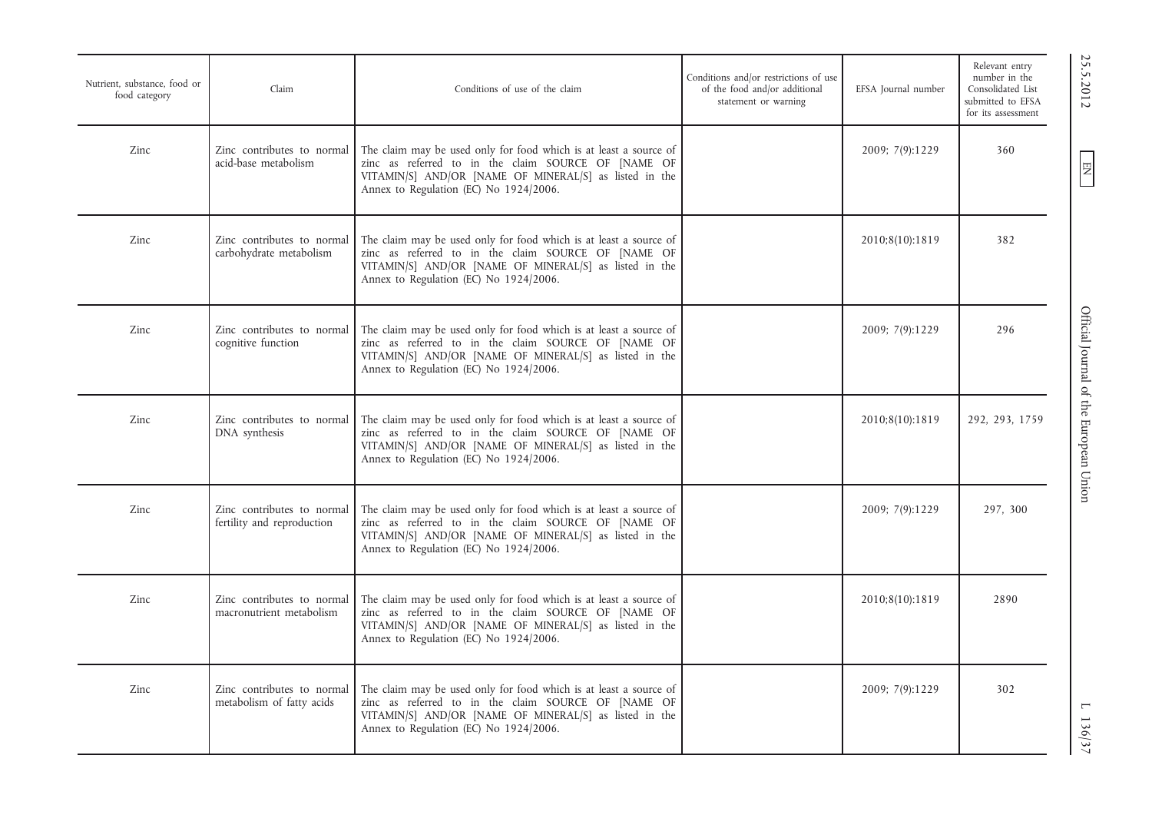| Nutrient, substance, food or<br>food category | Claim                                                    | Conditions of use of the claim                                                                                                                                                                                               | Conditions and/or restrictions of use<br>of the food and/or additional<br>statement or warning | EFSA Journal number | Relevant entry<br>number in the<br>Consolidated List<br>submitted to EFSA<br>for its assessment |
|-----------------------------------------------|----------------------------------------------------------|------------------------------------------------------------------------------------------------------------------------------------------------------------------------------------------------------------------------------|------------------------------------------------------------------------------------------------|---------------------|-------------------------------------------------------------------------------------------------|
| Zinc                                          | Zinc contributes to normal<br>acid-base metabolism       | The claim may be used only for food which is at least a source of<br>zinc as referred to in the claim SOURCE OF [NAME OF<br>VITAMIN/S] AND/OR [NAME OF MINERAL/S] as listed in the<br>Annex to Regulation (EC) No 1924/2006. |                                                                                                | 2009; 7(9):1229     | 360                                                                                             |
| Zinc                                          | Zinc contributes to normal<br>carbohydrate metabolism    | The claim may be used only for food which is at least a source of<br>zinc as referred to in the claim SOURCE OF [NAME OF<br>VITAMIN/S] AND/OR [NAME OF MINERAL/S] as listed in the<br>Annex to Regulation (EC) No 1924/2006. |                                                                                                | 2010;8(10):1819     | 382                                                                                             |
| Zinc                                          | Zinc contributes to normal<br>cognitive function         | The claim may be used only for food which is at least a source of<br>zinc as referred to in the claim SOURCE OF [NAME OF<br>VITAMIN/S] AND/OR [NAME OF MINERAL/S] as listed in the<br>Annex to Regulation (EC) No 1924/2006. |                                                                                                | 2009; 7(9):1229     | 296                                                                                             |
| Zinc                                          | Zinc contributes to normal<br>DNA synthesis              | The claim may be used only for food which is at least a source of<br>zinc as referred to in the claim SOURCE OF [NAME OF<br>VITAMIN/S] AND/OR [NAME OF MINERAL/S] as listed in the<br>Annex to Regulation (EC) No 1924/2006. |                                                                                                | 2010;8(10):1819     | 292, 293, 1759                                                                                  |
| Zinc                                          | Zinc contributes to normal<br>fertility and reproduction | The claim may be used only for food which is at least a source of<br>zinc as referred to in the claim SOURCE OF [NAME OF<br>VITAMIN/S] AND/OR [NAME OF MINERAL/S] as listed in the<br>Annex to Regulation (EC) No 1924/2006. |                                                                                                | 2009; 7(9):1229     | 297, 300                                                                                        |
| Zinc                                          | Zinc contributes to normal<br>macronutrient metabolism   | The claim may be used only for food which is at least a source of<br>zinc as referred to in the claim SOURCE OF [NAME OF<br>VITAMIN/S] AND/OR [NAME OF MINERAL/S] as listed in the<br>Annex to Regulation (EC) No 1924/2006. |                                                                                                | 2010;8(10):1819     | 2890                                                                                            |
| Zinc                                          | Zinc contributes to normal<br>metabolism of fatty acids  | The claim may be used only for food which is at least a source of<br>zinc as referred to in the claim SOURCE OF [NAME OF<br>VITAMIN/S] AND/OR [NAME OF MINERAL/S] as listed in the<br>Annex to Regulation (EC) No 1924/2006. |                                                                                                | 2009; 7(9):1229     | 302                                                                                             |

EN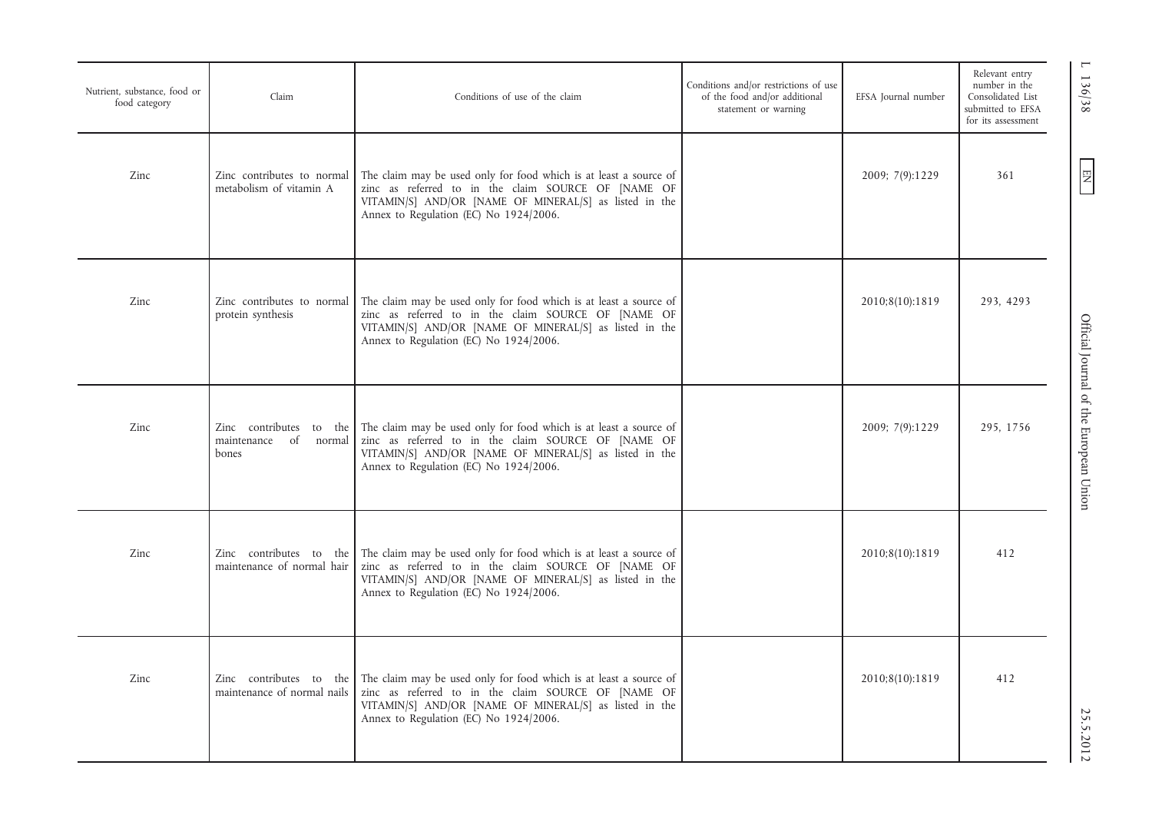| Nutrient, substance, food or<br>food category | Claim                                                        | Conditions of use of the claim                                                                                                                                                                                               | Conditions and/or restrictions of use<br>of the food and/or additional<br>statement or warning | EFSA Journal number | Relevant entry<br>number in the<br>Consolidated List<br>submitted to EFSA<br>for its assessment |
|-----------------------------------------------|--------------------------------------------------------------|------------------------------------------------------------------------------------------------------------------------------------------------------------------------------------------------------------------------------|------------------------------------------------------------------------------------------------|---------------------|-------------------------------------------------------------------------------------------------|
| Zinc                                          | Zinc contributes to normal<br>metabolism of vitamin A        | The claim may be used only for food which is at least a source of<br>zinc as referred to in the claim SOURCE OF [NAME OF<br>VITAMIN/S] AND/OR [NAME OF MINERAL/S] as listed in the<br>Annex to Regulation (EC) No 1924/2006. |                                                                                                | 2009; 7(9):1229     | 361                                                                                             |
| Zinc                                          | Zinc contributes to normal<br>protein synthesis              | The claim may be used only for food which is at least a source of<br>zinc as referred to in the claim SOURCE OF [NAME OF<br>VITAMIN/S] AND/OR [NAME OF MINERAL/S] as listed in the<br>Annex to Regulation (EC) No 1924/2006. |                                                                                                | 2010;8(10):1819     | 293, 4293                                                                                       |
| Zinc                                          | Zinc contributes to the<br>maintenance of<br>normal<br>bones | The claim may be used only for food which is at least a source of<br>zinc as referred to in the claim SOURCE OF [NAME OF<br>VITAMIN/S] AND/OR [NAME OF MINERAL/S] as listed in the<br>Annex to Regulation (EC) No 1924/2006. |                                                                                                | 2009; 7(9):1229     | 295, 1756                                                                                       |
| Zinc                                          | Zinc contributes to the<br>maintenance of normal hair        | The claim may be used only for food which is at least a source of<br>zinc as referred to in the claim SOURCE OF [NAME OF<br>VITAMIN/S] AND/OR [NAME OF MINERAL/S] as listed in the<br>Annex to Regulation (EC) No 1924/2006. |                                                                                                | 2010;8(10):1819     | 412                                                                                             |
| Zinc                                          | Zinc contributes to the<br>maintenance of normal nails       | The claim may be used only for food which is at least a source of<br>zinc as referred to in the claim SOURCE OF [NAME OF<br>VITAMIN/S] AND/OR [NAME OF MINERAL/S] as listed in the<br>Annex to Regulation (EC) No 1924/2006. |                                                                                                | 2010;8(10):1819     | 412                                                                                             |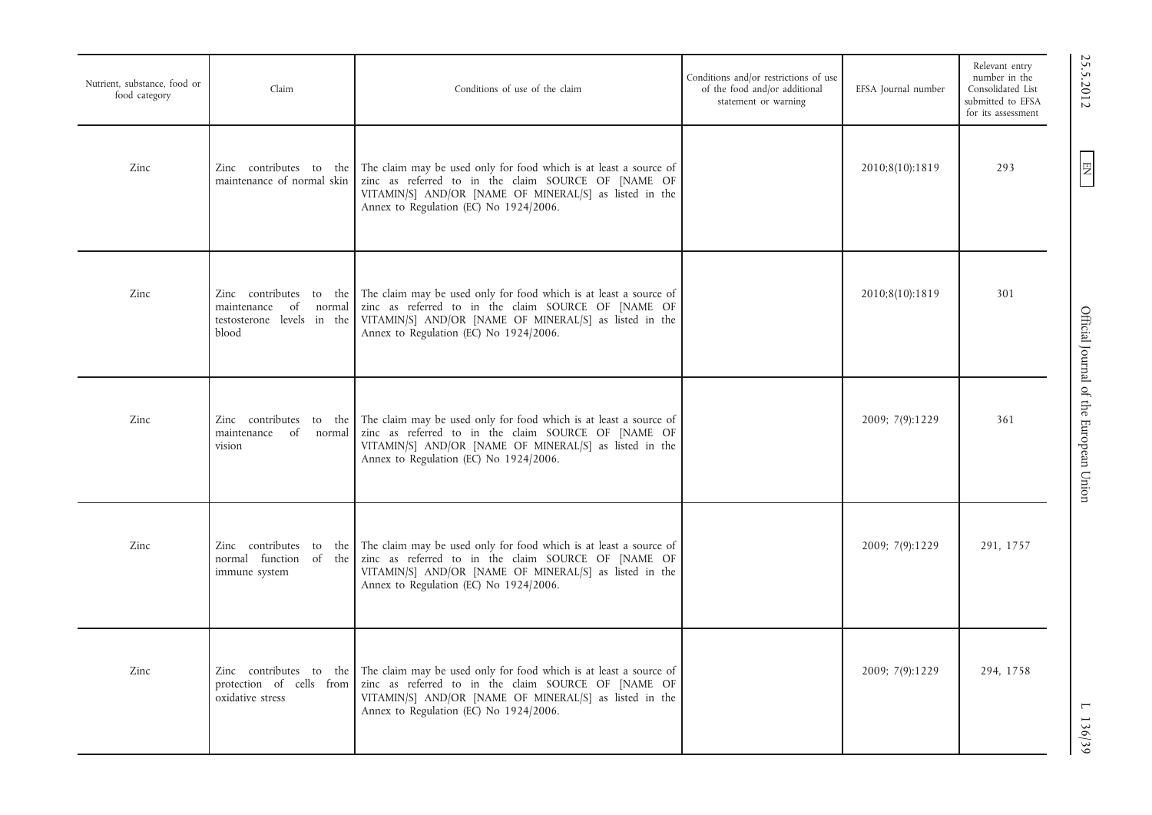| Nutrient, substance, food or<br>food category | Claim                                                                                         | Conditions of use of the claim                                                                                                                                                                                               | Conditions and/or restrictions of use<br>of the food and/or additional<br>statement or warning | EFSA Journal number | Relevant entry<br>number in the<br>Consolidated List<br>submitted to EFSA<br>for its assessment |
|-----------------------------------------------|-----------------------------------------------------------------------------------------------|------------------------------------------------------------------------------------------------------------------------------------------------------------------------------------------------------------------------------|------------------------------------------------------------------------------------------------|---------------------|-------------------------------------------------------------------------------------------------|
| Zinc                                          | Zinc contributes to the<br>maintenance of normal skin                                         | The claim may be used only for food which is at least a source of<br>zinc as referred to in the claim SOURCE OF [NAME OF<br>VITAMIN/S] AND/OR [NAME OF MINERAL/S] as listed in the<br>Annex to Regulation (EC) No 1924/2006. |                                                                                                | 2010;8(10):1819     | 293                                                                                             |
| Zinc                                          | Zinc contributes to the<br>of<br>maintenance<br>normal<br>testosterone levels in the<br>blood | The claim may be used only for food which is at least a source of<br>zinc as referred to in the claim SOURCE OF [NAME OF<br>VITAMIN/S] AND/OR [NAME OF MINERAL/S] as listed in the<br>Annex to Regulation (EC) No 1924/2006. |                                                                                                | 2010;8(10):1819     | 301                                                                                             |
| Zinc                                          | Zinc contributes to the<br>of normal<br>maintenance<br>vision                                 | The claim may be used only for food which is at least a source of<br>zinc as referred to in the claim SOURCE OF [NAME OF<br>VITAMIN/S] AND/OR [NAME OF MINERAL/S] as listed in the<br>Annex to Regulation (EC) No 1924/2006. |                                                                                                | 2009; 7(9):1229     | 361                                                                                             |
| Zinc                                          | Zinc contributes to the<br>normal function of the<br>immune system                            | The claim may be used only for food which is at least a source of<br>zinc as referred to in the claim SOURCE OF [NAME OF<br>VITAMIN/S] AND/OR [NAME OF MINERAL/S] as listed in the<br>Annex to Regulation (EC) No 1924/2006. |                                                                                                | 2009; 7(9):1229     | 291, 1757                                                                                       |
| Zinc                                          | Zinc contributes to the<br>protection of cells from<br>oxidative stress                       | The claim may be used only for food which is at least a source of<br>zinc as referred to in the claim SOURCE OF [NAME OF<br>VITAMIN/S] AND/OR [NAME OF MINERAL/S] as listed in the<br>Annex to Regulation (EC) No 1924/2006. |                                                                                                | 2009; 7(9):1229     | 294, 1758                                                                                       |

EN 25.5.2012 Official Journal of the European Union L 136/39Official Journal of the European Union

25.5.2012

EN

 $1136/39$